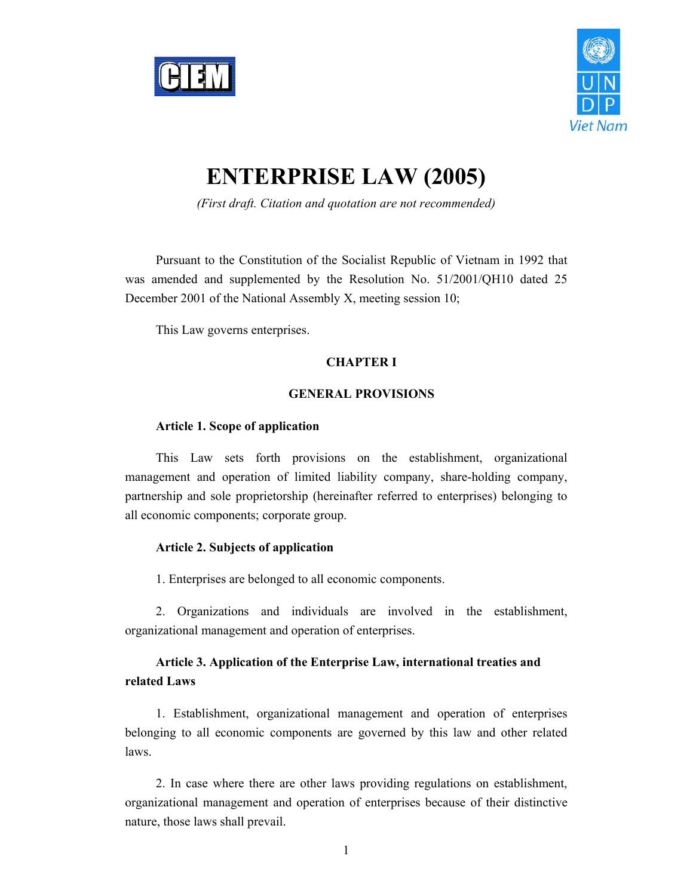



# **ENTERPRISE LAW (2005)**

*(First draft. Citation and quotation are not recommended)* 

Pursuant to the Constitution of the Socialist Republic of Vietnam in 1992 that was amended and supplemented by the Resolution No. 51/2001/QH10 dated 25 December 2001 of the National Assembly X, meeting session 10;

This Law governs enterprises.

# **CHAPTER I**

# **GENERAL PROVISIONS**

#### **Article 1. Scope of application**

This Law sets forth provisions on the establishment, organizational management and operation of limited liability company, share-holding company, partnership and sole proprietorship (hereinafter referred to enterprises) belonging to all economic components; corporate group.

#### **Article 2. Subjects of application**

1. Enterprises are belonged to all economic components.

2. Organizations and individuals are involved in the establishment, organizational management and operation of enterprises.

# **Article 3. Application of the Enterprise Law, international treaties and related Laws**

1. Establishment, organizational management and operation of enterprises belonging to all economic components are governed by this law and other related laws.

2. In case where there are other laws providing regulations on establishment, organizational management and operation of enterprises because of their distinctive nature, those laws shall prevail.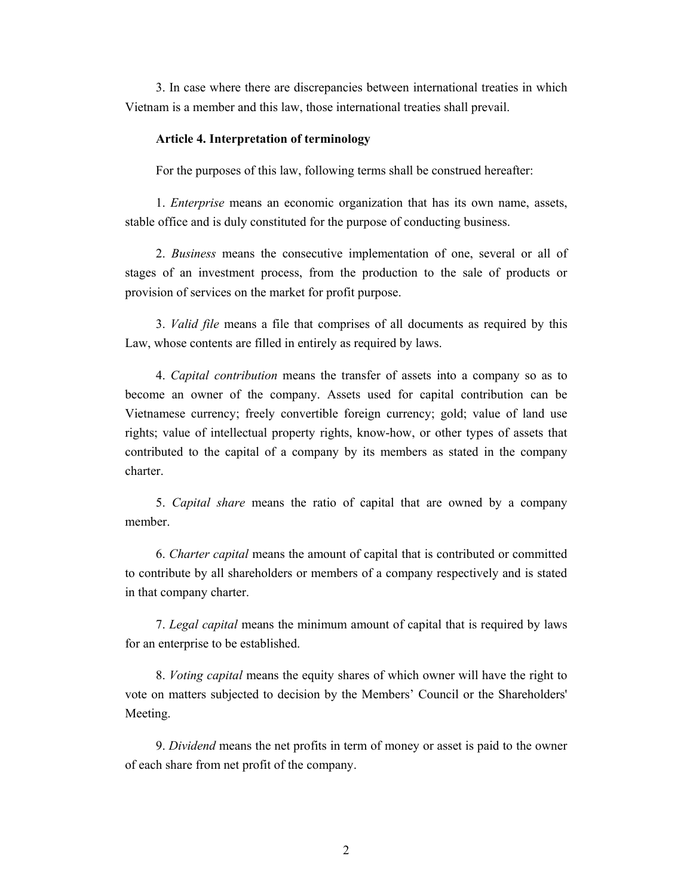3. In case where there are discrepancies between international treaties in which Vietnam is a member and this law, those international treaties shall prevail.

### **Article 4. Interpretation of terminology**

For the purposes of this law, following terms shall be construed hereafter:

1. *Enterprise* means an economic organization that has its own name, assets, stable office and is duly constituted for the purpose of conducting business.

2. *Business* means the consecutive implementation of one, several or all of stages of an investment process, from the production to the sale of products or provision of services on the market for profit purpose.

3. *Valid file* means a file that comprises of all documents as required by this Law, whose contents are filled in entirely as required by laws.

4. *Capital contribution* means the transfer of assets into a company so as to become an owner of the company. Assets used for capital contribution can be Vietnamese currency; freely convertible foreign currency; gold; value of land use rights; value of intellectual property rights, know-how, or other types of assets that contributed to the capital of a company by its members as stated in the company charter.

5. *Capital share* means the ratio of capital that are owned by a company member.

6. *Charter capital* means the amount of capital that is contributed or committed to contribute by all shareholders or members of a company respectively and is stated in that company charter.

7. *Legal capital* means the minimum amount of capital that is required by laws for an enterprise to be established.

8. *Voting capital* means the equity shares of which owner will have the right to vote on matters subjected to decision by the Members' Council or the Shareholders' Meeting.

9. *Dividend* means the net profits in term of money or asset is paid to the owner of each share from net profit of the company.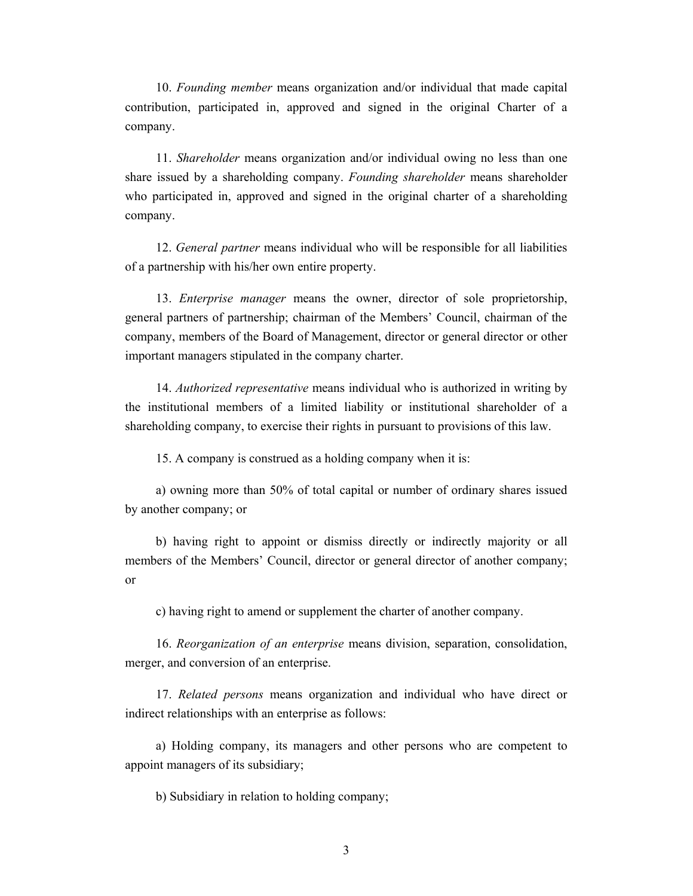10. *Founding member* means organization and/or individual that made capital contribution, participated in, approved and signed in the original Charter of a company.

11. *Shareholder* means organization and/or individual owing no less than one share issued by a shareholding company. *Founding shareholder* means shareholder who participated in, approved and signed in the original charter of a shareholding company.

12. *General partner* means individual who will be responsible for all liabilities of a partnership with his/her own entire property.

13. *Enterprise manager* means the owner, director of sole proprietorship, general partners of partnership; chairman of the Members' Council, chairman of the company, members of the Board of Management, director or general director or other important managers stipulated in the company charter.

14. *Authorized representative* means individual who is authorized in writing by the institutional members of a limited liability or institutional shareholder of a shareholding company, to exercise their rights in pursuant to provisions of this law.

15. A company is construed as a holding company when it is:

a) owning more than 50% of total capital or number of ordinary shares issued by another company; or

b) having right to appoint or dismiss directly or indirectly majority or all members of the Members' Council, director or general director of another company; or

c) having right to amend or supplement the charter of another company.

16. *Reorganization of an enterprise* means division, separation, consolidation, merger, and conversion of an enterprise.

17. *Related persons* means organization and individual who have direct or indirect relationships with an enterprise as follows:

a) Holding company, its managers and other persons who are competent to appoint managers of its subsidiary;

b) Subsidiary in relation to holding company;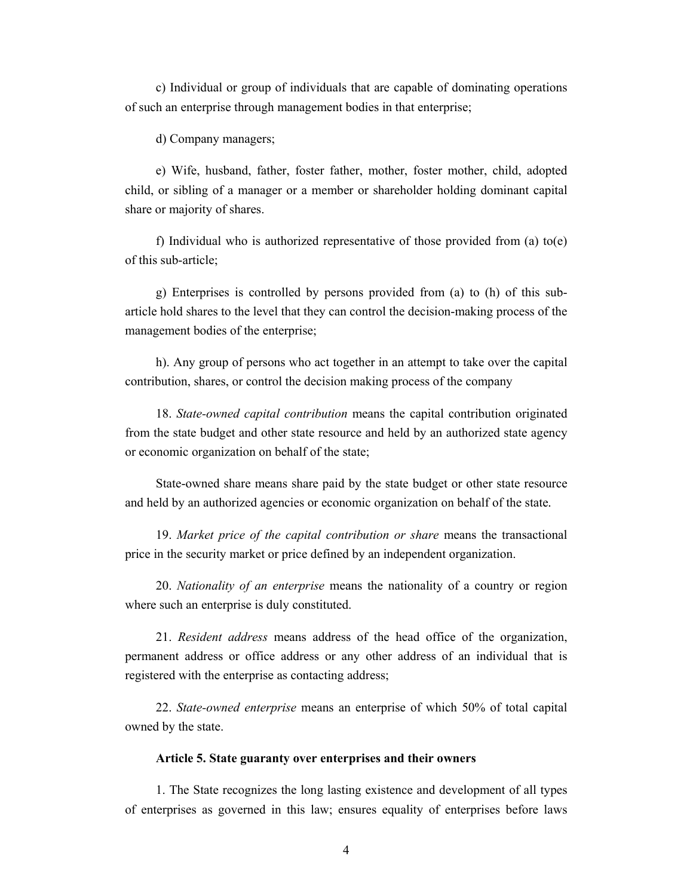c) Individual or group of individuals that are capable of dominating operations of such an enterprise through management bodies in that enterprise;

d) Company managers;

e) Wife, husband, father, foster father, mother, foster mother, child, adopted child, or sibling of a manager or a member or shareholder holding dominant capital share or majority of shares.

f) Individual who is authorized representative of those provided from (a)  $to(e)$ of this sub-article;

g) Enterprises is controlled by persons provided from (a) to (h) of this subarticle hold shares to the level that they can control the decision-making process of the management bodies of the enterprise;

h). Any group of persons who act together in an attempt to take over the capital contribution, shares, or control the decision making process of the company

18. *State-owned capital contribution* means the capital contribution originated from the state budget and other state resource and held by an authorized state agency or economic organization on behalf of the state;

State-owned share means share paid by the state budget or other state resource and held by an authorized agencies or economic organization on behalf of the state.

19. *Market price of the capital contribution or share* means the transactional price in the security market or price defined by an independent organization.

20. *Nationality of an enterprise* means the nationality of a country or region where such an enterprise is duly constituted.

21. *Resident address* means address of the head office of the organization, permanent address or office address or any other address of an individual that is registered with the enterprise as contacting address;

22. *State-owned enterprise* means an enterprise of which 50% of total capital owned by the state.

#### **Article 5. State guaranty over enterprises and their owners**

1. The State recognizes the long lasting existence and development of all types of enterprises as governed in this law; ensures equality of enterprises before laws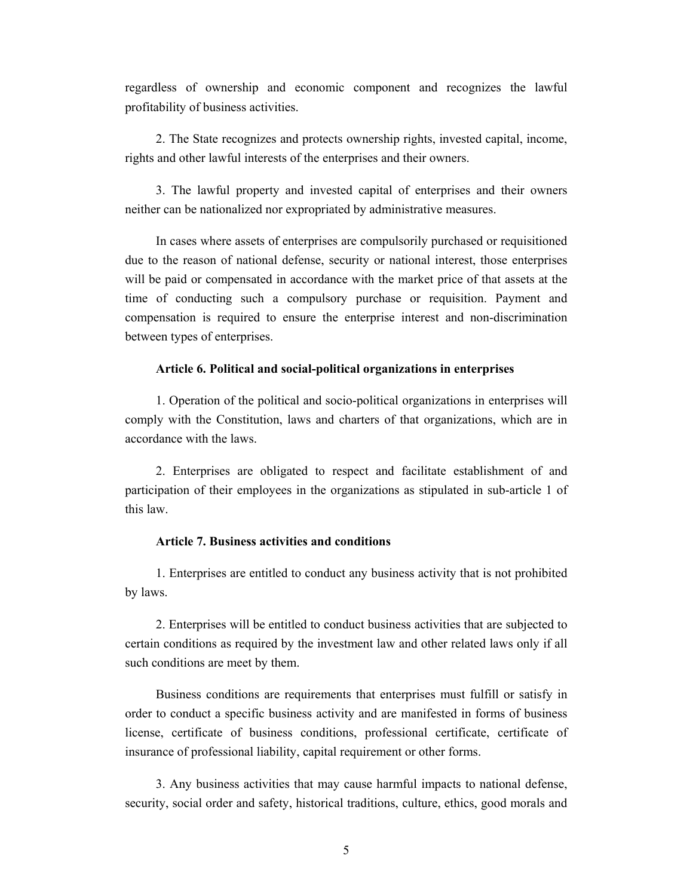regardless of ownership and economic component and recognizes the lawful profitability of business activities.

2. The State recognizes and protects ownership rights, invested capital, income, rights and other lawful interests of the enterprises and their owners.

3. The lawful property and invested capital of enterprises and their owners neither can be nationalized nor expropriated by administrative measures.

In cases where assets of enterprises are compulsorily purchased or requisitioned due to the reason of national defense, security or national interest, those enterprises will be paid or compensated in accordance with the market price of that assets at the time of conducting such a compulsory purchase or requisition. Payment and compensation is required to ensure the enterprise interest and non-discrimination between types of enterprises.

#### **Article 6. Political and social-political organizations in enterprises**

1. Operation of the political and socio-political organizations in enterprises will comply with the Constitution, laws and charters of that organizations, which are in accordance with the laws.

2. Enterprises are obligated to respect and facilitate establishment of and participation of their employees in the organizations as stipulated in sub-article 1 of this law.

## **Article 7. Business activities and conditions**

1. Enterprises are entitled to conduct any business activity that is not prohibited by laws.

2. Enterprises will be entitled to conduct business activities that are subjected to certain conditions as required by the investment law and other related laws only if all such conditions are meet by them.

Business conditions are requirements that enterprises must fulfill or satisfy in order to conduct a specific business activity and are manifested in forms of business license, certificate of business conditions, professional certificate, certificate of insurance of professional liability, capital requirement or other forms.

3. Any business activities that may cause harmful impacts to national defense, security, social order and safety, historical traditions, culture, ethics, good morals and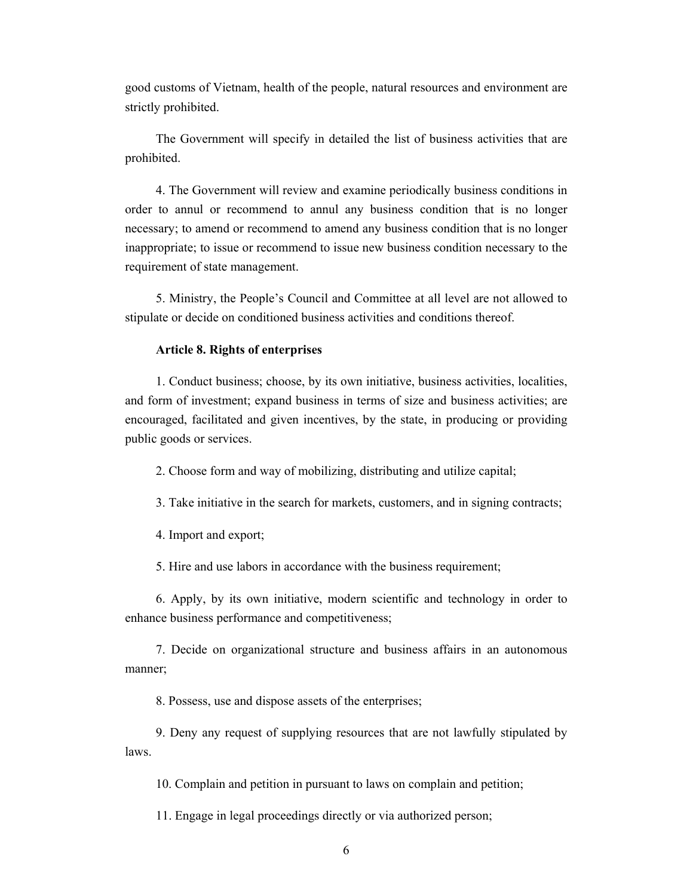good customs of Vietnam, health of the people, natural resources and environment are strictly prohibited.

The Government will specify in detailed the list of business activities that are prohibited.

4. The Government will review and examine periodically business conditions in order to annul or recommend to annul any business condition that is no longer necessary; to amend or recommend to amend any business condition that is no longer inappropriate; to issue or recommend to issue new business condition necessary to the requirement of state management.

5. Ministry, the People's Council and Committee at all level are not allowed to stipulate or decide on conditioned business activities and conditions thereof.

#### **Article 8. Rights of enterprises**

1. Conduct business; choose, by its own initiative, business activities, localities, and form of investment; expand business in terms of size and business activities; are encouraged, facilitated and given incentives, by the state, in producing or providing public goods or services.

2. Choose form and way of mobilizing, distributing and utilize capital;

3. Take initiative in the search for markets, customers, and in signing contracts;

4. Import and export;

5. Hire and use labors in accordance with the business requirement;

6. Apply, by its own initiative, modern scientific and technology in order to enhance business performance and competitiveness;

7. Decide on organizational structure and business affairs in an autonomous manner;

8. Possess, use and dispose assets of the enterprises;

9. Deny any request of supplying resources that are not lawfully stipulated by laws.

10. Complain and petition in pursuant to laws on complain and petition;

11. Engage in legal proceedings directly or via authorized person;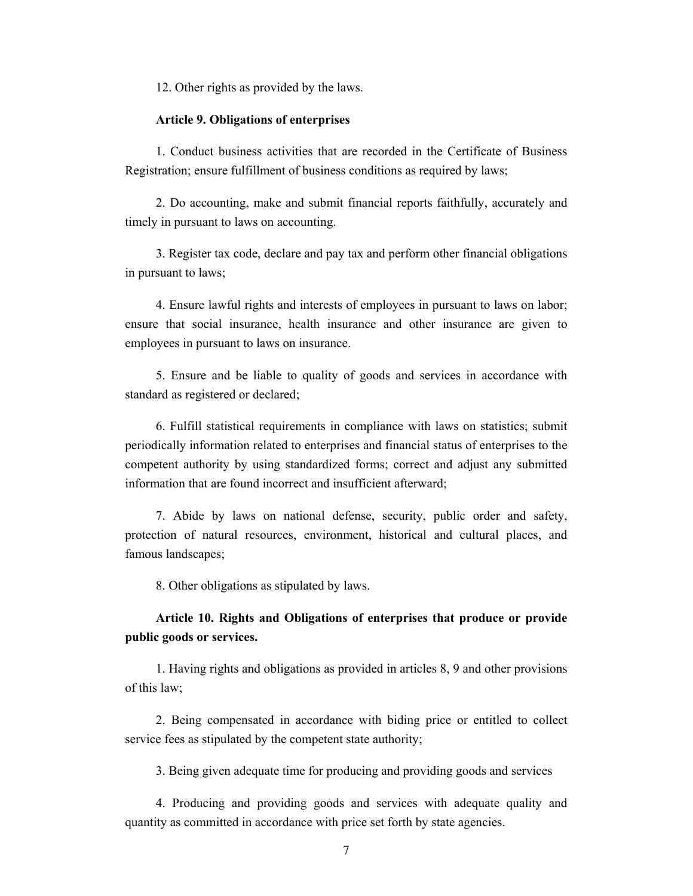12. Other rights as provided by the laws.

#### **Article 9. Obligations of enterprises**

1. Conduct business activities that are recorded in the Certificate of Business Registration; ensure fulfillment of business conditions as required by laws;

2. Do accounting, make and submit financial reports faithfully, accurately and timely in pursuant to laws on accounting.

3. Register tax code, declare and pay tax and perform other financial obligations in pursuant to laws;

4. Ensure lawful rights and interests of employees in pursuant to laws on labor; ensure that social insurance, health insurance and other insurance are given to employees in pursuant to laws on insurance.

5. Ensure and be liable to quality of goods and services in accordance with standard as registered or declared;

6. Fulfill statistical requirements in compliance with laws on statistics; submit periodically information related to enterprises and financial status of enterprises to the competent authority by using standardized forms; correct and adjust any submitted information that are found incorrect and insufficient afterward;

7. Abide by laws on national defense, security, public order and safety, protection of natural resources, environment, historical and cultural places, and famous landscapes;

8. Other obligations as stipulated by laws.

# **Article 10. Rights and Obligations of enterprises that produce or provide public goods or services.**

1. Having rights and obligations as provided in articles 8, 9 and other provisions of this law;

2. Being compensated in accordance with biding price or entitled to collect service fees as stipulated by the competent state authority;

3. Being given adequate time for producing and providing goods and services

4. Producing and providing goods and services with adequate quality and quantity as committed in accordance with price set forth by state agencies.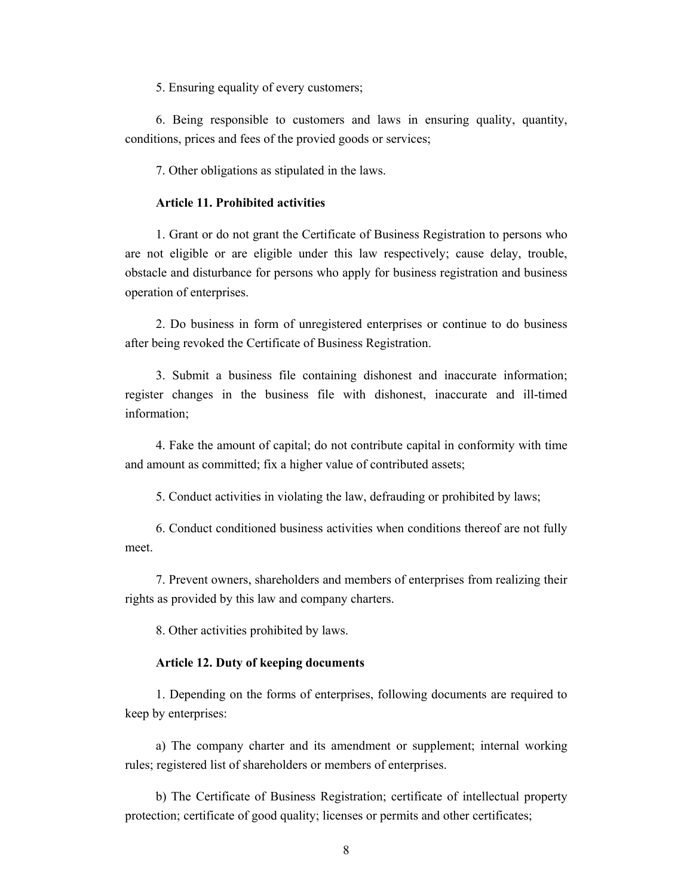5. Ensuring equality of every customers;

6. Being responsible to customers and laws in ensuring quality, quantity, conditions, prices and fees of the provied goods or services;

7. Other obligations as stipulated in the laws.

#### **Article 11. Prohibited activities**

1. Grant or do not grant the Certificate of Business Registration to persons who are not eligible or are eligible under this law respectively; cause delay, trouble, obstacle and disturbance for persons who apply for business registration and business operation of enterprises.

2. Do business in form of unregistered enterprises or continue to do business after being revoked the Certificate of Business Registration.

3. Submit a business file containing dishonest and inaccurate information; register changes in the business file with dishonest, inaccurate and ill-timed information;

4. Fake the amount of capital; do not contribute capital in conformity with time and amount as committed; fix a higher value of contributed assets;

5. Conduct activities in violating the law, defrauding or prohibited by laws;

6. Conduct conditioned business activities when conditions thereof are not fully meet.

7. Prevent owners, shareholders and members of enterprises from realizing their rights as provided by this law and company charters.

8. Other activities prohibited by laws.

#### **Article 12. Duty of keeping documents**

1. Depending on the forms of enterprises, following documents are required to keep by enterprises:

a) The company charter and its amendment or supplement; internal working rules; registered list of shareholders or members of enterprises.

b) The Certificate of Business Registration; certificate of intellectual property protection; certificate of good quality; licenses or permits and other certificates;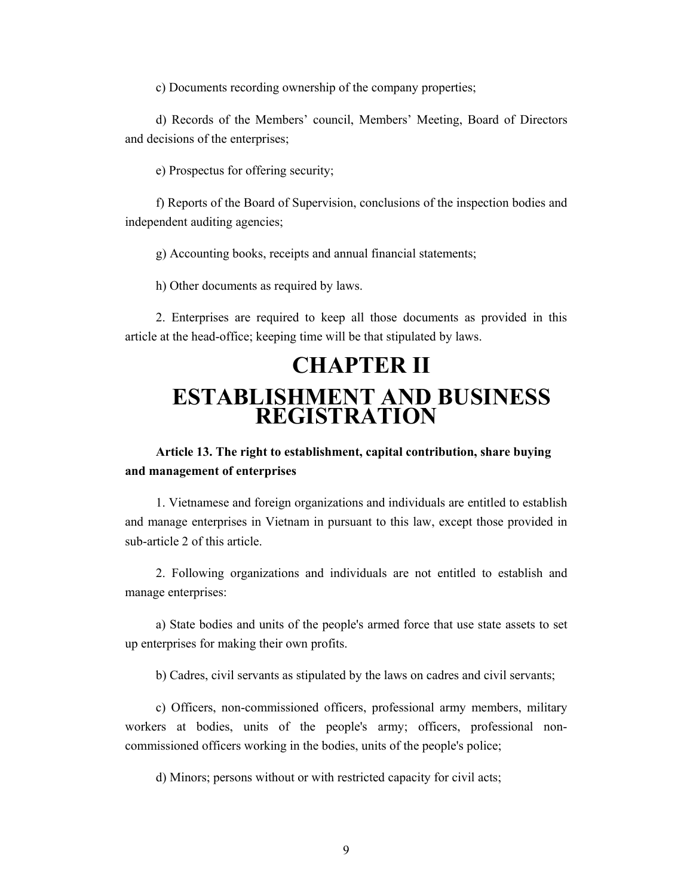c) Documents recording ownership of the company properties;

d) Records of the Members' council, Members' Meeting, Board of Directors and decisions of the enterprises;

e) Prospectus for offering security;

f) Reports of the Board of Supervision, conclusions of the inspection bodies and independent auditing agencies;

g) Accounting books, receipts and annual financial statements;

h) Other documents as required by laws.

2. Enterprises are required to keep all those documents as provided in this article at the head-office; keeping time will be that stipulated by laws.

# **CHAPTER II ESTABLISHMENT AND BUSINESS REGISTRATION**

**Article 13. The right to establishment, capital contribution, share buying and management of enterprises** 

1. Vietnamese and foreign organizations and individuals are entitled to establish and manage enterprises in Vietnam in pursuant to this law, except those provided in sub-article 2 of this article.

2. Following organizations and individuals are not entitled to establish and manage enterprises:

a) State bodies and units of the people's armed force that use state assets to set up enterprises for making their own profits.

b) Cadres, civil servants as stipulated by the laws on cadres and civil servants;

c) Officers, non-commissioned officers, professional army members, military workers at bodies, units of the people's army; officers, professional noncommissioned officers working in the bodies, units of the people's police;

d) Minors; persons without or with restricted capacity for civil acts;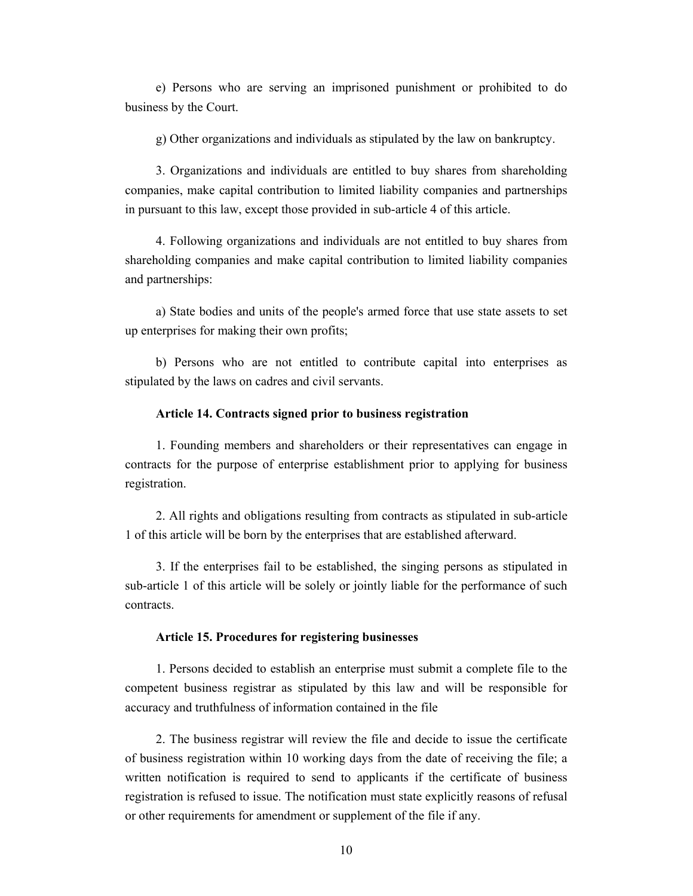e) Persons who are serving an imprisoned punishment or prohibited to do business by the Court.

g) Other organizations and individuals as stipulated by the law on bankruptcy.

3. Organizations and individuals are entitled to buy shares from shareholding companies, make capital contribution to limited liability companies and partnerships in pursuant to this law, except those provided in sub-article 4 of this article.

4. Following organizations and individuals are not entitled to buy shares from shareholding companies and make capital contribution to limited liability companies and partnerships:

a) State bodies and units of the people's armed force that use state assets to set up enterprises for making their own profits;

b) Persons who are not entitled to contribute capital into enterprises as stipulated by the laws on cadres and civil servants.

#### **Article 14. Contracts signed prior to business registration**

1. Founding members and shareholders or their representatives can engage in contracts for the purpose of enterprise establishment prior to applying for business registration.

2. All rights and obligations resulting from contracts as stipulated in sub-article 1 of this article will be born by the enterprises that are established afterward.

3. If the enterprises fail to be established, the singing persons as stipulated in sub-article 1 of this article will be solely or jointly liable for the performance of such contracts.

#### **Article 15. Procedures for registering businesses**

1. Persons decided to establish an enterprise must submit a complete file to the competent business registrar as stipulated by this law and will be responsible for accuracy and truthfulness of information contained in the file

2. The business registrar will review the file and decide to issue the certificate of business registration within 10 working days from the date of receiving the file; a written notification is required to send to applicants if the certificate of business registration is refused to issue. The notification must state explicitly reasons of refusal or other requirements for amendment or supplement of the file if any.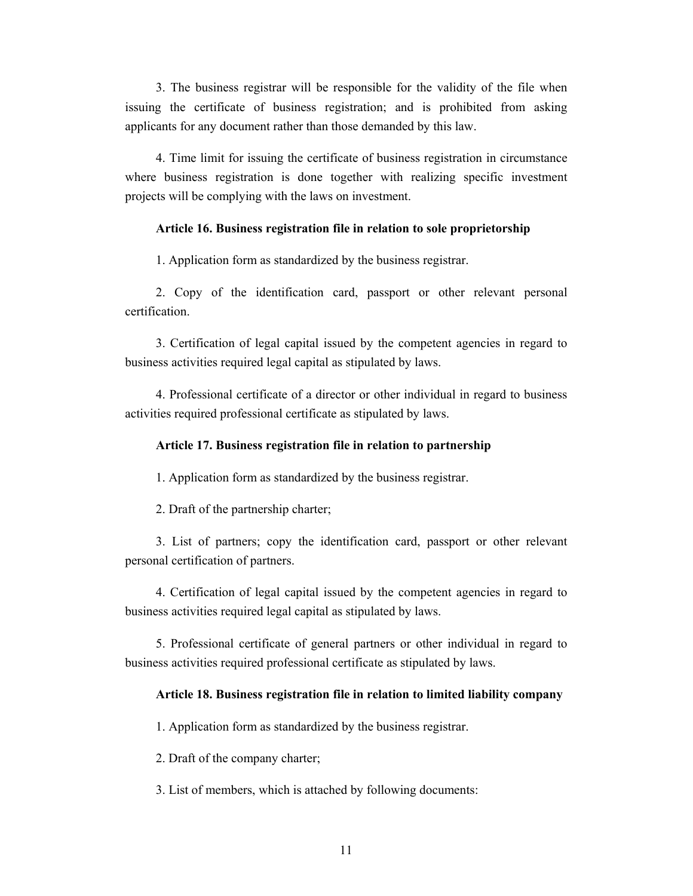3. The business registrar will be responsible for the validity of the file when issuing the certificate of business registration; and is prohibited from asking applicants for any document rather than those demanded by this law.

4. Time limit for issuing the certificate of business registration in circumstance where business registration is done together with realizing specific investment projects will be complying with the laws on investment.

## **Article 16. Business registration file in relation to sole proprietorship**

1. Application form as standardized by the business registrar.

2. Copy of the identification card, passport or other relevant personal certification.

3. Certification of legal capital issued by the competent agencies in regard to business activities required legal capital as stipulated by laws.

4. Professional certificate of a director or other individual in regard to business activities required professional certificate as stipulated by laws.

## **Article 17. Business registration file in relation to partnership**

1. Application form as standardized by the business registrar.

2. Draft of the partnership charter;

3. List of partners; copy the identification card, passport or other relevant personal certification of partners.

4. Certification of legal capital issued by the competent agencies in regard to business activities required legal capital as stipulated by laws.

5. Professional certificate of general partners or other individual in regard to business activities required professional certificate as stipulated by laws.

#### **Article 18. Business registration file in relation to limited liability company**

1. Application form as standardized by the business registrar.

2. Draft of the company charter;

3. List of members, which is attached by following documents: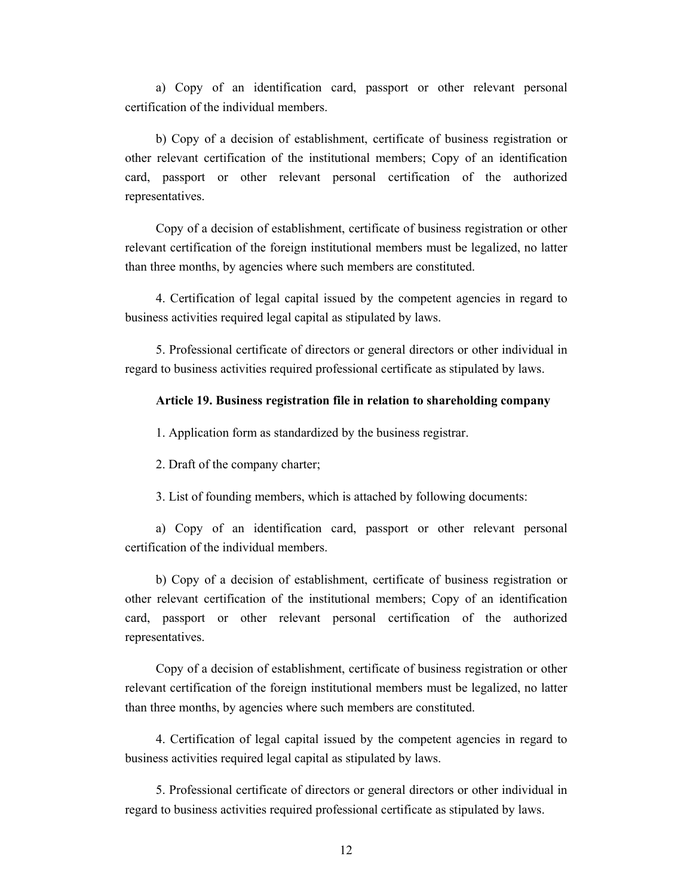a) Copy of an identification card, passport or other relevant personal certification of the individual members.

b) Copy of a decision of establishment, certificate of business registration or other relevant certification of the institutional members; Copy of an identification card, passport or other relevant personal certification of the authorized representatives.

Copy of a decision of establishment, certificate of business registration or other relevant certification of the foreign institutional members must be legalized, no latter than three months, by agencies where such members are constituted.

4. Certification of legal capital issued by the competent agencies in regard to business activities required legal capital as stipulated by laws.

5. Professional certificate of directors or general directors or other individual in regard to business activities required professional certificate as stipulated by laws.

#### **Article 19. Business registration file in relation to shareholding company**

1. Application form as standardized by the business registrar.

2. Draft of the company charter;

3. List of founding members, which is attached by following documents:

a) Copy of an identification card, passport or other relevant personal certification of the individual members.

b) Copy of a decision of establishment, certificate of business registration or other relevant certification of the institutional members; Copy of an identification card, passport or other relevant personal certification of the authorized representatives.

Copy of a decision of establishment, certificate of business registration or other relevant certification of the foreign institutional members must be legalized, no latter than three months, by agencies where such members are constituted.

4. Certification of legal capital issued by the competent agencies in regard to business activities required legal capital as stipulated by laws.

5. Professional certificate of directors or general directors or other individual in regard to business activities required professional certificate as stipulated by laws.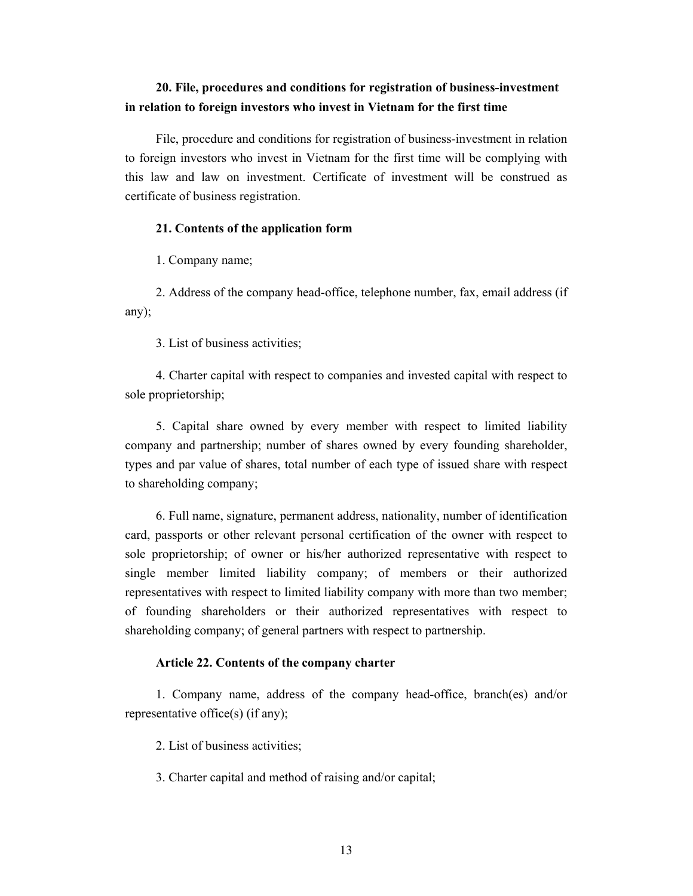# **20. File, procedures and conditions for registration of business-investment in relation to foreign investors who invest in Vietnam for the first time**

File, procedure and conditions for registration of business-investment in relation to foreign investors who invest in Vietnam for the first time will be complying with this law and law on investment. Certificate of investment will be construed as certificate of business registration.

## **21. Contents of the application form**

1. Company name;

2. Address of the company head-office, telephone number, fax, email address (if any);

3. List of business activities;

4. Charter capital with respect to companies and invested capital with respect to sole proprietorship;

5. Capital share owned by every member with respect to limited liability company and partnership; number of shares owned by every founding shareholder, types and par value of shares, total number of each type of issued share with respect to shareholding company;

6. Full name, signature, permanent address, nationality, number of identification card, passports or other relevant personal certification of the owner with respect to sole proprietorship; of owner or his/her authorized representative with respect to single member limited liability company; of members or their authorized representatives with respect to limited liability company with more than two member; of founding shareholders or their authorized representatives with respect to shareholding company; of general partners with respect to partnership.

#### **Article 22. Contents of the company charter**

1. Company name, address of the company head-office, branch(es) and/or representative office(s) (if any);

2. List of business activities;

3. Charter capital and method of raising and/or capital;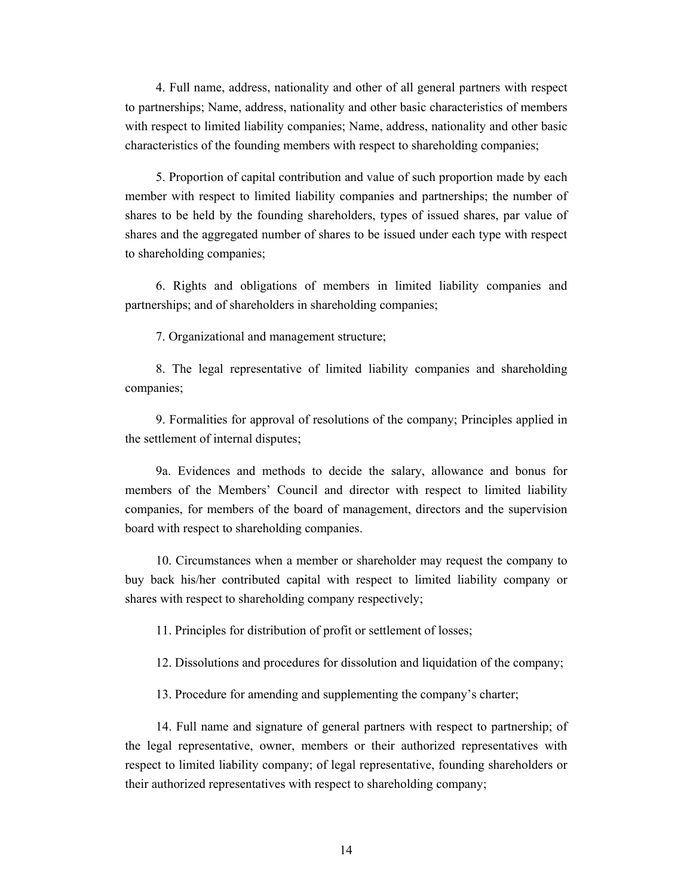4. Full name, address, nationality and other of all general partners with respect to partnerships; Name, address, nationality and other basic characteristics of members with respect to limited liability companies; Name, address, nationality and other basic characteristics of the founding members with respect to shareholding companies;

5. Proportion of capital contribution and value of such proportion made by each member with respect to limited liability companies and partnerships; the number of shares to be held by the founding shareholders, types of issued shares, par value of shares and the aggregated number of shares to be issued under each type with respect to shareholding companies;

6. Rights and obligations of members in limited liability companies and partnerships; and of shareholders in shareholding companies;

7. Organizational and management structure;

8. The legal representative of limited liability companies and shareholding companies;

9. Formalities for approval of resolutions of the company; Principles applied in the settlement of internal disputes;

9a. Evidences and methods to decide the salary, allowance and bonus for members of the Members' Council and director with respect to limited liability companies, for members of the board of management, directors and the supervision board with respect to shareholding companies.

10. Circumstances when a member or shareholder may request the company to buy back his/her contributed capital with respect to limited liability company or shares with respect to shareholding company respectively;

11. Principles for distribution of profit or settlement of losses;

12. Dissolutions and procedures for dissolution and liquidation of the company;

13. Procedure for amending and supplementing the company's charter;

14. Full name and signature of general partners with respect to partnership; of the legal representative, owner, members or their authorized representatives with respect to limited liability company; of legal representative, founding shareholders or their authorized representatives with respect to shareholding company;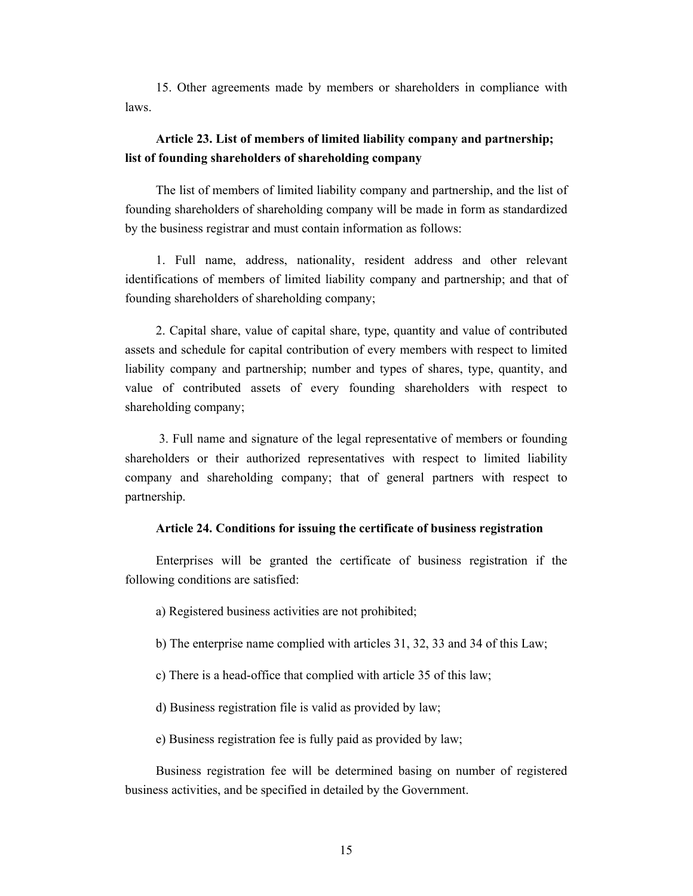15. Other agreements made by members or shareholders in compliance with laws.

# **Article 23. List of members of limited liability company and partnership; list of founding shareholders of shareholding company**

The list of members of limited liability company and partnership, and the list of founding shareholders of shareholding company will be made in form as standardized by the business registrar and must contain information as follows:

1. Full name, address, nationality, resident address and other relevant identifications of members of limited liability company and partnership; and that of founding shareholders of shareholding company;

2. Capital share, value of capital share, type, quantity and value of contributed assets and schedule for capital contribution of every members with respect to limited liability company and partnership; number and types of shares, type, quantity, and value of contributed assets of every founding shareholders with respect to shareholding company;

 3. Full name and signature of the legal representative of members or founding shareholders or their authorized representatives with respect to limited liability company and shareholding company; that of general partners with respect to partnership.

#### **Article 24. Conditions for issuing the certificate of business registration**

Enterprises will be granted the certificate of business registration if the following conditions are satisfied:

a) Registered business activities are not prohibited;

- b) The enterprise name complied with articles 31, 32, 33 and 34 of this Law;
- c) There is a head-office that complied with article 35 of this law;
- d) Business registration file is valid as provided by law;

e) Business registration fee is fully paid as provided by law;

Business registration fee will be determined basing on number of registered business activities, and be specified in detailed by the Government.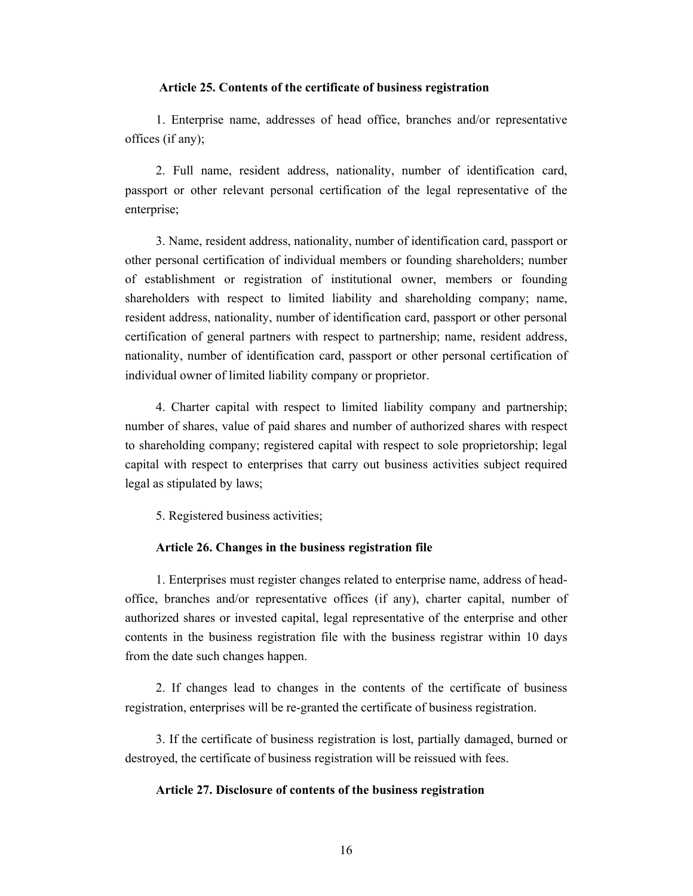#### **Article 25. Contents of the certificate of business registration**

1. Enterprise name, addresses of head office, branches and/or representative offices (if any);

2. Full name, resident address, nationality, number of identification card, passport or other relevant personal certification of the legal representative of the enterprise;

3. Name, resident address, nationality, number of identification card, passport or other personal certification of individual members or founding shareholders; number of establishment or registration of institutional owner, members or founding shareholders with respect to limited liability and shareholding company; name, resident address, nationality, number of identification card, passport or other personal certification of general partners with respect to partnership; name, resident address, nationality, number of identification card, passport or other personal certification of individual owner of limited liability company or proprietor.

4. Charter capital with respect to limited liability company and partnership; number of shares, value of paid shares and number of authorized shares with respect to shareholding company; registered capital with respect to sole proprietorship; legal capital with respect to enterprises that carry out business activities subject required legal as stipulated by laws;

5. Registered business activities;

### **Article 26. Changes in the business registration file**

1. Enterprises must register changes related to enterprise name, address of headoffice, branches and/or representative offices (if any), charter capital, number of authorized shares or invested capital, legal representative of the enterprise and other contents in the business registration file with the business registrar within 10 days from the date such changes happen.

2. If changes lead to changes in the contents of the certificate of business registration, enterprises will be re-granted the certificate of business registration.

3. If the certificate of business registration is lost, partially damaged, burned or destroyed, the certificate of business registration will be reissued with fees.

#### **Article 27. Disclosure of contents of the business registration**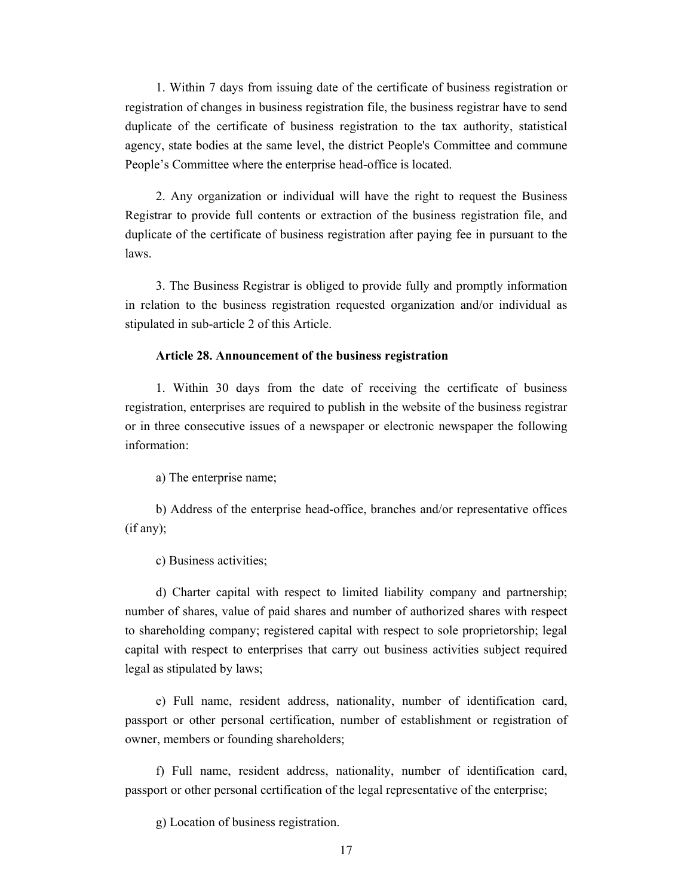1. Within 7 days from issuing date of the certificate of business registration or registration of changes in business registration file, the business registrar have to send duplicate of the certificate of business registration to the tax authority, statistical agency, state bodies at the same level, the district People's Committee and commune People's Committee where the enterprise head-office is located.

2. Any organization or individual will have the right to request the Business Registrar to provide full contents or extraction of the business registration file, and duplicate of the certificate of business registration after paying fee in pursuant to the laws.

3. The Business Registrar is obliged to provide fully and promptly information in relation to the business registration requested organization and/or individual as stipulated in sub-article 2 of this Article.

#### **Article 28. Announcement of the business registration**

1. Within 30 days from the date of receiving the certificate of business registration, enterprises are required to publish in the website of the business registrar or in three consecutive issues of a newspaper or electronic newspaper the following information:

a) The enterprise name;

b) Address of the enterprise head-office, branches and/or representative offices (if any);

c) Business activities;

d) Charter capital with respect to limited liability company and partnership; number of shares, value of paid shares and number of authorized shares with respect to shareholding company; registered capital with respect to sole proprietorship; legal capital with respect to enterprises that carry out business activities subject required legal as stipulated by laws;

e) Full name, resident address, nationality, number of identification card, passport or other personal certification, number of establishment or registration of owner, members or founding shareholders;

f) Full name, resident address, nationality, number of identification card, passport or other personal certification of the legal representative of the enterprise;

g) Location of business registration.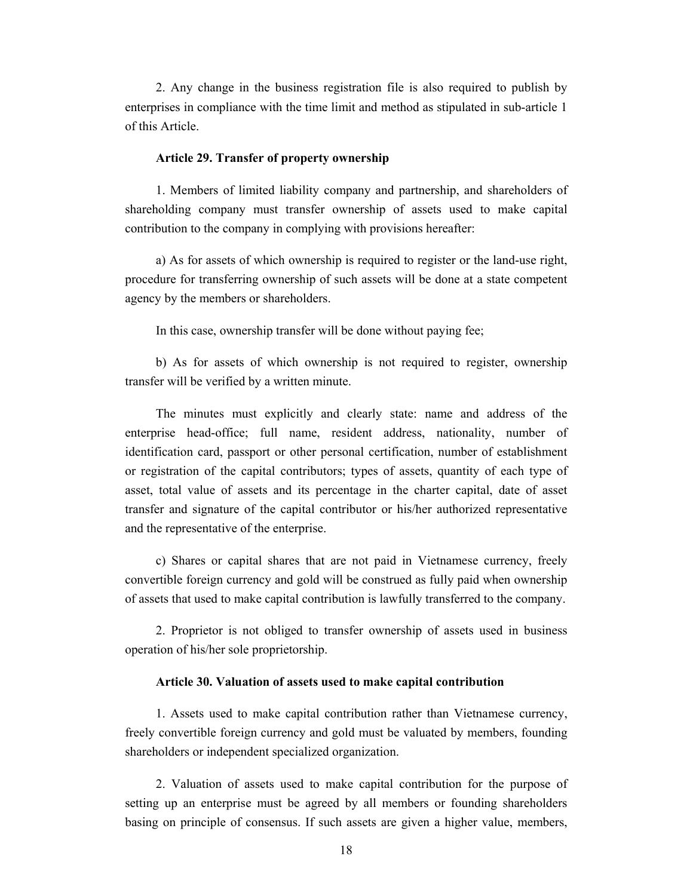2. Any change in the business registration file is also required to publish by enterprises in compliance with the time limit and method as stipulated in sub-article 1 of this Article.

#### **Article 29. Transfer of property ownership**

1. Members of limited liability company and partnership, and shareholders of shareholding company must transfer ownership of assets used to make capital contribution to the company in complying with provisions hereafter:

a) As for assets of which ownership is required to register or the land-use right, procedure for transferring ownership of such assets will be done at a state competent agency by the members or shareholders.

In this case, ownership transfer will be done without paying fee;

b) As for assets of which ownership is not required to register, ownership transfer will be verified by a written minute.

The minutes must explicitly and clearly state: name and address of the enterprise head-office; full name, resident address, nationality, number of identification card, passport or other personal certification, number of establishment or registration of the capital contributors; types of assets, quantity of each type of asset, total value of assets and its percentage in the charter capital, date of asset transfer and signature of the capital contributor or his/her authorized representative and the representative of the enterprise.

c) Shares or capital shares that are not paid in Vietnamese currency, freely convertible foreign currency and gold will be construed as fully paid when ownership of assets that used to make capital contribution is lawfully transferred to the company.

2. Proprietor is not obliged to transfer ownership of assets used in business operation of his/her sole proprietorship.

#### **Article 30. Valuation of assets used to make capital contribution**

1. Assets used to make capital contribution rather than Vietnamese currency, freely convertible foreign currency and gold must be valuated by members, founding shareholders or independent specialized organization.

2. Valuation of assets used to make capital contribution for the purpose of setting up an enterprise must be agreed by all members or founding shareholders basing on principle of consensus. If such assets are given a higher value, members,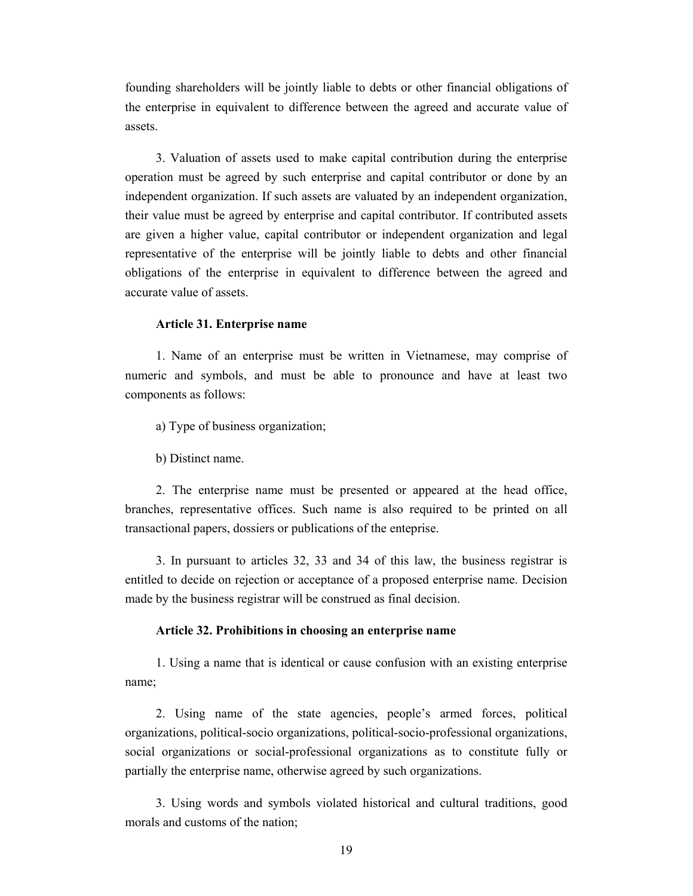founding shareholders will be jointly liable to debts or other financial obligations of the enterprise in equivalent to difference between the agreed and accurate value of assets.

3. Valuation of assets used to make capital contribution during the enterprise operation must be agreed by such enterprise and capital contributor or done by an independent organization. If such assets are valuated by an independent organization, their value must be agreed by enterprise and capital contributor. If contributed assets are given a higher value, capital contributor or independent organization and legal representative of the enterprise will be jointly liable to debts and other financial obligations of the enterprise in equivalent to difference between the agreed and accurate value of assets.

#### **Article 31. Enterprise name**

1. Name of an enterprise must be written in Vietnamese, may comprise of numeric and symbols, and must be able to pronounce and have at least two components as follows:

a) Type of business organization;

b) Distinct name.

2. The enterprise name must be presented or appeared at the head office, branches, representative offices. Such name is also required to be printed on all transactional papers, dossiers or publications of the enteprise.

3. In pursuant to articles 32, 33 and 34 of this law, the business registrar is entitled to decide on rejection or acceptance of a proposed enterprise name. Decision made by the business registrar will be construed as final decision.

#### **Article 32. Prohibitions in choosing an enterprise name**

1. Using a name that is identical or cause confusion with an existing enterprise name;

2. Using name of the state agencies, people's armed forces, political organizations, political-socio organizations, political-socio-professional organizations, social organizations or social-professional organizations as to constitute fully or partially the enterprise name, otherwise agreed by such organizations.

3. Using words and symbols violated historical and cultural traditions, good morals and customs of the nation;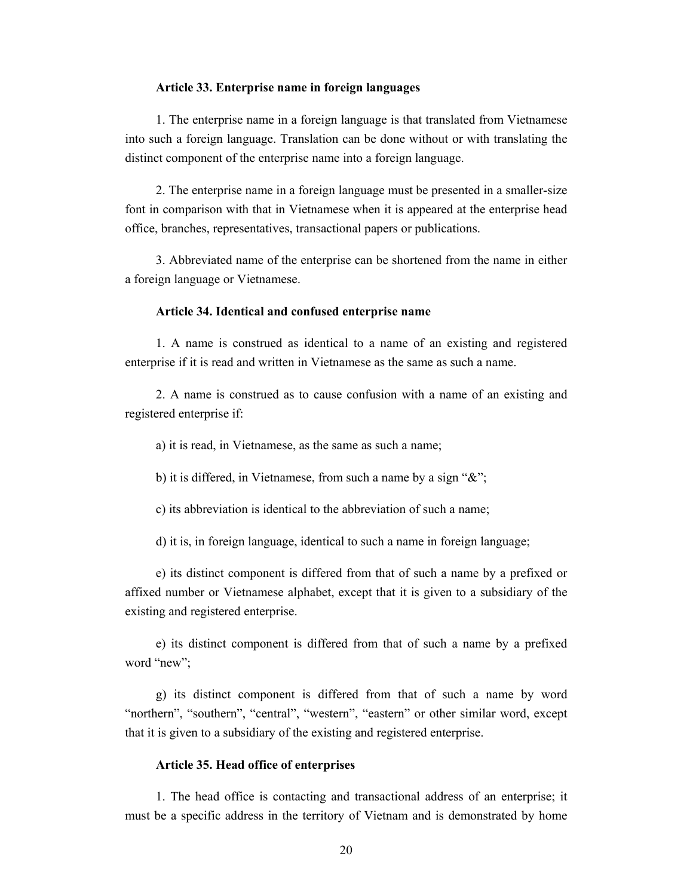#### **Article 33. Enterprise name in foreign languages**

1. The enterprise name in a foreign language is that translated from Vietnamese into such a foreign language. Translation can be done without or with translating the distinct component of the enterprise name into a foreign language.

2. The enterprise name in a foreign language must be presented in a smaller-size font in comparison with that in Vietnamese when it is appeared at the enterprise head office, branches, representatives, transactional papers or publications.

3. Abbreviated name of the enterprise can be shortened from the name in either a foreign language or Vietnamese.

#### **Article 34. Identical and confused enterprise name**

1. A name is construed as identical to a name of an existing and registered enterprise if it is read and written in Vietnamese as the same as such a name.

2. A name is construed as to cause confusion with a name of an existing and registered enterprise if:

a) it is read, in Vietnamese, as the same as such a name;

b) it is differed, in Vietnamese, from such a name by a sign "&";

c) its abbreviation is identical to the abbreviation of such a name;

d) it is, in foreign language, identical to such a name in foreign language;

e) its distinct component is differed from that of such a name by a prefixed or affixed number or Vietnamese alphabet, except that it is given to a subsidiary of the existing and registered enterprise.

e) its distinct component is differed from that of such a name by a prefixed word "new";

g) its distinct component is differed from that of such a name by word "northern", "southern", "central", "western", "eastern" or other similar word, except that it is given to a subsidiary of the existing and registered enterprise.

#### **Article 35. Head office of enterprises**

1. The head office is contacting and transactional address of an enterprise; it must be a specific address in the territory of Vietnam and is demonstrated by home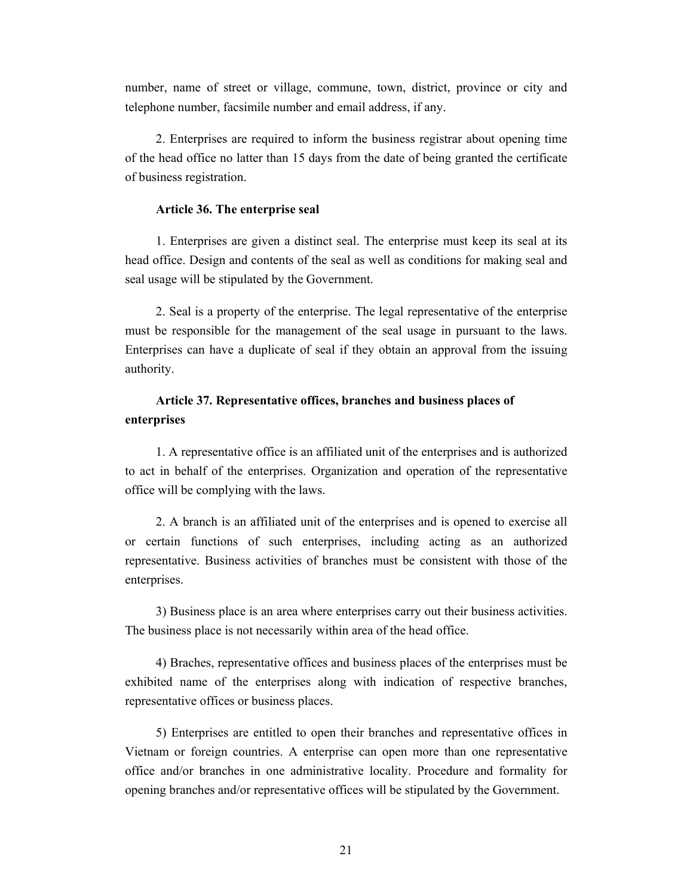number, name of street or village, commune, town, district, province or city and telephone number, facsimile number and email address, if any.

2. Enterprises are required to inform the business registrar about opening time of the head office no latter than 15 days from the date of being granted the certificate of business registration.

## **Article 36. The enterprise seal**

1. Enterprises are given a distinct seal. The enterprise must keep its seal at its head office. Design and contents of the seal as well as conditions for making seal and seal usage will be stipulated by the Government.

2. Seal is a property of the enterprise. The legal representative of the enterprise must be responsible for the management of the seal usage in pursuant to the laws. Enterprises can have a duplicate of seal if they obtain an approval from the issuing authority.

# **Article 37. Representative offices, branches and business places of enterprises**

1. A representative office is an affiliated unit of the enterprises and is authorized to act in behalf of the enterprises. Organization and operation of the representative office will be complying with the laws.

2. A branch is an affiliated unit of the enterprises and is opened to exercise all or certain functions of such enterprises, including acting as an authorized representative. Business activities of branches must be consistent with those of the enterprises.

3) Business place is an area where enterprises carry out their business activities. The business place is not necessarily within area of the head office.

4) Braches, representative offices and business places of the enterprises must be exhibited name of the enterprises along with indication of respective branches, representative offices or business places.

5) Enterprises are entitled to open their branches and representative offices in Vietnam or foreign countries. A enterprise can open more than one representative office and/or branches in one administrative locality. Procedure and formality for opening branches and/or representative offices will be stipulated by the Government.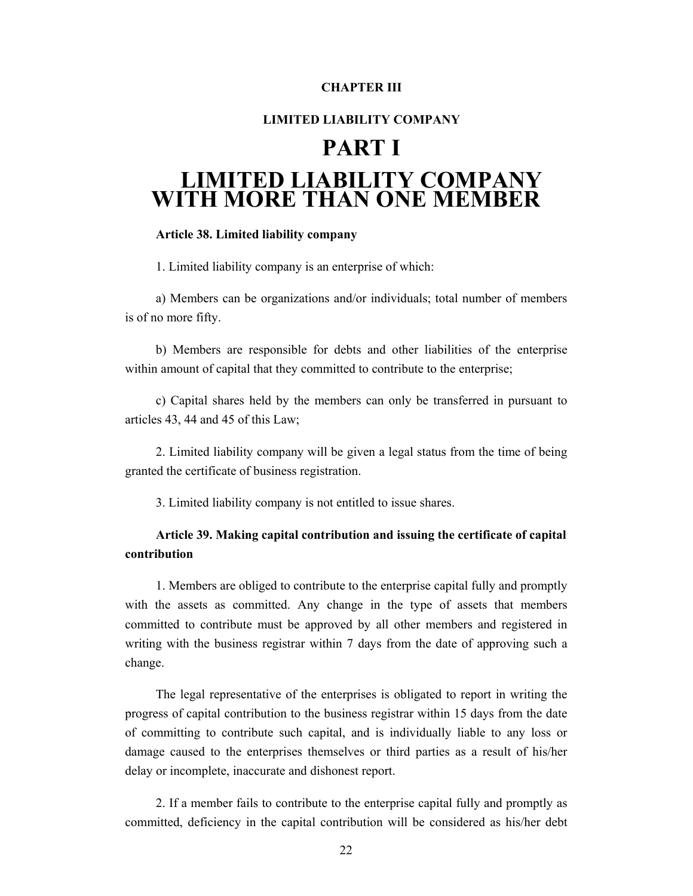# **CHAPTER III**

## **LIMITED LIABILITY COMPANY**

# **PART I LIMITED LIABILITY COMPANY WITH MORE THAN ONE MEMBER**

#### **Article 38. Limited liability company**

1. Limited liability company is an enterprise of which:

a) Members can be organizations and/or individuals; total number of members is of no more fifty.

b) Members are responsible for debts and other liabilities of the enterprise within amount of capital that they committed to contribute to the enterprise;

c) Capital shares held by the members can only be transferred in pursuant to articles 43, 44 and 45 of this Law;

2. Limited liability company will be given a legal status from the time of being granted the certificate of business registration.

3. Limited liability company is not entitled to issue shares.

# **Article 39. Making capital contribution and issuing the certificate of capital contribution**

1. Members are obliged to contribute to the enterprise capital fully and promptly with the assets as committed. Any change in the type of assets that members committed to contribute must be approved by all other members and registered in writing with the business registrar within 7 days from the date of approving such a change.

The legal representative of the enterprises is obligated to report in writing the progress of capital contribution to the business registrar within 15 days from the date of committing to contribute such capital, and is individually liable to any loss or damage caused to the enterprises themselves or third parties as a result of his/her delay or incomplete, inaccurate and dishonest report.

2. If a member fails to contribute to the enterprise capital fully and promptly as committed, deficiency in the capital contribution will be considered as his/her debt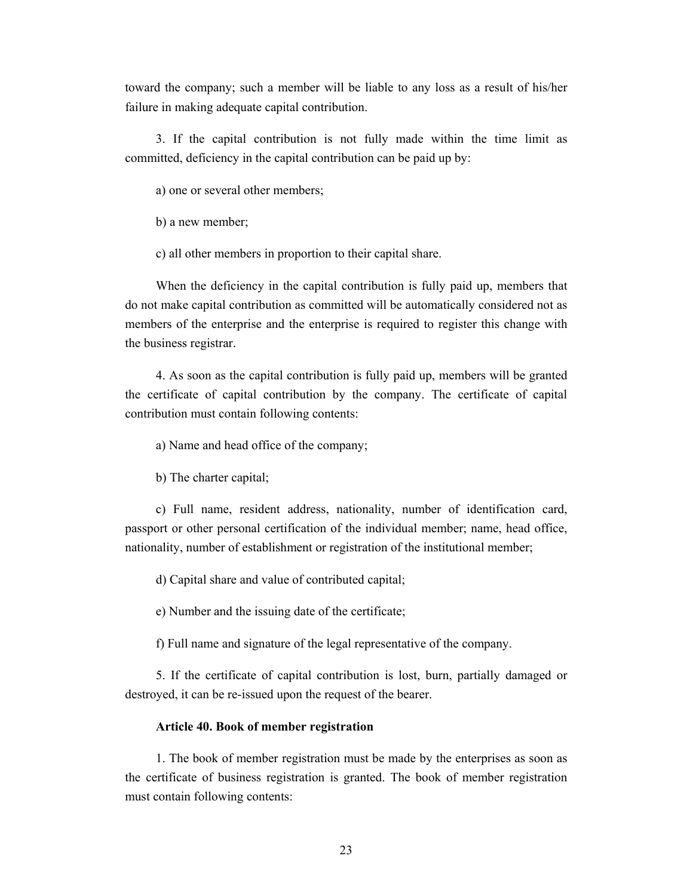toward the company; such a member will be liable to any loss as a result of his/her failure in making adequate capital contribution.

3. If the capital contribution is not fully made within the time limit as committed, deficiency in the capital contribution can be paid up by:

a) one or several other members;

b) a new member;

c) all other members in proportion to their capital share.

When the deficiency in the capital contribution is fully paid up, members that do not make capital contribution as committed will be automatically considered not as members of the enterprise and the enterprise is required to register this change with the business registrar.

4. As soon as the capital contribution is fully paid up, members will be granted the certificate of capital contribution by the company. The certificate of capital contribution must contain following contents:

a) Name and head office of the company;

b) The charter capital;

c) Full name, resident address, nationality, number of identification card, passport or other personal certification of the individual member; name, head office, nationality, number of establishment or registration of the institutional member;

d) Capital share and value of contributed capital;

e) Number and the issuing date of the certificate;

f) Full name and signature of the legal representative of the company.

5. If the certificate of capital contribution is lost, burn, partially damaged or destroyed, it can be re-issued upon the request of the bearer.

### **Article 40. Book of member registration**

1. The book of member registration must be made by the enterprises as soon as the certificate of business registration is granted. The book of member registration must contain following contents: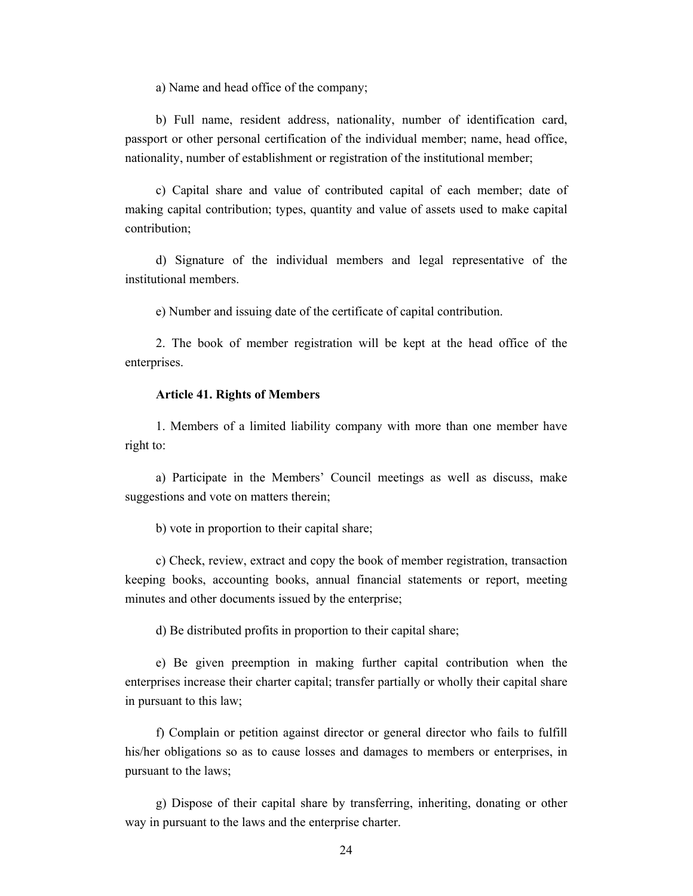a) Name and head office of the company;

b) Full name, resident address, nationality, number of identification card, passport or other personal certification of the individual member; name, head office, nationality, number of establishment or registration of the institutional member;

c) Capital share and value of contributed capital of each member; date of making capital contribution; types, quantity and value of assets used to make capital contribution;

d) Signature of the individual members and legal representative of the institutional members.

e) Number and issuing date of the certificate of capital contribution.

2. The book of member registration will be kept at the head office of the enterprises.

#### **Article 41. Rights of Members**

1. Members of a limited liability company with more than one member have right to:

a) Participate in the Members' Council meetings as well as discuss, make suggestions and vote on matters therein;

b) vote in proportion to their capital share;

c) Check, review, extract and copy the book of member registration, transaction keeping books, accounting books, annual financial statements or report, meeting minutes and other documents issued by the enterprise;

d) Be distributed profits in proportion to their capital share;

e) Be given preemption in making further capital contribution when the enterprises increase their charter capital; transfer partially or wholly their capital share in pursuant to this law;

f) Complain or petition against director or general director who fails to fulfill his/her obligations so as to cause losses and damages to members or enterprises, in pursuant to the laws;

g) Dispose of their capital share by transferring, inheriting, donating or other way in pursuant to the laws and the enterprise charter.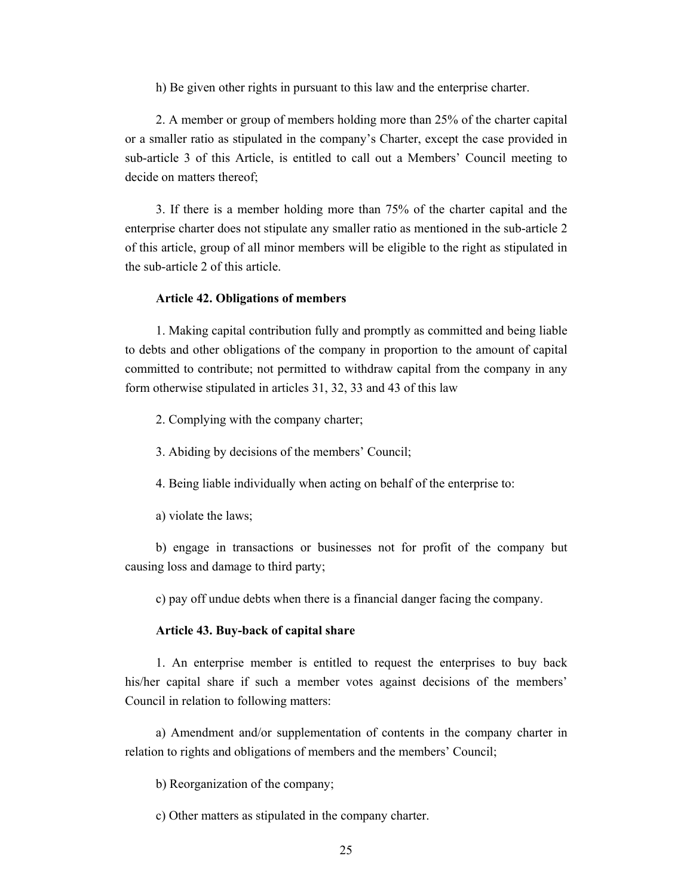h) Be given other rights in pursuant to this law and the enterprise charter.

2. A member or group of members holding more than 25% of the charter capital or a smaller ratio as stipulated in the company's Charter, except the case provided in sub-article 3 of this Article, is entitled to call out a Members' Council meeting to decide on matters thereof;

3. If there is a member holding more than 75% of the charter capital and the enterprise charter does not stipulate any smaller ratio as mentioned in the sub-article 2 of this article, group of all minor members will be eligible to the right as stipulated in the sub-article 2 of this article.

#### **Article 42. Obligations of members**

1. Making capital contribution fully and promptly as committed and being liable to debts and other obligations of the company in proportion to the amount of capital committed to contribute; not permitted to withdraw capital from the company in any form otherwise stipulated in articles 31, 32, 33 and 43 of this law

2. Complying with the company charter;

3. Abiding by decisions of the members' Council;

4. Being liable individually when acting on behalf of the enterprise to:

a) violate the laws;

b) engage in transactions or businesses not for profit of the company but causing loss and damage to third party;

c) pay off undue debts when there is a financial danger facing the company.

#### **Article 43. Buy-back of capital share**

1. An enterprise member is entitled to request the enterprises to buy back his/her capital share if such a member votes against decisions of the members' Council in relation to following matters:

a) Amendment and/or supplementation of contents in the company charter in relation to rights and obligations of members and the members' Council;

b) Reorganization of the company;

c) Other matters as stipulated in the company charter.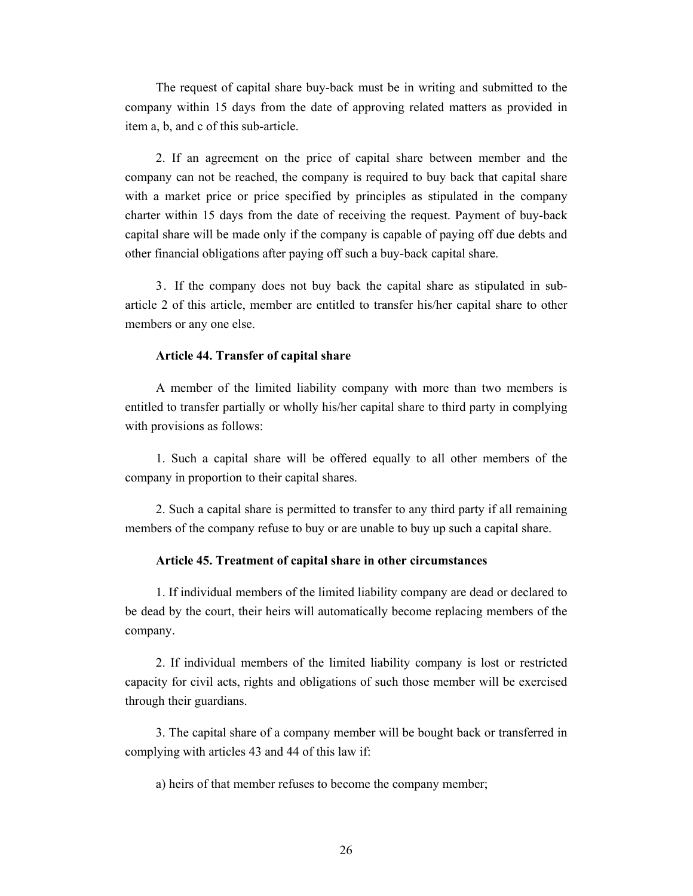The request of capital share buy-back must be in writing and submitted to the company within 15 days from the date of approving related matters as provided in item a, b, and c of this sub-article.

2. If an agreement on the price of capital share between member and the company can not be reached, the company is required to buy back that capital share with a market price or price specified by principles as stipulated in the company charter within 15 days from the date of receiving the request. Payment of buy-back capital share will be made only if the company is capable of paying off due debts and other financial obligations after paying off such a buy-back capital share.

3. If the company does not buy back the capital share as stipulated in subarticle 2 of this article, member are entitled to transfer his/her capital share to other members or any one else.

### **Article 44. Transfer of capital share**

A member of the limited liability company with more than two members is entitled to transfer partially or wholly his/her capital share to third party in complying with provisions as follows:

1. Such a capital share will be offered equally to all other members of the company in proportion to their capital shares.

2. Such a capital share is permitted to transfer to any third party if all remaining members of the company refuse to buy or are unable to buy up such a capital share.

# **Article 45. Treatment of capital share in other circumstances**

1. If individual members of the limited liability company are dead or declared to be dead by the court, their heirs will automatically become replacing members of the company.

2. If individual members of the limited liability company is lost or restricted capacity for civil acts, rights and obligations of such those member will be exercised through their guardians.

3. The capital share of a company member will be bought back or transferred in complying with articles 43 and 44 of this law if:

a) heirs of that member refuses to become the company member;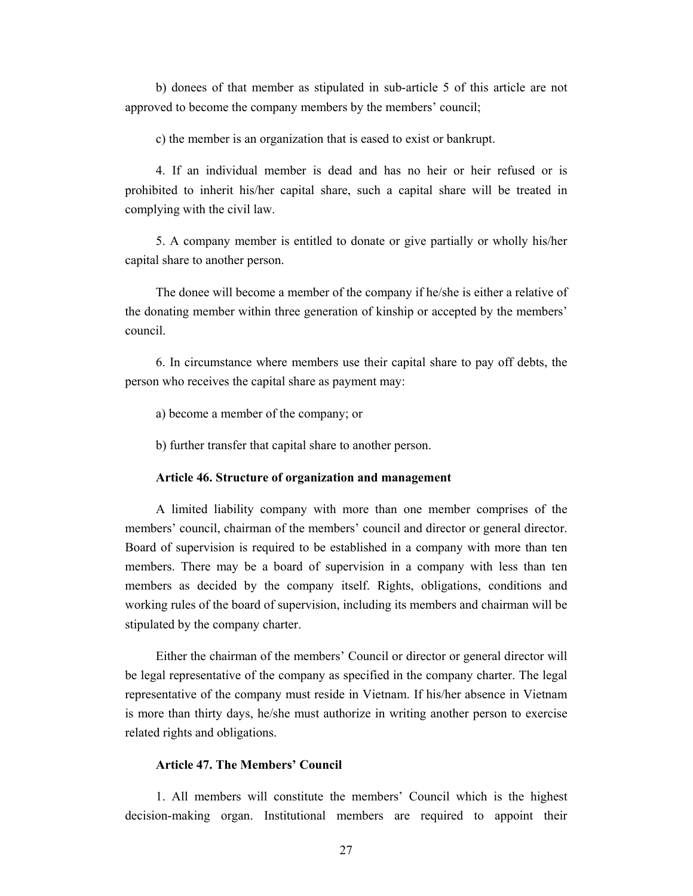b) donees of that member as stipulated in sub-article 5 of this article are not approved to become the company members by the members' council;

c) the member is an organization that is eased to exist or bankrupt.

4. If an individual member is dead and has no heir or heir refused or is prohibited to inherit his/her capital share, such a capital share will be treated in complying with the civil law.

5. A company member is entitled to donate or give partially or wholly his/her capital share to another person.

The donee will become a member of the company if he/she is either a relative of the donating member within three generation of kinship or accepted by the members' council.

6. In circumstance where members use their capital share to pay off debts, the person who receives the capital share as payment may:

a) become a member of the company; or

b) further transfer that capital share to another person.

#### **Article 46. Structure of organization and management**

A limited liability company with more than one member comprises of the members' council, chairman of the members' council and director or general director. Board of supervision is required to be established in a company with more than ten members. There may be a board of supervision in a company with less than ten members as decided by the company itself. Rights, obligations, conditions and working rules of the board of supervision, including its members and chairman will be stipulated by the company charter.

Either the chairman of the members' Council or director or general director will be legal representative of the company as specified in the company charter. The legal representative of the company must reside in Vietnam. If his/her absence in Vietnam is more than thirty days, he/she must authorize in writing another person to exercise related rights and obligations.

# **Article 47. The Members' Council**

1. All members will constitute the members' Council which is the highest decision-making organ. Institutional members are required to appoint their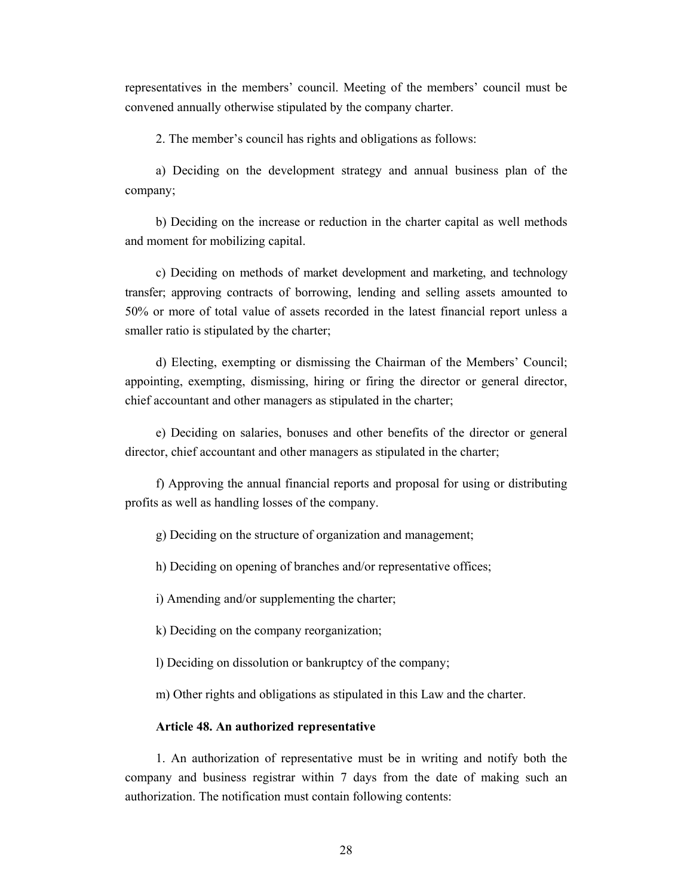representatives in the members' council. Meeting of the members' council must be convened annually otherwise stipulated by the company charter.

2. The member's council has rights and obligations as follows:

a) Deciding on the development strategy and annual business plan of the company;

b) Deciding on the increase or reduction in the charter capital as well methods and moment for mobilizing capital.

c) Deciding on methods of market development and marketing, and technology transfer; approving contracts of borrowing, lending and selling assets amounted to 50% or more of total value of assets recorded in the latest financial report unless a smaller ratio is stipulated by the charter;

d) Electing, exempting or dismissing the Chairman of the Members' Council; appointing, exempting, dismissing, hiring or firing the director or general director, chief accountant and other managers as stipulated in the charter;

e) Deciding on salaries, bonuses and other benefits of the director or general director, chief accountant and other managers as stipulated in the charter;

f) Approving the annual financial reports and proposal for using or distributing profits as well as handling losses of the company.

g) Deciding on the structure of organization and management;

h) Deciding on opening of branches and/or representative offices;

i) Amending and/or supplementing the charter;

k) Deciding on the company reorganization;

l) Deciding on dissolution or bankruptcy of the company;

m) Other rights and obligations as stipulated in this Law and the charter.

## **Article 48. An authorized representative**

1. An authorization of representative must be in writing and notify both the company and business registrar within 7 days from the date of making such an authorization. The notification must contain following contents: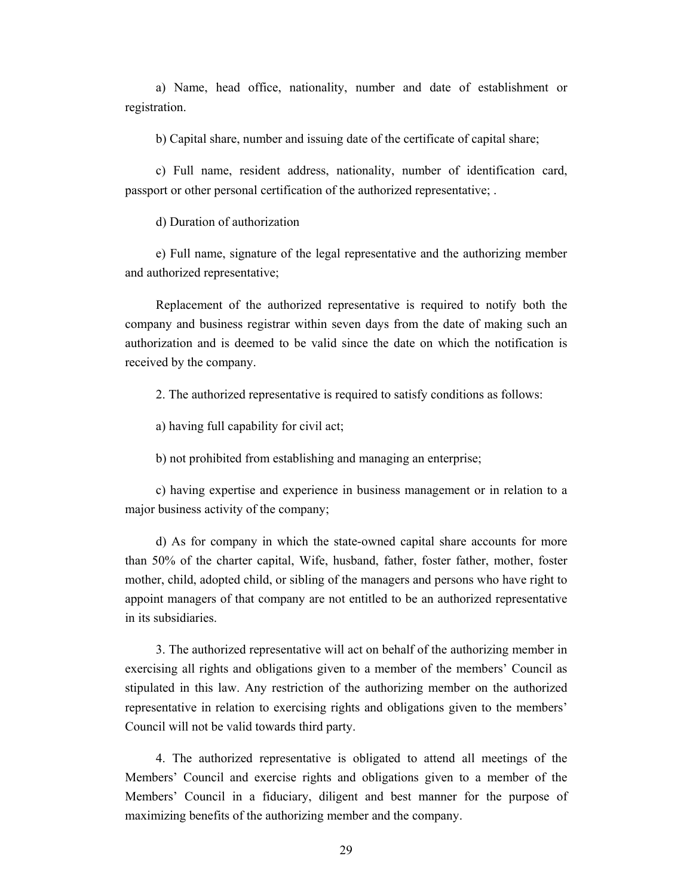a) Name, head office, nationality, number and date of establishment or registration.

b) Capital share, number and issuing date of the certificate of capital share;

c) Full name, resident address, nationality, number of identification card, passport or other personal certification of the authorized representative; .

d) Duration of authorization

e) Full name, signature of the legal representative and the authorizing member and authorized representative;

Replacement of the authorized representative is required to notify both the company and business registrar within seven days from the date of making such an authorization and is deemed to be valid since the date on which the notification is received by the company.

2. The authorized representative is required to satisfy conditions as follows:

a) having full capability for civil act;

b) not prohibited from establishing and managing an enterprise;

c) having expertise and experience in business management or in relation to a major business activity of the company;

d) As for company in which the state-owned capital share accounts for more than 50% of the charter capital, Wife, husband, father, foster father, mother, foster mother, child, adopted child, or sibling of the managers and persons who have right to appoint managers of that company are not entitled to be an authorized representative in its subsidiaries.

3. The authorized representative will act on behalf of the authorizing member in exercising all rights and obligations given to a member of the members' Council as stipulated in this law. Any restriction of the authorizing member on the authorized representative in relation to exercising rights and obligations given to the members' Council will not be valid towards third party.

4. The authorized representative is obligated to attend all meetings of the Members' Council and exercise rights and obligations given to a member of the Members' Council in a fiduciary, diligent and best manner for the purpose of maximizing benefits of the authorizing member and the company.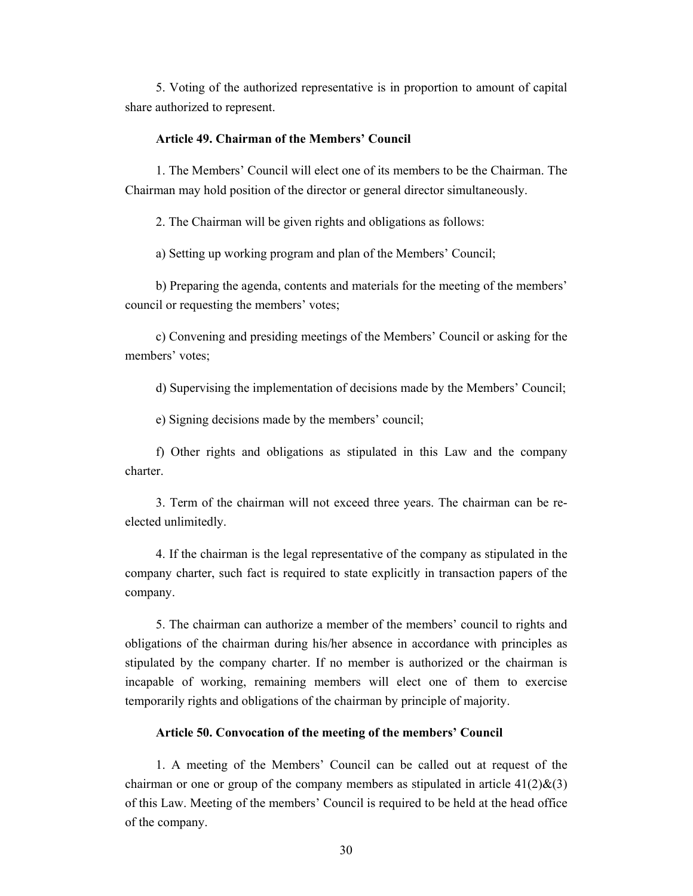5. Voting of the authorized representative is in proportion to amount of capital share authorized to represent.

## **Article 49. Chairman of the Members' Council**

1. The Members' Council will elect one of its members to be the Chairman. The Chairman may hold position of the director or general director simultaneously.

2. The Chairman will be given rights and obligations as follows:

a) Setting up working program and plan of the Members' Council;

b) Preparing the agenda, contents and materials for the meeting of the members' council or requesting the members' votes;

c) Convening and presiding meetings of the Members' Council or asking for the members' votes;

d) Supervising the implementation of decisions made by the Members' Council;

e) Signing decisions made by the members' council;

f) Other rights and obligations as stipulated in this Law and the company charter.

3. Term of the chairman will not exceed three years. The chairman can be reelected unlimitedly.

4. If the chairman is the legal representative of the company as stipulated in the company charter, such fact is required to state explicitly in transaction papers of the company.

5. The chairman can authorize a member of the members' council to rights and obligations of the chairman during his/her absence in accordance with principles as stipulated by the company charter. If no member is authorized or the chairman is incapable of working, remaining members will elect one of them to exercise temporarily rights and obligations of the chairman by principle of majority.

## **Article 50. Convocation of the meeting of the members' Council**

1. A meeting of the Members' Council can be called out at request of the chairman or one or group of the company members as stipulated in article  $41(2)$ &(3) of this Law. Meeting of the members' Council is required to be held at the head office of the company.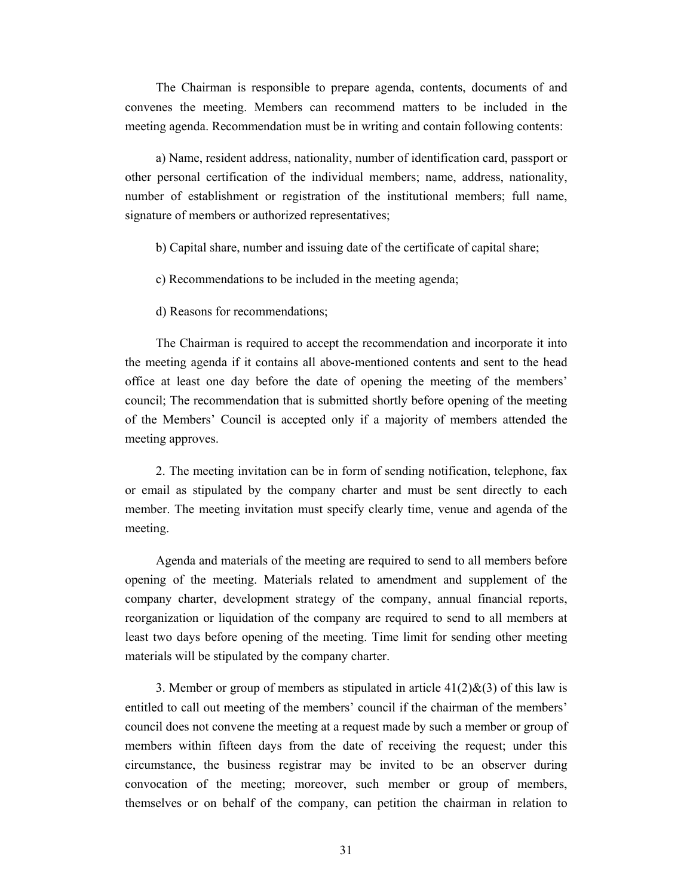The Chairman is responsible to prepare agenda, contents, documents of and convenes the meeting. Members can recommend matters to be included in the meeting agenda. Recommendation must be in writing and contain following contents:

a) Name, resident address, nationality, number of identification card, passport or other personal certification of the individual members; name, address, nationality, number of establishment or registration of the institutional members; full name, signature of members or authorized representatives;

- b) Capital share, number and issuing date of the certificate of capital share;
- c) Recommendations to be included in the meeting agenda;
- d) Reasons for recommendations;

The Chairman is required to accept the recommendation and incorporate it into the meeting agenda if it contains all above-mentioned contents and sent to the head office at least one day before the date of opening the meeting of the members' council; The recommendation that is submitted shortly before opening of the meeting of the Members' Council is accepted only if a majority of members attended the meeting approves.

2. The meeting invitation can be in form of sending notification, telephone, fax or email as stipulated by the company charter and must be sent directly to each member. The meeting invitation must specify clearly time, venue and agenda of the meeting.

Agenda and materials of the meeting are required to send to all members before opening of the meeting. Materials related to amendment and supplement of the company charter, development strategy of the company, annual financial reports, reorganization or liquidation of the company are required to send to all members at least two days before opening of the meeting. Time limit for sending other meeting materials will be stipulated by the company charter.

3. Member or group of members as stipulated in article  $41(2)\&(3)$  of this law is entitled to call out meeting of the members' council if the chairman of the members' council does not convene the meeting at a request made by such a member or group of members within fifteen days from the date of receiving the request; under this circumstance, the business registrar may be invited to be an observer during convocation of the meeting; moreover, such member or group of members, themselves or on behalf of the company, can petition the chairman in relation to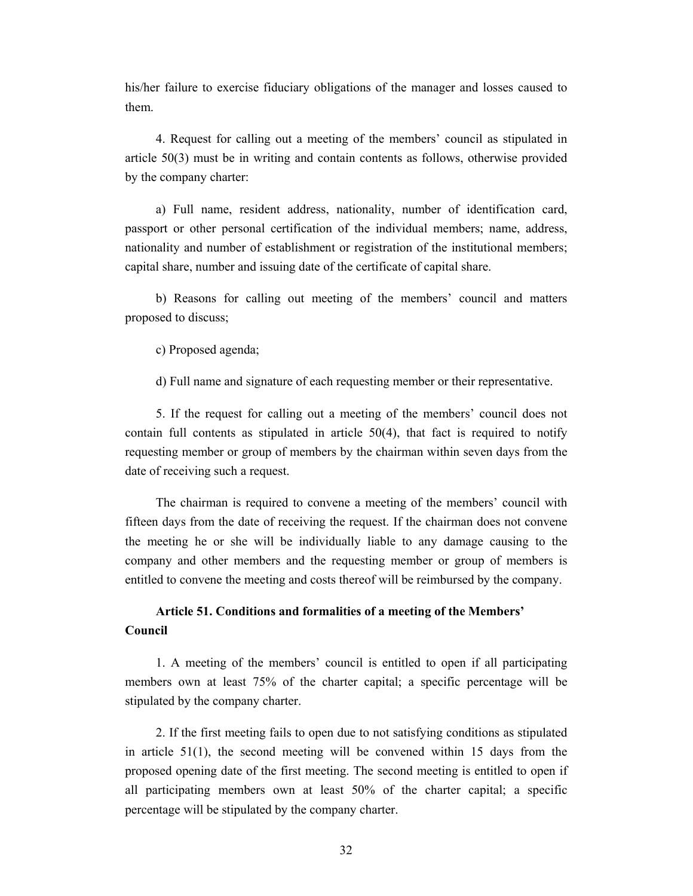his/her failure to exercise fiduciary obligations of the manager and losses caused to them.

4. Request for calling out a meeting of the members' council as stipulated in article 50(3) must be in writing and contain contents as follows, otherwise provided by the company charter:

a) Full name, resident address, nationality, number of identification card, passport or other personal certification of the individual members; name, address, nationality and number of establishment or registration of the institutional members; capital share, number and issuing date of the certificate of capital share.

b) Reasons for calling out meeting of the members' council and matters proposed to discuss;

c) Proposed agenda;

d) Full name and signature of each requesting member or their representative.

5. If the request for calling out a meeting of the members' council does not contain full contents as stipulated in article 50(4), that fact is required to notify requesting member or group of members by the chairman within seven days from the date of receiving such a request.

The chairman is required to convene a meeting of the members' council with fifteen days from the date of receiving the request. If the chairman does not convene the meeting he or she will be individually liable to any damage causing to the company and other members and the requesting member or group of members is entitled to convene the meeting and costs thereof will be reimbursed by the company.

# **Article 51. Conditions and formalities of a meeting of the Members' Council**

1. A meeting of the members' council is entitled to open if all participating members own at least 75% of the charter capital; a specific percentage will be stipulated by the company charter.

2. If the first meeting fails to open due to not satisfying conditions as stipulated in article 51(1), the second meeting will be convened within 15 days from the proposed opening date of the first meeting. The second meeting is entitled to open if all participating members own at least 50% of the charter capital; a specific percentage will be stipulated by the company charter.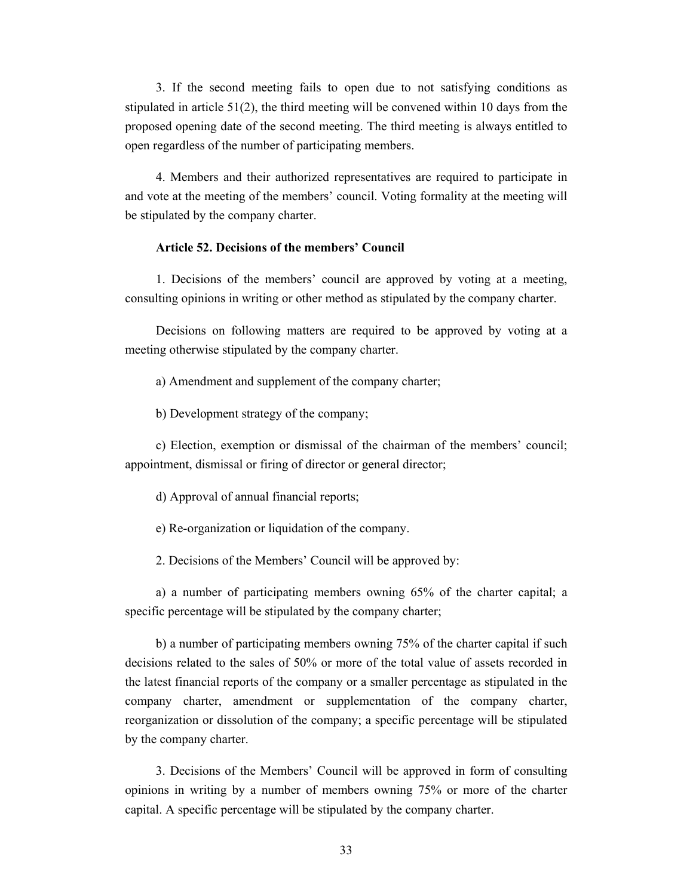3. If the second meeting fails to open due to not satisfying conditions as stipulated in article  $51(2)$ , the third meeting will be convened within 10 days from the proposed opening date of the second meeting. The third meeting is always entitled to open regardless of the number of participating members.

4. Members and their authorized representatives are required to participate in and vote at the meeting of the members' council. Voting formality at the meeting will be stipulated by the company charter.

#### **Article 52. Decisions of the members' Council**

1. Decisions of the members' council are approved by voting at a meeting, consulting opinions in writing or other method as stipulated by the company charter.

Decisions on following matters are required to be approved by voting at a meeting otherwise stipulated by the company charter.

a) Amendment and supplement of the company charter;

b) Development strategy of the company;

c) Election, exemption or dismissal of the chairman of the members' council; appointment, dismissal or firing of director or general director;

d) Approval of annual financial reports;

e) Re-organization or liquidation of the company.

2. Decisions of the Members' Council will be approved by:

a) a number of participating members owning 65% of the charter capital; a specific percentage will be stipulated by the company charter;

b) a number of participating members owning 75% of the charter capital if such decisions related to the sales of 50% or more of the total value of assets recorded in the latest financial reports of the company or a smaller percentage as stipulated in the company charter, amendment or supplementation of the company charter, reorganization or dissolution of the company; a specific percentage will be stipulated by the company charter.

3. Decisions of the Members' Council will be approved in form of consulting opinions in writing by a number of members owning 75% or more of the charter capital. A specific percentage will be stipulated by the company charter.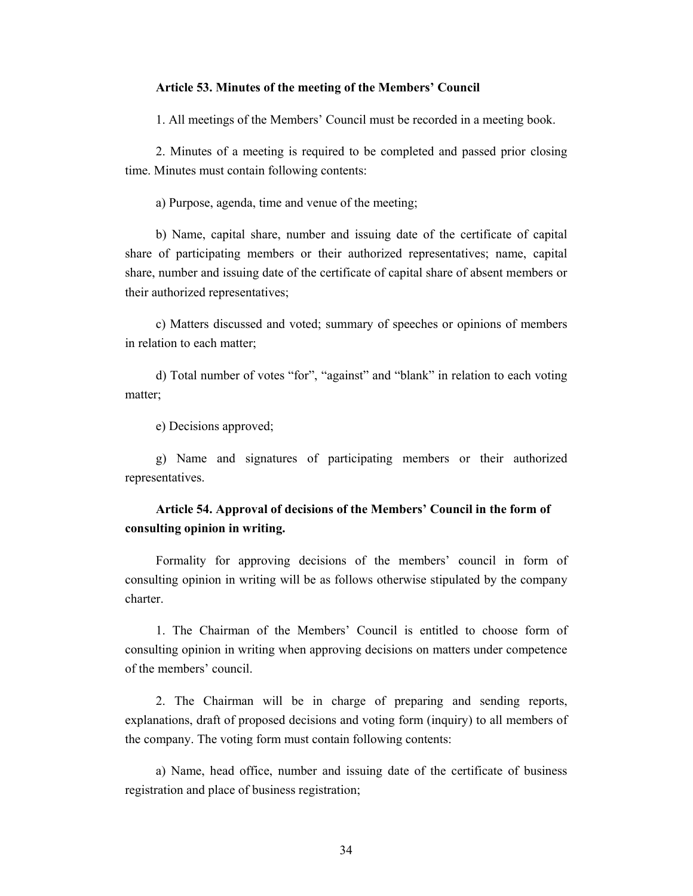#### **Article 53. Minutes of the meeting of the Members' Council**

1. All meetings of the Members' Council must be recorded in a meeting book.

2. Minutes of a meeting is required to be completed and passed prior closing time. Minutes must contain following contents:

a) Purpose, agenda, time and venue of the meeting;

b) Name, capital share, number and issuing date of the certificate of capital share of participating members or their authorized representatives; name, capital share, number and issuing date of the certificate of capital share of absent members or their authorized representatives;

c) Matters discussed and voted; summary of speeches or opinions of members in relation to each matter;

d) Total number of votes "for", "against" and "blank" in relation to each voting matter;

e) Decisions approved;

g) Name and signatures of participating members or their authorized representatives.

# **Article 54. Approval of decisions of the Members' Council in the form of consulting opinion in writing.**

Formality for approving decisions of the members' council in form of consulting opinion in writing will be as follows otherwise stipulated by the company charter.

1. The Chairman of the Members' Council is entitled to choose form of consulting opinion in writing when approving decisions on matters under competence of the members' council.

2. The Chairman will be in charge of preparing and sending reports, explanations, draft of proposed decisions and voting form (inquiry) to all members of the company. The voting form must contain following contents:

a) Name, head office, number and issuing date of the certificate of business registration and place of business registration;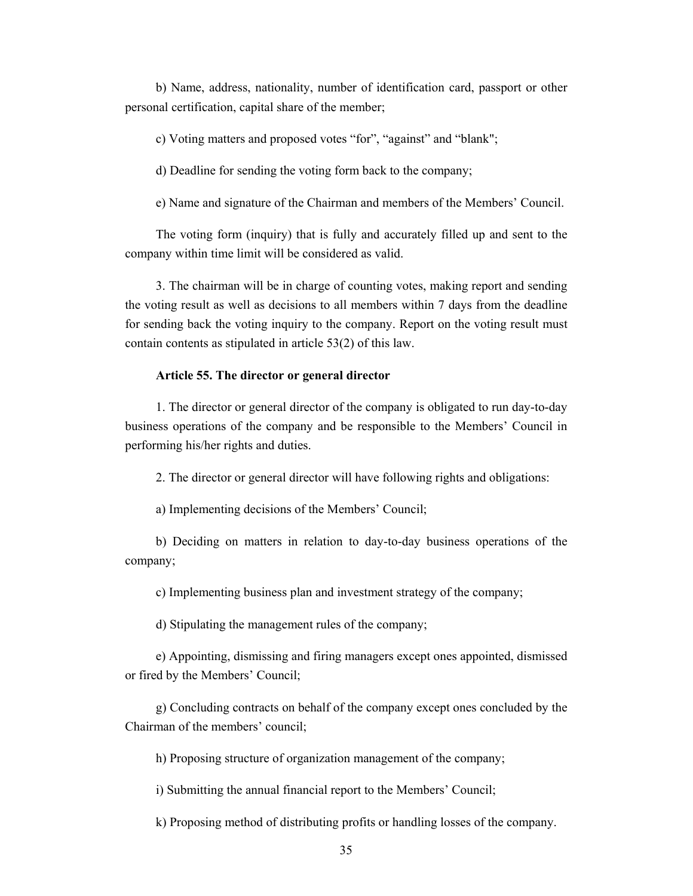b) Name, address, nationality, number of identification card, passport or other personal certification, capital share of the member;

c) Voting matters and proposed votes "for", "against" and "blank";

d) Deadline for sending the voting form back to the company;

e) Name and signature of the Chairman and members of the Members' Council.

The voting form (inquiry) that is fully and accurately filled up and sent to the company within time limit will be considered as valid.

3. The chairman will be in charge of counting votes, making report and sending the voting result as well as decisions to all members within 7 days from the deadline for sending back the voting inquiry to the company. Report on the voting result must contain contents as stipulated in article 53(2) of this law.

### **Article 55. The director or general director**

1. The director or general director of the company is obligated to run day-to-day business operations of the company and be responsible to the Members' Council in performing his/her rights and duties.

2. The director or general director will have following rights and obligations:

a) Implementing decisions of the Members' Council;

b) Deciding on matters in relation to day-to-day business operations of the company;

c) Implementing business plan and investment strategy of the company;

d) Stipulating the management rules of the company;

e) Appointing, dismissing and firing managers except ones appointed, dismissed or fired by the Members' Council;

g) Concluding contracts on behalf of the company except ones concluded by the Chairman of the members' council;

h) Proposing structure of organization management of the company;

i) Submitting the annual financial report to the Members' Council;

k) Proposing method of distributing profits or handling losses of the company.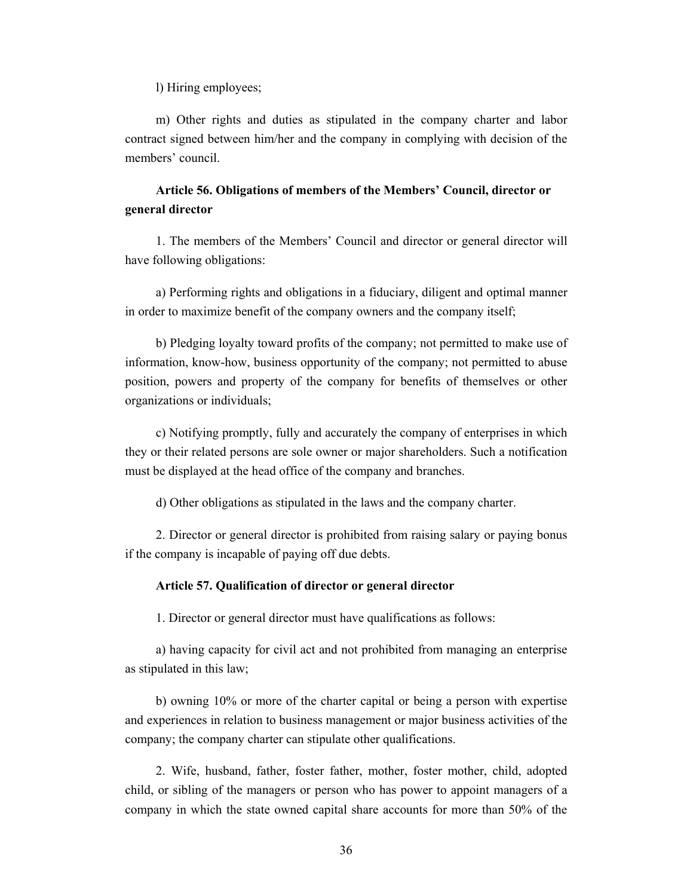l) Hiring employees;

m) Other rights and duties as stipulated in the company charter and labor contract signed between him/her and the company in complying with decision of the members' council.

# **Article 56. Obligations of members of the Members' Council, director or general director**

1. The members of the Members' Council and director or general director will have following obligations:

a) Performing rights and obligations in a fiduciary, diligent and optimal manner in order to maximize benefit of the company owners and the company itself;

b) Pledging loyalty toward profits of the company; not permitted to make use of information, know-how, business opportunity of the company; not permitted to abuse position, powers and property of the company for benefits of themselves or other organizations or individuals;

c) Notifying promptly, fully and accurately the company of enterprises in which they or their related persons are sole owner or major shareholders. Such a notification must be displayed at the head office of the company and branches.

d) Other obligations as stipulated in the laws and the company charter.

2. Director or general director is prohibited from raising salary or paying bonus if the company is incapable of paying off due debts.

### **Article 57. Qualification of director or general director**

1. Director or general director must have qualifications as follows:

a) having capacity for civil act and not prohibited from managing an enterprise as stipulated in this law;

b) owning 10% or more of the charter capital or being a person with expertise and experiences in relation to business management or major business activities of the company; the company charter can stipulate other qualifications.

2. Wife, husband, father, foster father, mother, foster mother, child, adopted child, or sibling of the managers or person who has power to appoint managers of a company in which the state owned capital share accounts for more than 50% of the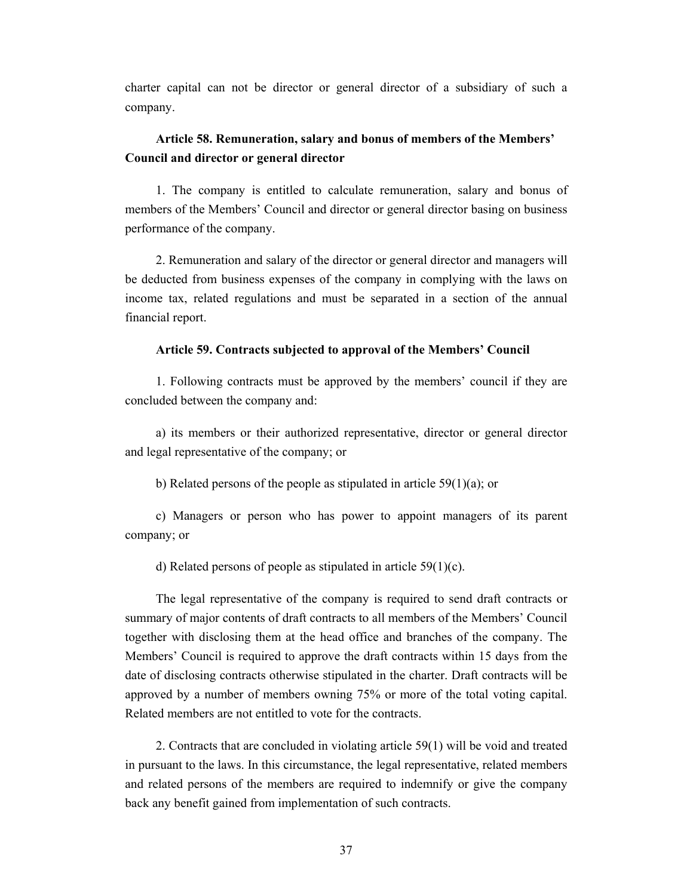charter capital can not be director or general director of a subsidiary of such a company.

## **Article 58. Remuneration, salary and bonus of members of the Members' Council and director or general director**

1. The company is entitled to calculate remuneration, salary and bonus of members of the Members' Council and director or general director basing on business performance of the company.

2. Remuneration and salary of the director or general director and managers will be deducted from business expenses of the company in complying with the laws on income tax, related regulations and must be separated in a section of the annual financial report.

## **Article 59. Contracts subjected to approval of the Members' Council**

1. Following contracts must be approved by the members' council if they are concluded between the company and:

a) its members or their authorized representative, director or general director and legal representative of the company; or

b) Related persons of the people as stipulated in article  $59(1)(a)$ ; or

c) Managers or person who has power to appoint managers of its parent company; or

d) Related persons of people as stipulated in article 59(1)(c).

The legal representative of the company is required to send draft contracts or summary of major contents of draft contracts to all members of the Members' Council together with disclosing them at the head office and branches of the company. The Members' Council is required to approve the draft contracts within 15 days from the date of disclosing contracts otherwise stipulated in the charter. Draft contracts will be approved by a number of members owning 75% or more of the total voting capital. Related members are not entitled to vote for the contracts.

2. Contracts that are concluded in violating article 59(1) will be void and treated in pursuant to the laws. In this circumstance, the legal representative, related members and related persons of the members are required to indemnify or give the company back any benefit gained from implementation of such contracts.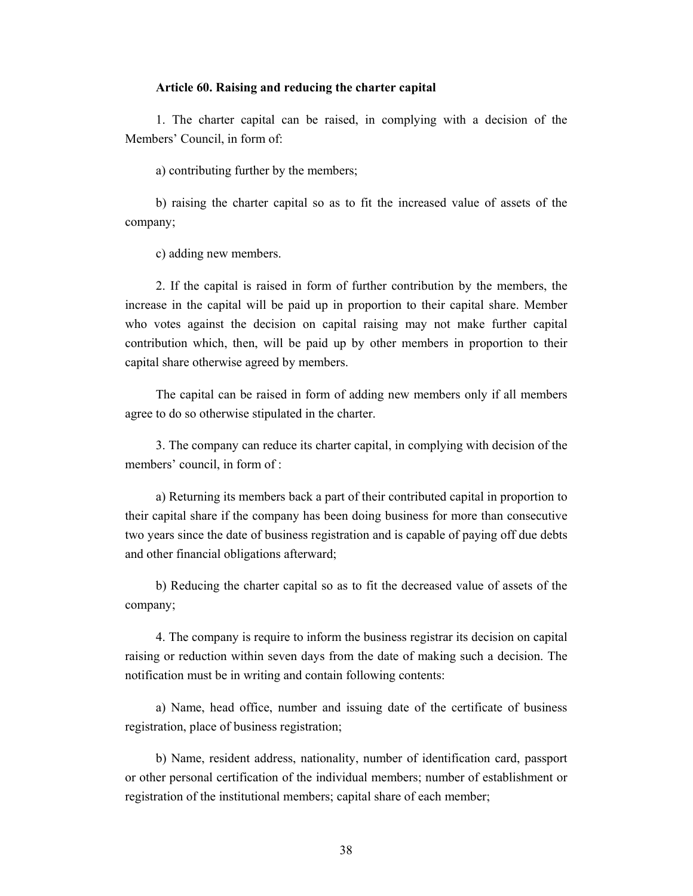## **Article 60. Raising and reducing the charter capital**

1. The charter capital can be raised, in complying with a decision of the Members' Council, in form of:

a) contributing further by the members;

b) raising the charter capital so as to fit the increased value of assets of the company;

c) adding new members.

2. If the capital is raised in form of further contribution by the members, the increase in the capital will be paid up in proportion to their capital share. Member who votes against the decision on capital raising may not make further capital contribution which, then, will be paid up by other members in proportion to their capital share otherwise agreed by members.

The capital can be raised in form of adding new members only if all members agree to do so otherwise stipulated in the charter.

3. The company can reduce its charter capital, in complying with decision of the members' council, in form of :

a) Returning its members back a part of their contributed capital in proportion to their capital share if the company has been doing business for more than consecutive two years since the date of business registration and is capable of paying off due debts and other financial obligations afterward;

b) Reducing the charter capital so as to fit the decreased value of assets of the company;

4. The company is require to inform the business registrar its decision on capital raising or reduction within seven days from the date of making such a decision. The notification must be in writing and contain following contents:

a) Name, head office, number and issuing date of the certificate of business registration, place of business registration;

b) Name, resident address, nationality, number of identification card, passport or other personal certification of the individual members; number of establishment or registration of the institutional members; capital share of each member;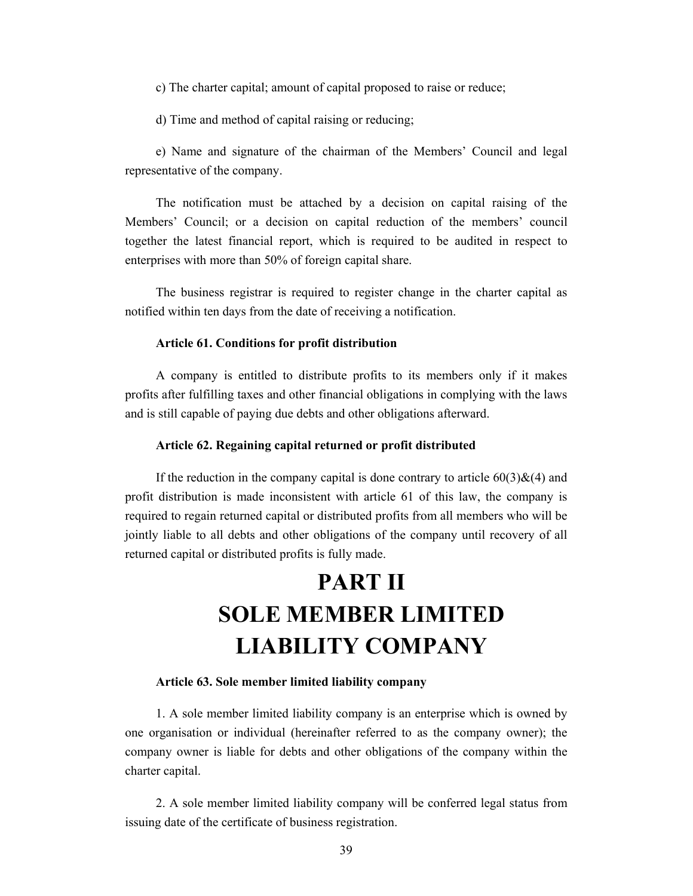c) The charter capital; amount of capital proposed to raise or reduce;

d) Time and method of capital raising or reducing;

e) Name and signature of the chairman of the Members' Council and legal representative of the company.

The notification must be attached by a decision on capital raising of the Members' Council; or a decision on capital reduction of the members' council together the latest financial report, which is required to be audited in respect to enterprises with more than 50% of foreign capital share.

The business registrar is required to register change in the charter capital as notified within ten days from the date of receiving a notification.

## **Article 61. Conditions for profit distribution**

A company is entitled to distribute profits to its members only if it makes profits after fulfilling taxes and other financial obligations in complying with the laws and is still capable of paying due debts and other obligations afterward.

### **Article 62. Regaining capital returned or profit distributed**

If the reduction in the company capital is done contrary to article  $60(3) \& (4)$  and profit distribution is made inconsistent with article 61 of this law, the company is required to regain returned capital or distributed profits from all members who will be jointly liable to all debts and other obligations of the company until recovery of all returned capital or distributed profits is fully made.

# **PART II SOLE MEMBER LIMITED LIABILITY COMPANY**

## **Article 63. Sole member limited liability company**

1. A sole member limited liability company is an enterprise which is owned by one organisation or individual (hereinafter referred to as the company owner); the company owner is liable for debts and other obligations of the company within the charter capital.

2. A sole member limited liability company will be conferred legal status from issuing date of the certificate of business registration.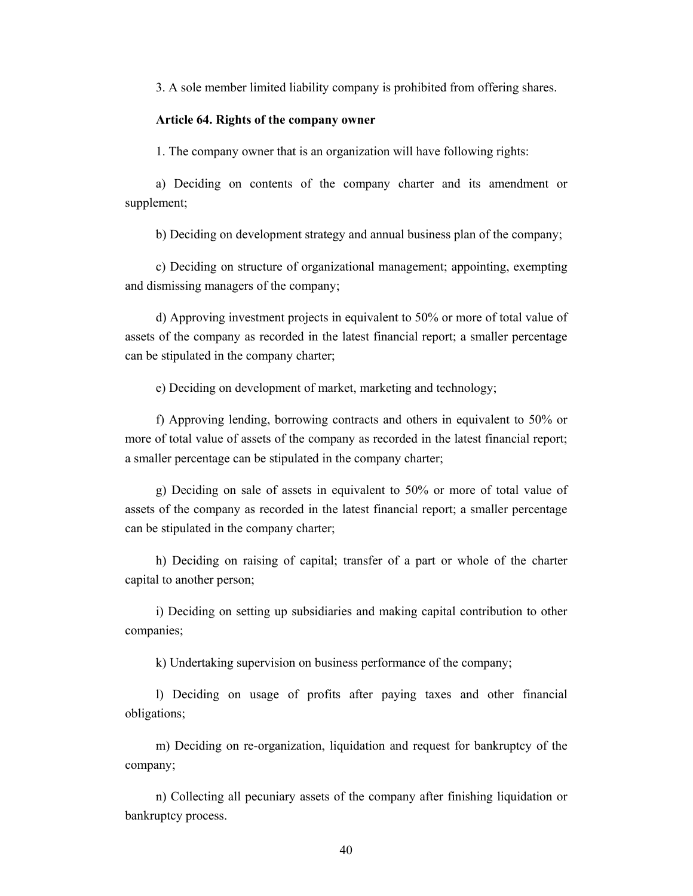3. A sole member limited liability company is prohibited from offering shares.

#### **Article 64. Rights of the company owner**

1. The company owner that is an organization will have following rights:

a) Deciding on contents of the company charter and its amendment or supplement;

b) Deciding on development strategy and annual business plan of the company;

c) Deciding on structure of organizational management; appointing, exempting and dismissing managers of the company;

d) Approving investment projects in equivalent to 50% or more of total value of assets of the company as recorded in the latest financial report; a smaller percentage can be stipulated in the company charter;

e) Deciding on development of market, marketing and technology;

f) Approving lending, borrowing contracts and others in equivalent to 50% or more of total value of assets of the company as recorded in the latest financial report; a smaller percentage can be stipulated in the company charter;

g) Deciding on sale of assets in equivalent to 50% or more of total value of assets of the company as recorded in the latest financial report; a smaller percentage can be stipulated in the company charter;

h) Deciding on raising of capital; transfer of a part or whole of the charter capital to another person;

i) Deciding on setting up subsidiaries and making capital contribution to other companies;

k) Undertaking supervision on business performance of the company;

l) Deciding on usage of profits after paying taxes and other financial obligations;

m) Deciding on re-organization, liquidation and request for bankruptcy of the company;

n) Collecting all pecuniary assets of the company after finishing liquidation or bankruptcy process.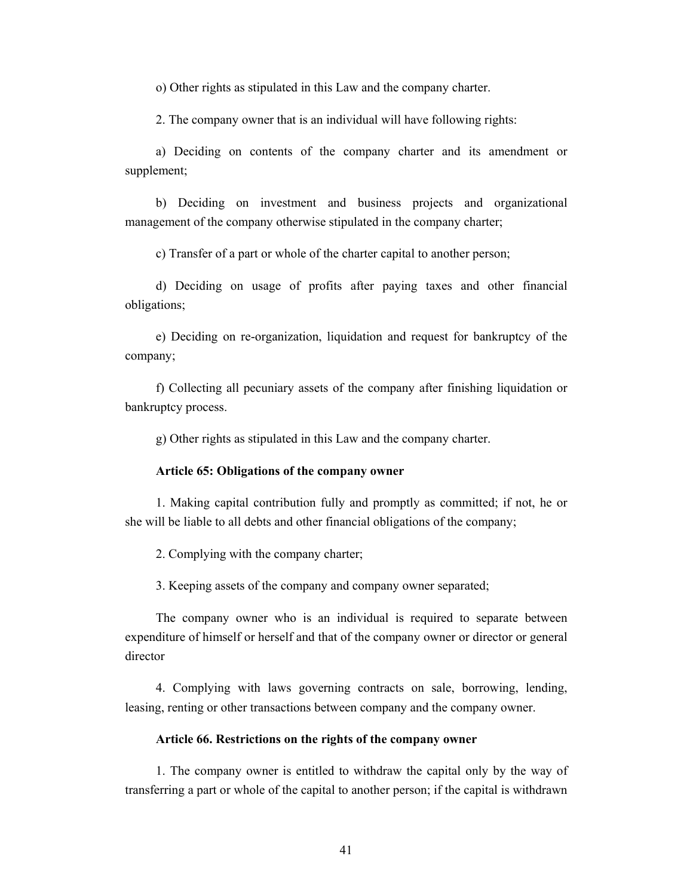o) Other rights as stipulated in this Law and the company charter.

2. The company owner that is an individual will have following rights:

a) Deciding on contents of the company charter and its amendment or supplement;

b) Deciding on investment and business projects and organizational management of the company otherwise stipulated in the company charter;

c) Transfer of a part or whole of the charter capital to another person;

d) Deciding on usage of profits after paying taxes and other financial obligations;

e) Deciding on re-organization, liquidation and request for bankruptcy of the company;

f) Collecting all pecuniary assets of the company after finishing liquidation or bankruptcy process.

g) Other rights as stipulated in this Law and the company charter.

#### **Article 65: Obligations of the company owner**

1. Making capital contribution fully and promptly as committed; if not, he or she will be liable to all debts and other financial obligations of the company;

2. Complying with the company charter;

3. Keeping assets of the company and company owner separated;

The company owner who is an individual is required to separate between expenditure of himself or herself and that of the company owner or director or general director

4. Complying with laws governing contracts on sale, borrowing, lending, leasing, renting or other transactions between company and the company owner.

### **Article 66. Restrictions on the rights of the company owner**

1. The company owner is entitled to withdraw the capital only by the way of transferring a part or whole of the capital to another person; if the capital is withdrawn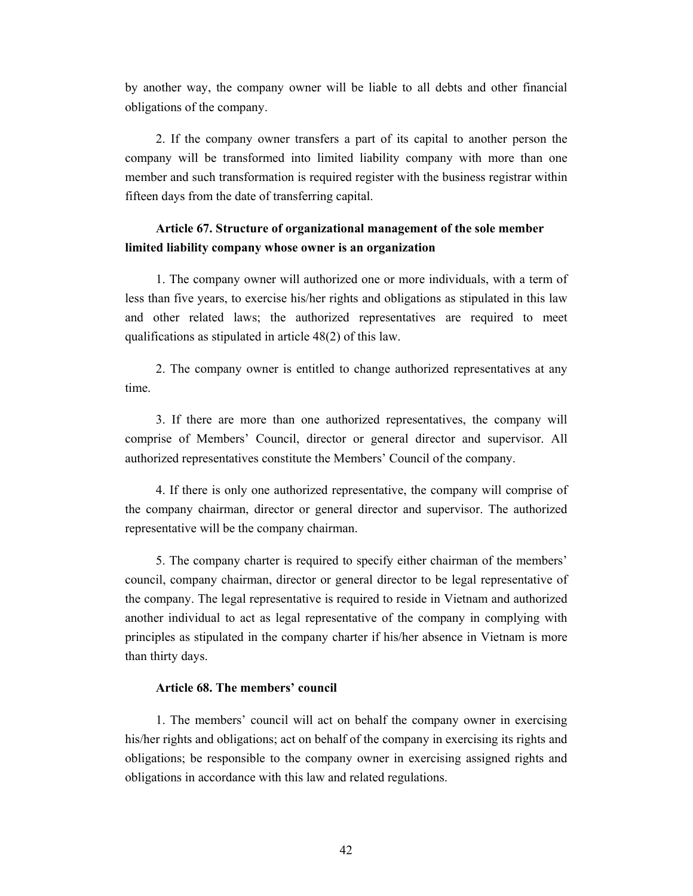by another way, the company owner will be liable to all debts and other financial obligations of the company.

2. If the company owner transfers a part of its capital to another person the company will be transformed into limited liability company with more than one member and such transformation is required register with the business registrar within fifteen days from the date of transferring capital.

## **Article 67. Structure of organizational management of the sole member limited liability company whose owner is an organization**

1. The company owner will authorized one or more individuals, with a term of less than five years, to exercise his/her rights and obligations as stipulated in this law and other related laws; the authorized representatives are required to meet qualifications as stipulated in article 48(2) of this law.

2. The company owner is entitled to change authorized representatives at any time.

3. If there are more than one authorized representatives, the company will comprise of Members' Council, director or general director and supervisor. All authorized representatives constitute the Members' Council of the company.

4. If there is only one authorized representative, the company will comprise of the company chairman, director or general director and supervisor. The authorized representative will be the company chairman.

5. The company charter is required to specify either chairman of the members' council, company chairman, director or general director to be legal representative of the company. The legal representative is required to reside in Vietnam and authorized another individual to act as legal representative of the company in complying with principles as stipulated in the company charter if his/her absence in Vietnam is more than thirty days.

## **Article 68. The members' council**

1. The members' council will act on behalf the company owner in exercising his/her rights and obligations; act on behalf of the company in exercising its rights and obligations; be responsible to the company owner in exercising assigned rights and obligations in accordance with this law and related regulations.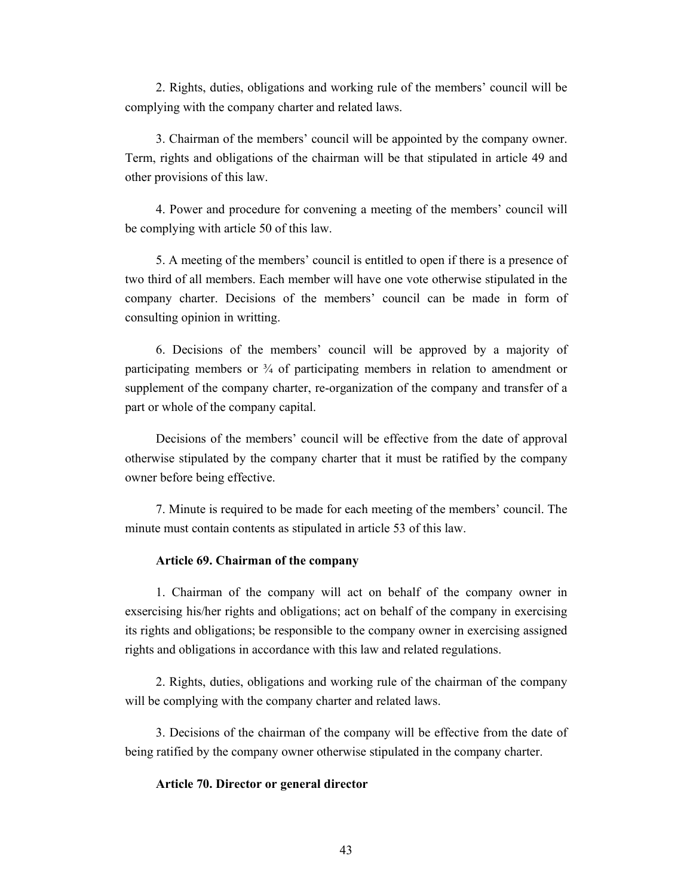2. Rights, duties, obligations and working rule of the members' council will be complying with the company charter and related laws.

3. Chairman of the members' council will be appointed by the company owner. Term, rights and obligations of the chairman will be that stipulated in article 49 and other provisions of this law.

4. Power and procedure for convening a meeting of the members' council will be complying with article 50 of this law.

5. A meeting of the members' council is entitled to open if there is a presence of two third of all members. Each member will have one vote otherwise stipulated in the company charter. Decisions of the members' council can be made in form of consulting opinion in writting.

6. Decisions of the members' council will be approved by a majority of participating members or  $\frac{3}{4}$  of participating members in relation to amendment or supplement of the company charter, re-organization of the company and transfer of a part or whole of the company capital.

Decisions of the members' council will be effective from the date of approval otherwise stipulated by the company charter that it must be ratified by the company owner before being effective.

7. Minute is required to be made for each meeting of the members' council. The minute must contain contents as stipulated in article 53 of this law.

## **Article 69. Chairman of the company**

1. Chairman of the company will act on behalf of the company owner in exsercising his/her rights and obligations; act on behalf of the company in exercising its rights and obligations; be responsible to the company owner in exercising assigned rights and obligations in accordance with this law and related regulations.

2. Rights, duties, obligations and working rule of the chairman of the company will be complying with the company charter and related laws.

3. Decisions of the chairman of the company will be effective from the date of being ratified by the company owner otherwise stipulated in the company charter.

## **Article 70. Director or general director**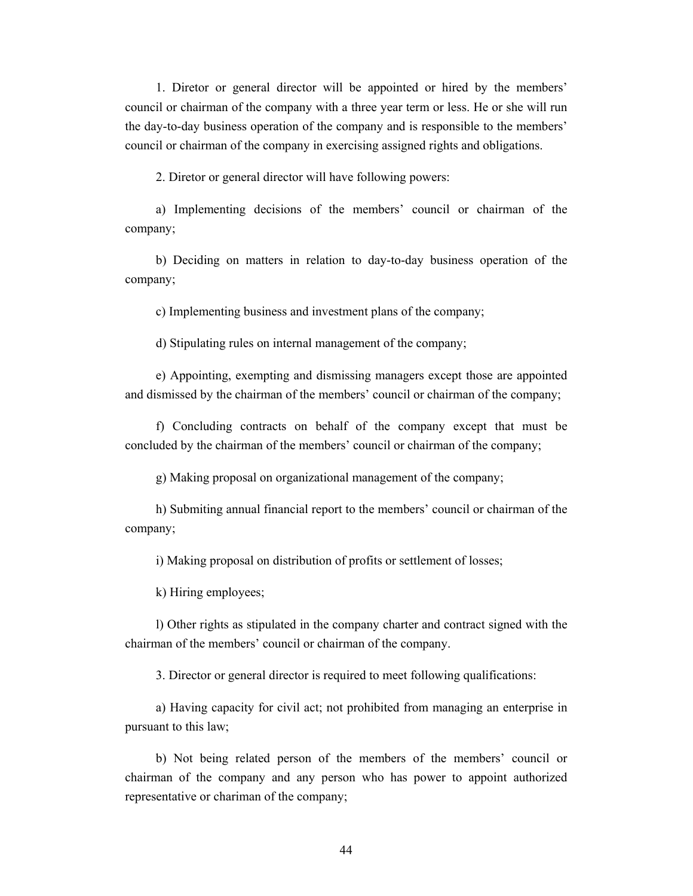1. Diretor or general director will be appointed or hired by the members' council or chairman of the company with a three year term or less. He or she will run the day-to-day business operation of the company and is responsible to the members' council or chairman of the company in exercising assigned rights and obligations.

2. Diretor or general director will have following powers:

a) Implementing decisions of the members' council or chairman of the company;

b) Deciding on matters in relation to day-to-day business operation of the company;

c) Implementing business and investment plans of the company;

d) Stipulating rules on internal management of the company;

e) Appointing, exempting and dismissing managers except those are appointed and dismissed by the chairman of the members' council or chairman of the company;

f) Concluding contracts on behalf of the company except that must be concluded by the chairman of the members' council or chairman of the company;

g) Making proposal on organizational management of the company;

h) Submiting annual financial report to the members' council or chairman of the company;

i) Making proposal on distribution of profits or settlement of losses;

k) Hiring employees;

l) Other rights as stipulated in the company charter and contract signed with the chairman of the members' council or chairman of the company.

3. Director or general director is required to meet following qualifications:

a) Having capacity for civil act; not prohibited from managing an enterprise in pursuant to this law;

b) Not being related person of the members of the members' council or chairman of the company and any person who has power to appoint authorized representative or chariman of the company;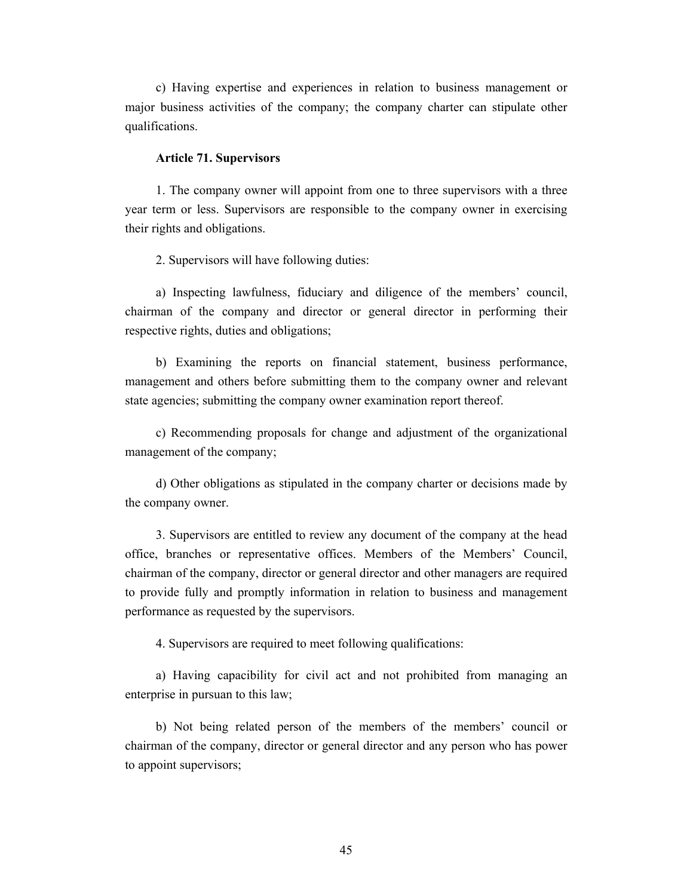c) Having expertise and experiences in relation to business management or major business activities of the company; the company charter can stipulate other qualifications.

#### **Article 71. Supervisors**

1. The company owner will appoint from one to three supervisors with a three year term or less. Supervisors are responsible to the company owner in exercising their rights and obligations.

2. Supervisors will have following duties:

a) Inspecting lawfulness, fiduciary and diligence of the members' council, chairman of the company and director or general director in performing their respective rights, duties and obligations;

b) Examining the reports on financial statement, business performance, management and others before submitting them to the company owner and relevant state agencies; submitting the company owner examination report thereof.

c) Recommending proposals for change and adjustment of the organizational management of the company;

d) Other obligations as stipulated in the company charter or decisions made by the company owner.

3. Supervisors are entitled to review any document of the company at the head office, branches or representative offices. Members of the Members' Council, chairman of the company, director or general director and other managers are required to provide fully and promptly information in relation to business and management performance as requested by the supervisors.

4. Supervisors are required to meet following qualifications:

a) Having capacibility for civil act and not prohibited from managing an enterprise in pursuan to this law;

b) Not being related person of the members of the members' council or chairman of the company, director or general director and any person who has power to appoint supervisors;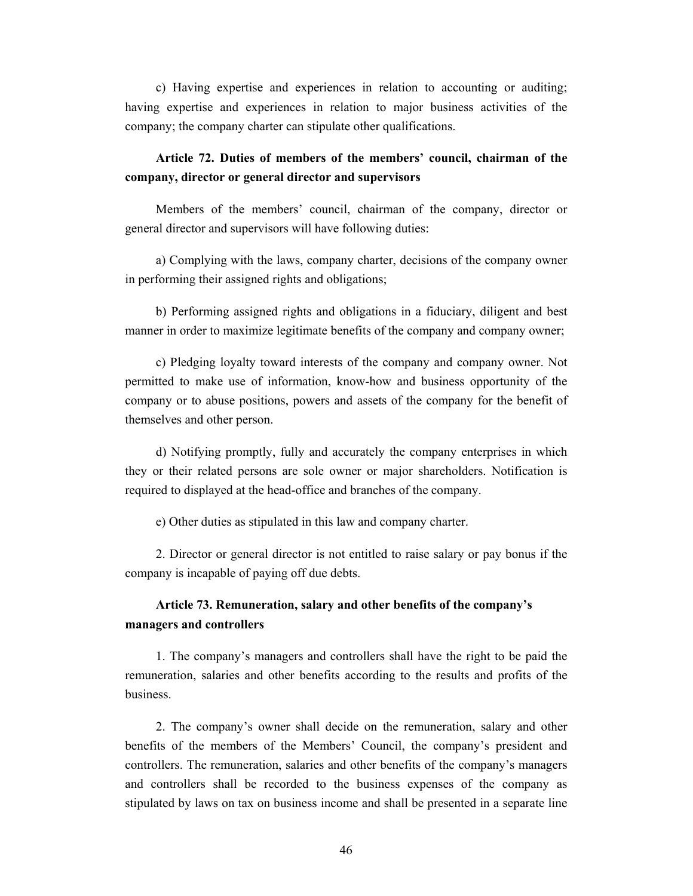c) Having expertise and experiences in relation to accounting or auditing; having expertise and experiences in relation to major business activities of the company; the company charter can stipulate other qualifications.

## **Article 72. Duties of members of the members' council, chairman of the company, director or general director and supervisors**

Members of the members' council, chairman of the company, director or general director and supervisors will have following duties:

a) Complying with the laws, company charter, decisions of the company owner in performing their assigned rights and obligations;

b) Performing assigned rights and obligations in a fiduciary, diligent and best manner in order to maximize legitimate benefits of the company and company owner;

c) Pledging loyalty toward interests of the company and company owner. Not permitted to make use of information, know-how and business opportunity of the company or to abuse positions, powers and assets of the company for the benefit of themselves and other person.

d) Notifying promptly, fully and accurately the company enterprises in which they or their related persons are sole owner or major shareholders. Notification is required to displayed at the head-office and branches of the company.

e) Other duties as stipulated in this law and company charter.

2. Director or general director is not entitled to raise salary or pay bonus if the company is incapable of paying off due debts.

## **Article 73. Remuneration, salary and other benefits of the company's managers and controllers**

1. The company's managers and controllers shall have the right to be paid the remuneration, salaries and other benefits according to the results and profits of the business.

2. The company's owner shall decide on the remuneration, salary and other benefits of the members of the Members' Council, the company's president and controllers. The remuneration, salaries and other benefits of the company's managers and controllers shall be recorded to the business expenses of the company as stipulated by laws on tax on business income and shall be presented in a separate line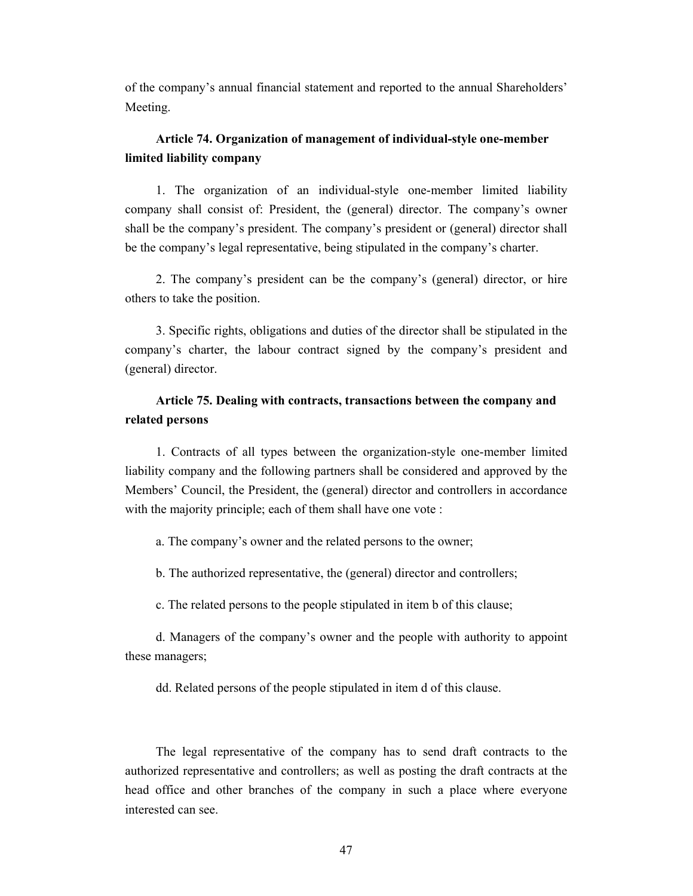of the company's annual financial statement and reported to the annual Shareholders' Meeting.

## **Article 74. Organization of management of individual-style one-member limited liability company**

1. The organization of an individual-style one-member limited liability company shall consist of: President, the (general) director. The company's owner shall be the company's president. The company's president or (general) director shall be the company's legal representative, being stipulated in the company's charter.

2. The company's president can be the company's (general) director, or hire others to take the position.

3. Specific rights, obligations and duties of the director shall be stipulated in the company's charter, the labour contract signed by the company's president and (general) director.

## **Article 75. Dealing with contracts, transactions between the company and related persons**

1. Contracts of all types between the organization-style one-member limited liability company and the following partners shall be considered and approved by the Members' Council, the President, the (general) director and controllers in accordance with the majority principle; each of them shall have one vote :

a. The company's owner and the related persons to the owner;

b. The authorized representative, the (general) director and controllers;

c. The related persons to the people stipulated in item b of this clause;

d. Managers of the company's owner and the people with authority to appoint these managers;

dd. Related persons of the people stipulated in item d of this clause.

The legal representative of the company has to send draft contracts to the authorized representative and controllers; as well as posting the draft contracts at the head office and other branches of the company in such a place where everyone interested can see.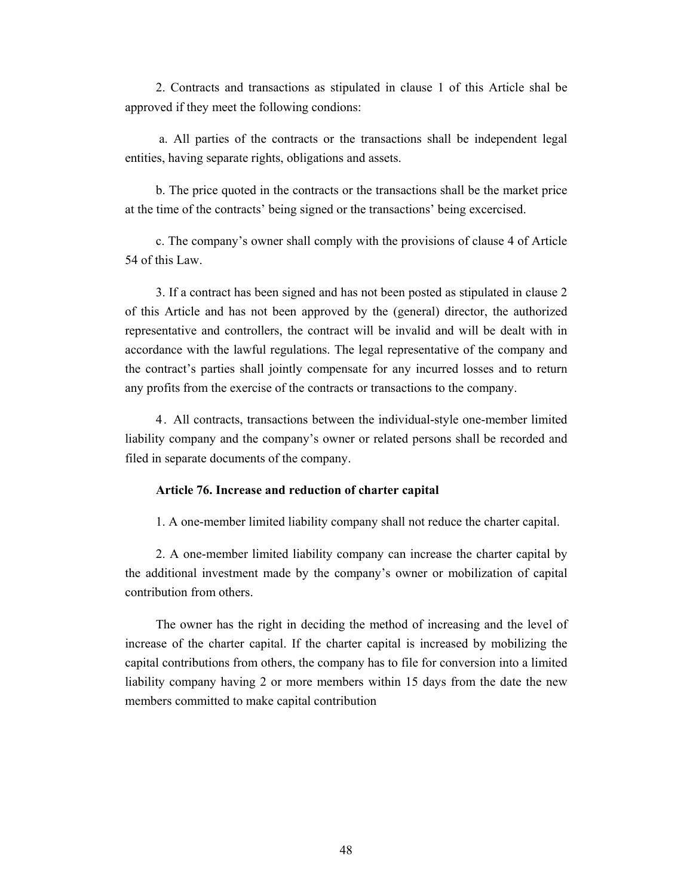2. Contracts and transactions as stipulated in clause 1 of this Article shal be approved if they meet the following condions:

 a. All parties of the contracts or the transactions shall be independent legal entities, having separate rights, obligations and assets.

b. The price quoted in the contracts or the transactions shall be the market price at the time of the contracts' being signed or the transactions' being excercised.

c. The company's owner shall comply with the provisions of clause 4 of Article 54 of this Law.

3. If a contract has been signed and has not been posted as stipulated in clause 2 of this Article and has not been approved by the (general) director, the authorized representative and controllers, the contract will be invalid and will be dealt with in accordance with the lawful regulations. The legal representative of the company and the contract's parties shall jointly compensate for any incurred losses and to return any profits from the exercise of the contracts or transactions to the company.

4. All contracts, transactions between the individual-style one-member limited liability company and the company's owner or related persons shall be recorded and filed in separate documents of the company.

## **Article 76. Increase and reduction of charter capital**

1. A one-member limited liability company shall not reduce the charter capital.

2. A one-member limited liability company can increase the charter capital by the additional investment made by the company's owner or mobilization of capital contribution from others.

The owner has the right in deciding the method of increasing and the level of increase of the charter capital. If the charter capital is increased by mobilizing the capital contributions from others, the company has to file for conversion into a limited liability company having 2 or more members within 15 days from the date the new members committed to make capital contribution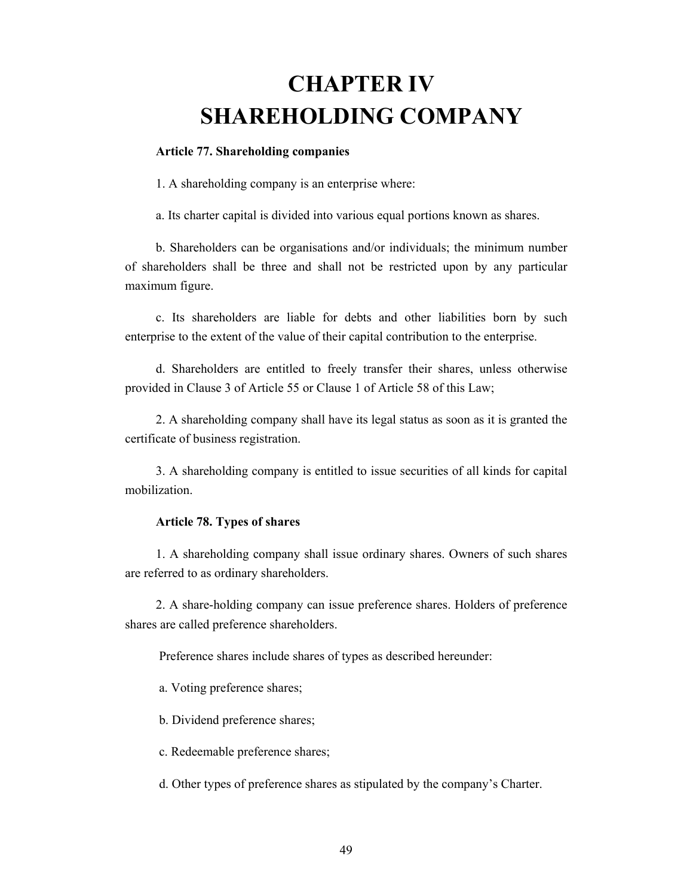## **CHAPTER IV SHAREHOLDING COMPANY**

#### **Article 77. Shareholding companies**

1. A shareholding company is an enterprise where:

a. Its charter capital is divided into various equal portions known as shares.

b. Shareholders can be organisations and/or individuals; the minimum number of shareholders shall be three and shall not be restricted upon by any particular maximum figure.

c. Its shareholders are liable for debts and other liabilities born by such enterprise to the extent of the value of their capital contribution to the enterprise.

d. Shareholders are entitled to freely transfer their shares, unless otherwise provided in Clause 3 of Article 55 or Clause 1 of Article 58 of this Law;

2. A shareholding company shall have its legal status as soon as it is granted the certificate of business registration.

3. A shareholding company is entitled to issue securities of all kinds for capital mobilization.

## **Article 78. Types of shares**

1. A shareholding company shall issue ordinary shares. Owners of such shares are referred to as ordinary shareholders.

2. A share-holding company can issue preference shares. Holders of preference shares are called preference shareholders.

Preference shares include shares of types as described hereunder:

a. Voting preference shares;

b. Dividend preference shares;

c. Redeemable preference shares;

d. Other types of preference shares as stipulated by the company's Charter.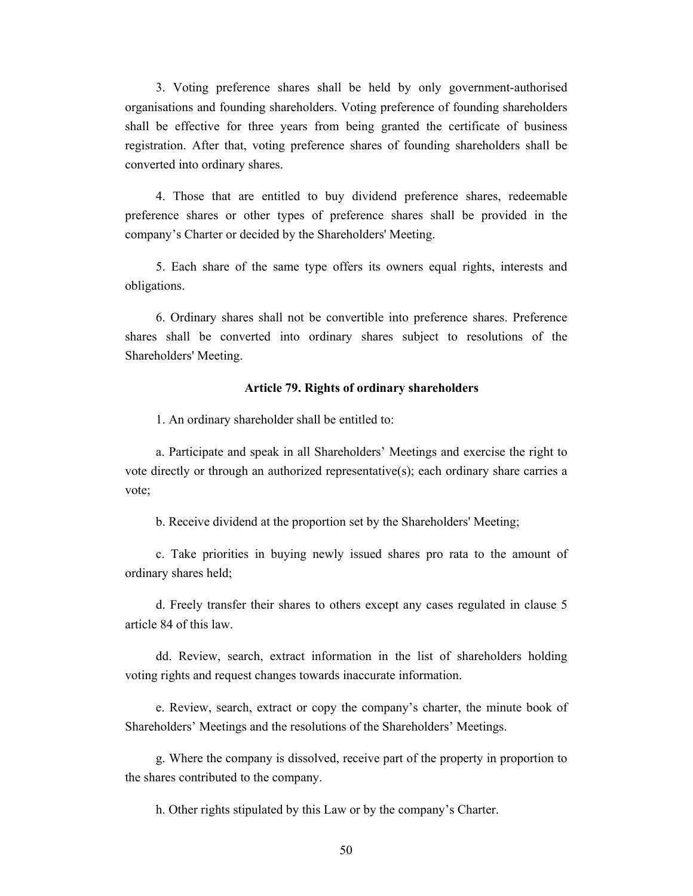3. Voting preference shares shall be held by only government-authorised organisations and founding shareholders. Voting preference of founding shareholders shall be effective for three years from being granted the certificate of business registration. After that, voting preference shares of founding shareholders shall be converted into ordinary shares.

4. Those that are entitled to buy dividend preference shares, redeemable preference shares or other types of preference shares shall be provided in the company's Charter or decided by the Shareholders' Meeting.

5. Each share of the same type offers its owners equal rights, interests and obligations.

6. Ordinary shares shall not be convertible into preference shares. Preference shares shall be converted into ordinary shares subject to resolutions of the Shareholders' Meeting.

#### **Article 79. Rights of ordinary shareholders**

1. An ordinary shareholder shall be entitled to:

a. Participate and speak in all Shareholders' Meetings and exercise the right to vote directly or through an authorized representative(s); each ordinary share carries a vote;

b. Receive dividend at the proportion set by the Shareholders' Meeting;

c. Take priorities in buying newly issued shares pro rata to the amount of ordinary shares held;

d. Freely transfer their shares to others except any cases regulated in clause 5 article 84 of this law.

dd. Review, search, extract information in the list of shareholders holding voting rights and request changes towards inaccurate information.

e. Review, search, extract or copy the company's charter, the minute book of Shareholders' Meetings and the resolutions of the Shareholders' Meetings.

g. Where the company is dissolved, receive part of the property in proportion to the shares contributed to the company.

h. Other rights stipulated by this Law or by the company's Charter.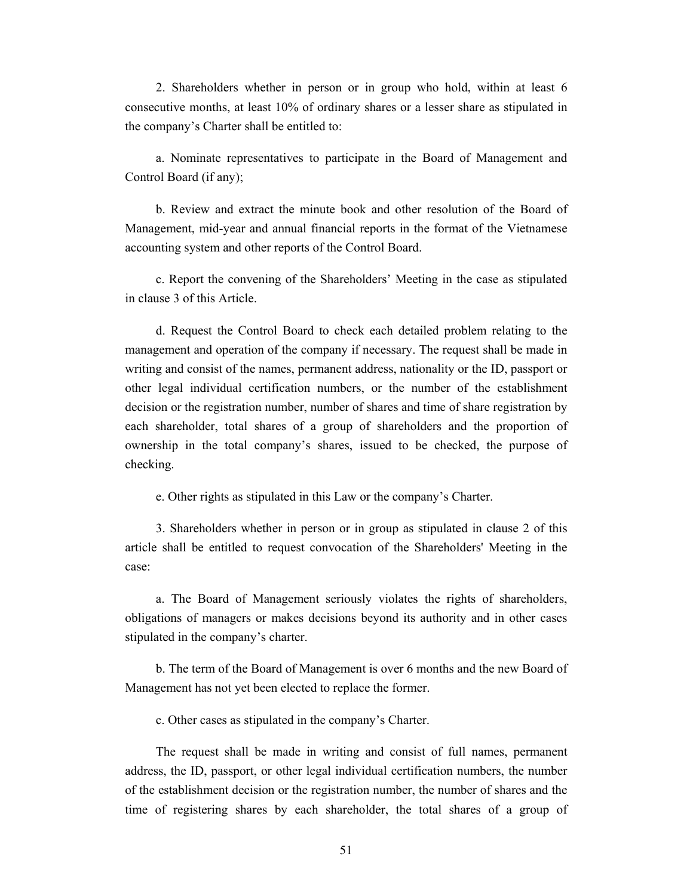2. Shareholders whether in person or in group who hold, within at least 6 consecutive months, at least 10% of ordinary shares or a lesser share as stipulated in the company's Charter shall be entitled to:

a. Nominate representatives to participate in the Board of Management and Control Board (if any);

b. Review and extract the minute book and other resolution of the Board of Management, mid-year and annual financial reports in the format of the Vietnamese accounting system and other reports of the Control Board.

c. Report the convening of the Shareholders' Meeting in the case as stipulated in clause 3 of this Article.

d. Request the Control Board to check each detailed problem relating to the management and operation of the company if necessary. The request shall be made in writing and consist of the names, permanent address, nationality or the ID, passport or other legal individual certification numbers, or the number of the establishment decision or the registration number, number of shares and time of share registration by each shareholder, total shares of a group of shareholders and the proportion of ownership in the total company's shares, issued to be checked, the purpose of checking.

e. Other rights as stipulated in this Law or the company's Charter.

3. Shareholders whether in person or in group as stipulated in clause 2 of this article shall be entitled to request convocation of the Shareholders' Meeting in the case:

a. The Board of Management seriously violates the rights of shareholders, obligations of managers or makes decisions beyond its authority and in other cases stipulated in the company's charter.

b. The term of the Board of Management is over 6 months and the new Board of Management has not yet been elected to replace the former.

c. Other cases as stipulated in the company's Charter.

The request shall be made in writing and consist of full names, permanent address, the ID, passport, or other legal individual certification numbers, the number of the establishment decision or the registration number, the number of shares and the time of registering shares by each shareholder, the total shares of a group of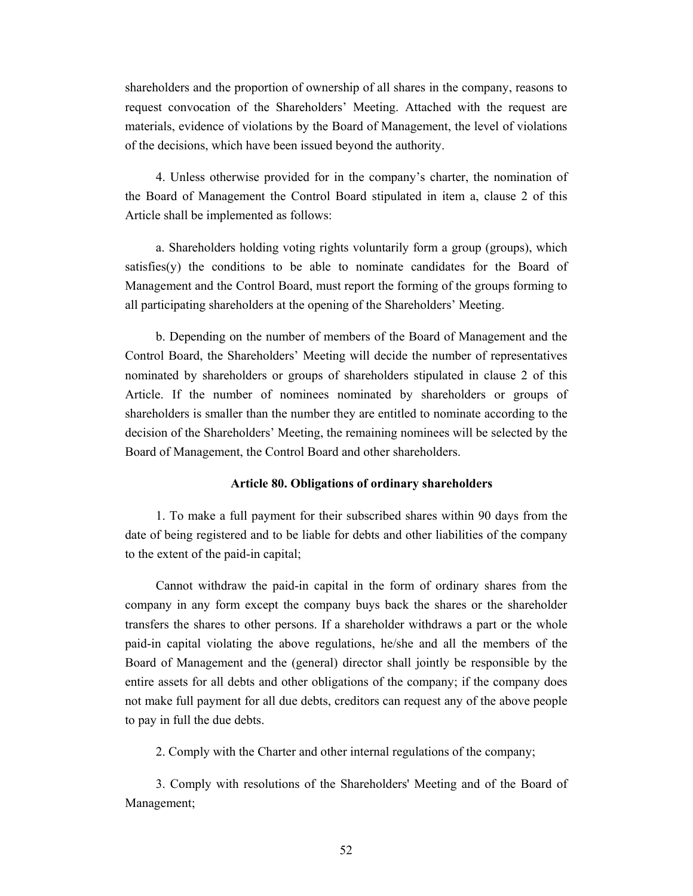shareholders and the proportion of ownership of all shares in the company, reasons to request convocation of the Shareholders' Meeting. Attached with the request are materials, evidence of violations by the Board of Management, the level of violations of the decisions, which have been issued beyond the authority.

4. Unless otherwise provided for in the company's charter, the nomination of the Board of Management the Control Board stipulated in item a, clause 2 of this Article shall be implemented as follows:

a. Shareholders holding voting rights voluntarily form a group (groups), which satisfies(y) the conditions to be able to nominate candidates for the Board of Management and the Control Board, must report the forming of the groups forming to all participating shareholders at the opening of the Shareholders' Meeting.

b. Depending on the number of members of the Board of Management and the Control Board, the Shareholders' Meeting will decide the number of representatives nominated by shareholders or groups of shareholders stipulated in clause 2 of this Article. If the number of nominees nominated by shareholders or groups of shareholders is smaller than the number they are entitled to nominate according to the decision of the Shareholders' Meeting, the remaining nominees will be selected by the Board of Management, the Control Board and other shareholders.

## **Article 80. Obligations of ordinary shareholders**

1. To make a full payment for their subscribed shares within 90 days from the date of being registered and to be liable for debts and other liabilities of the company to the extent of the paid-in capital;

Cannot withdraw the paid-in capital in the form of ordinary shares from the company in any form except the company buys back the shares or the shareholder transfers the shares to other persons. If a shareholder withdraws a part or the whole paid-in capital violating the above regulations, he/she and all the members of the Board of Management and the (general) director shall jointly be responsible by the entire assets for all debts and other obligations of the company; if the company does not make full payment for all due debts, creditors can request any of the above people to pay in full the due debts.

2. Comply with the Charter and other internal regulations of the company;

3. Comply with resolutions of the Shareholders' Meeting and of the Board of Management;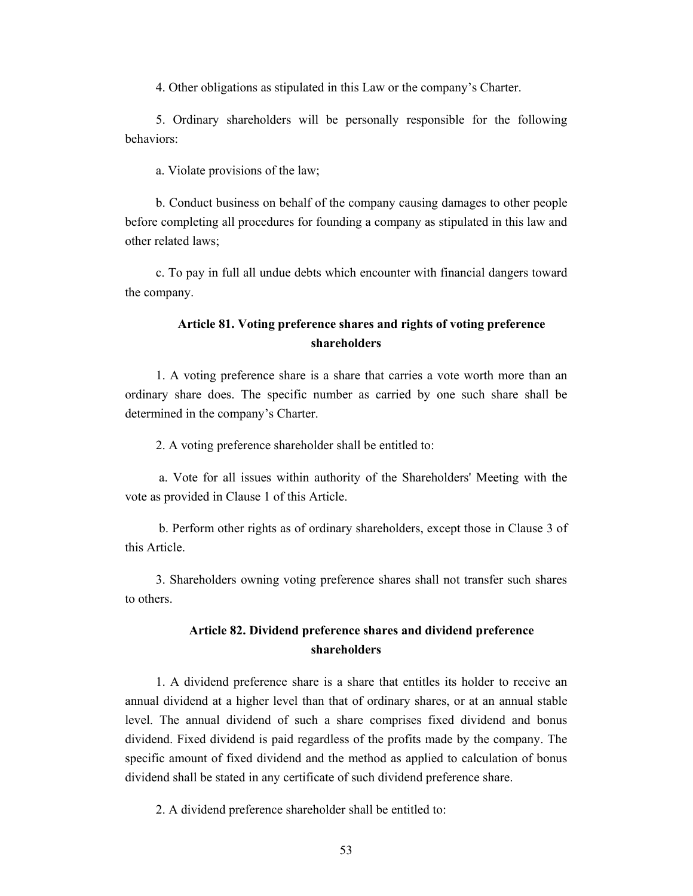4. Other obligations as stipulated in this Law or the company's Charter.

5. Ordinary shareholders will be personally responsible for the following behaviors:

a. Violate provisions of the law;

b. Conduct business on behalf of the company causing damages to other people before completing all procedures for founding a company as stipulated in this law and other related laws;

c. To pay in full all undue debts which encounter with financial dangers toward the company.

## **Article 81. Voting preference shares and rights of voting preference shareholders**

1. A voting preference share is a share that carries a vote worth more than an ordinary share does. The specific number as carried by one such share shall be determined in the company's Charter.

2. A voting preference shareholder shall be entitled to:

 a. Vote for all issues within authority of the Shareholders' Meeting with the vote as provided in Clause 1 of this Article.

 b. Perform other rights as of ordinary shareholders, except those in Clause 3 of this Article.

3. Shareholders owning voting preference shares shall not transfer such shares to others.

## **Article 82. Dividend preference shares and dividend preference shareholders**

1. A dividend preference share is a share that entitles its holder to receive an annual dividend at a higher level than that of ordinary shares, or at an annual stable level. The annual dividend of such a share comprises fixed dividend and bonus dividend. Fixed dividend is paid regardless of the profits made by the company. The specific amount of fixed dividend and the method as applied to calculation of bonus dividend shall be stated in any certificate of such dividend preference share.

2. A dividend preference shareholder shall be entitled to: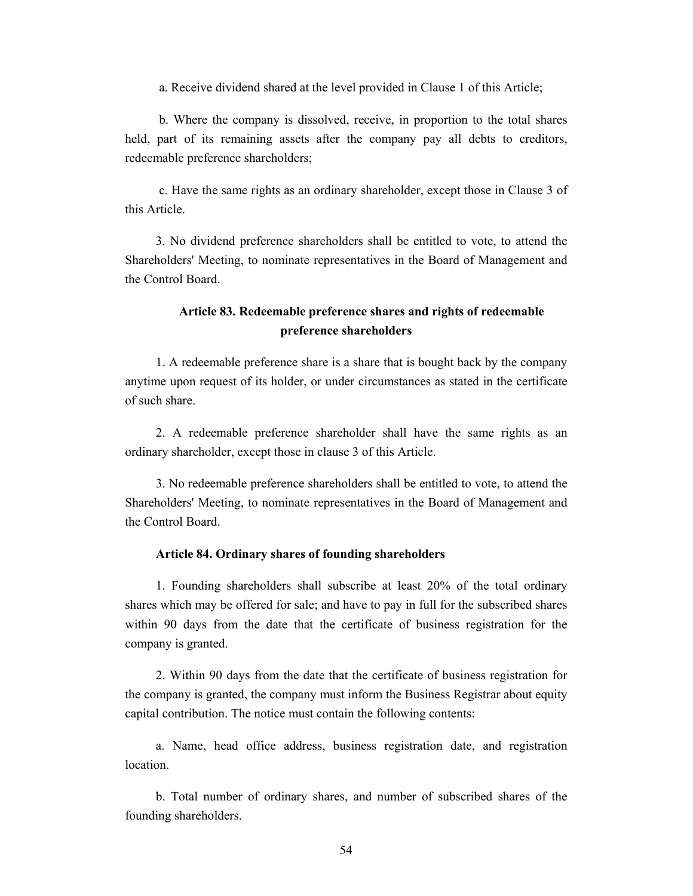a. Receive dividend shared at the level provided in Clause 1 of this Article;

 b. Where the company is dissolved, receive, in proportion to the total shares held, part of its remaining assets after the company pay all debts to creditors, redeemable preference shareholders;

 c. Have the same rights as an ordinary shareholder, except those in Clause 3 of this Article.

3. No dividend preference shareholders shall be entitled to vote, to attend the Shareholders' Meeting, to nominate representatives in the Board of Management and the Control Board.

## **Article 83. Redeemable preference shares and rights of redeemable preference shareholders**

1. A redeemable preference share is a share that is bought back by the company anytime upon request of its holder, or under circumstances as stated in the certificate of such share.

2. A redeemable preference shareholder shall have the same rights as an ordinary shareholder, except those in clause 3 of this Article.

3. No redeemable preference shareholders shall be entitled to vote, to attend the Shareholders' Meeting, to nominate representatives in the Board of Management and the Control Board.

## **Article 84. Ordinary shares of founding shareholders**

1. Founding shareholders shall subscribe at least 20% of the total ordinary shares which may be offered for sale; and have to pay in full for the subscribed shares within 90 days from the date that the certificate of business registration for the company is granted.

2. Within 90 days from the date that the certificate of business registration for the company is granted, the company must inform the Business Registrar about equity capital contribution. The notice must contain the following contents:

a. Name, head office address, business registration date, and registration location.

b. Total number of ordinary shares, and number of subscribed shares of the founding shareholders.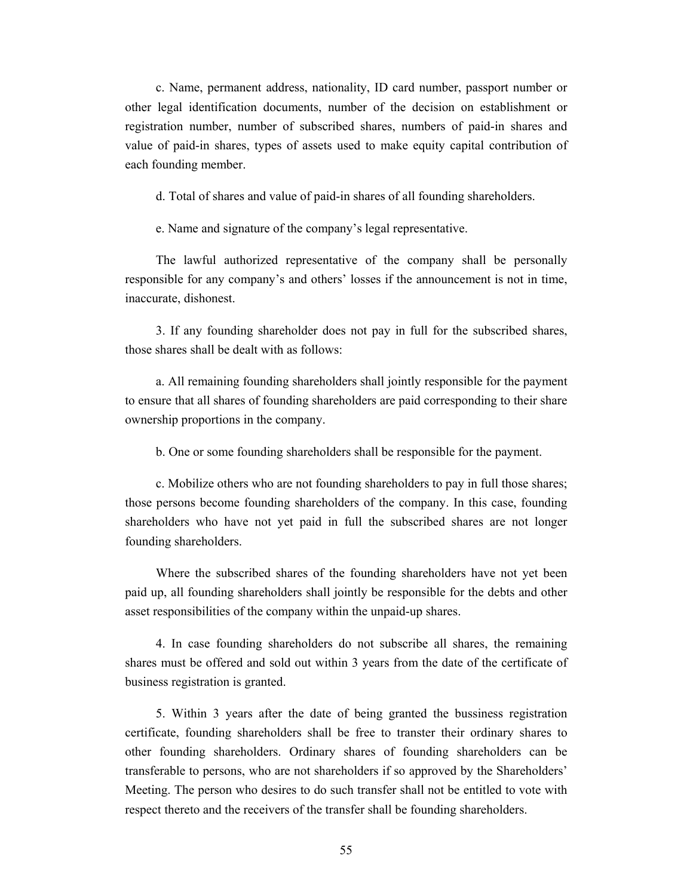c. Name, permanent address, nationality, ID card number, passport number or other legal identification documents, number of the decision on establishment or registration number, number of subscribed shares, numbers of paid-in shares and value of paid-in shares, types of assets used to make equity capital contribution of each founding member.

d. Total of shares and value of paid-in shares of all founding shareholders.

e. Name and signature of the company's legal representative.

The lawful authorized representative of the company shall be personally responsible for any company's and others' losses if the announcement is not in time, inaccurate, dishonest.

3. If any founding shareholder does not pay in full for the subscribed shares, those shares shall be dealt with as follows:

a. All remaining founding shareholders shall jointly responsible for the payment to ensure that all shares of founding shareholders are paid corresponding to their share ownership proportions in the company.

b. One or some founding shareholders shall be responsible for the payment.

c. Mobilize others who are not founding shareholders to pay in full those shares; those persons become founding shareholders of the company. In this case, founding shareholders who have not yet paid in full the subscribed shares are not longer founding shareholders.

Where the subscribed shares of the founding shareholders have not yet been paid up, all founding shareholders shall jointly be responsible for the debts and other asset responsibilities of the company within the unpaid-up shares.

4. In case founding shareholders do not subscribe all shares, the remaining shares must be offered and sold out within 3 years from the date of the certificate of business registration is granted.

5. Within 3 years after the date of being granted the bussiness registration certificate, founding shareholders shall be free to transter their ordinary shares to other founding shareholders. Ordinary shares of founding shareholders can be transferable to persons, who are not shareholders if so approved by the Shareholders' Meeting. The person who desires to do such transfer shall not be entitled to vote with respect thereto and the receivers of the transfer shall be founding shareholders.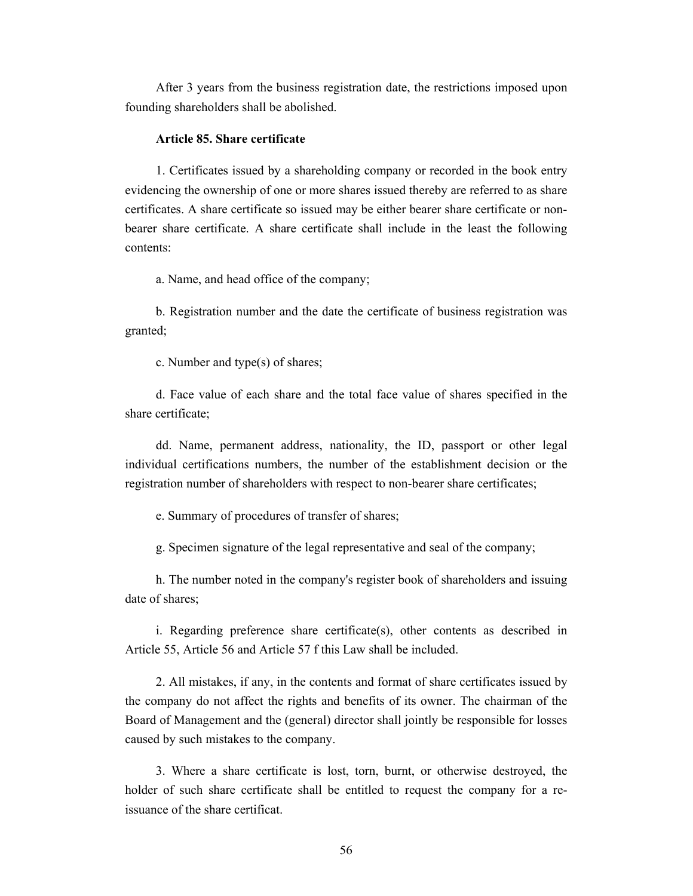After 3 years from the business registration date, the restrictions imposed upon founding shareholders shall be abolished.

#### **Article 85. Share certificate**

1. Certificates issued by a shareholding company or recorded in the book entry evidencing the ownership of one or more shares issued thereby are referred to as share certificates. A share certificate so issued may be either bearer share certificate or nonbearer share certificate. A share certificate shall include in the least the following contents:

a. Name, and head office of the company;

b. Registration number and the date the certificate of business registration was granted;

c. Number and type(s) of shares;

d. Face value of each share and the total face value of shares specified in the share certificate;

dd. Name, permanent address, nationality, the ID, passport or other legal individual certifications numbers, the number of the establishment decision or the registration number of shareholders with respect to non-bearer share certificates;

e. Summary of procedures of transfer of shares;

g. Specimen signature of the legal representative and seal of the company;

h. The number noted in the company's register book of shareholders and issuing date of shares;

i. Regarding preference share certificate(s), other contents as described in Article 55, Article 56 and Article 57 f this Law shall be included.

2. All mistakes, if any, in the contents and format of share certificates issued by the company do not affect the rights and benefits of its owner. The chairman of the Board of Management and the (general) director shall jointly be responsible for losses caused by such mistakes to the company.

3. Where a share certificate is lost, torn, burnt, or otherwise destroyed, the holder of such share certificate shall be entitled to request the company for a reissuance of the share certificat.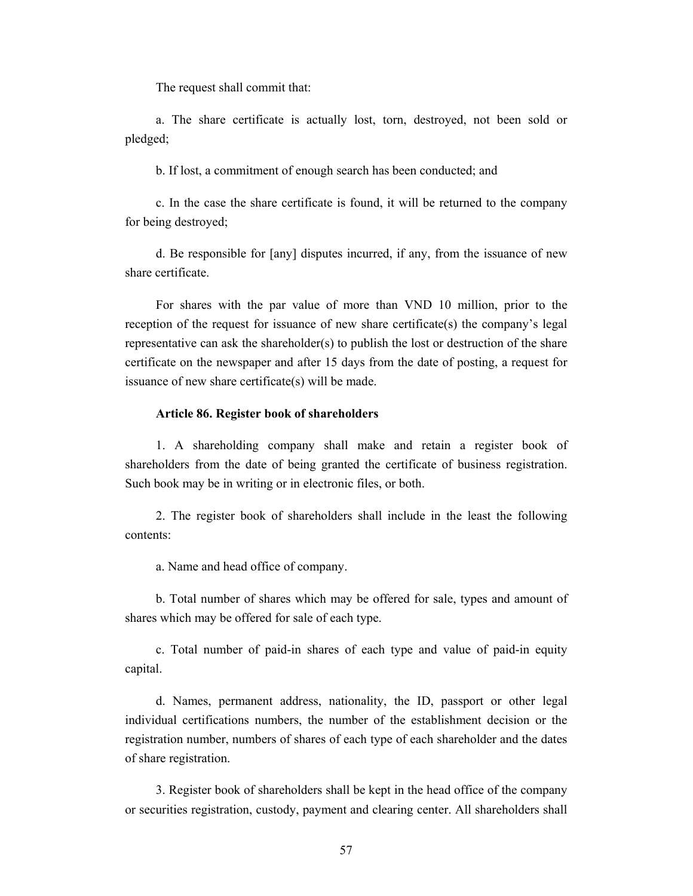The request shall commit that:

a. The share certificate is actually lost, torn, destroyed, not been sold or pledged;

b. If lost, a commitment of enough search has been conducted; and

c. In the case the share certificate is found, it will be returned to the company for being destroyed;

d. Be responsible for [any] disputes incurred, if any, from the issuance of new share certificate.

For shares with the par value of more than VND 10 million, prior to the reception of the request for issuance of new share certificate(s) the company's legal representative can ask the shareholder(s) to publish the lost or destruction of the share certificate on the newspaper and after 15 days from the date of posting, a request for issuance of new share certificate(s) will be made.

## **Article 86. Register book of shareholders**

1. A shareholding company shall make and retain a register book of shareholders from the date of being granted the certificate of business registration. Such book may be in writing or in electronic files, or both.

2. The register book of shareholders shall include in the least the following contents:

a. Name and head office of company.

b. Total number of shares which may be offered for sale, types and amount of shares which may be offered for sale of each type.

c. Total number of paid-in shares of each type and value of paid-in equity capital.

d. Names, permanent address, nationality, the ID, passport or other legal individual certifications numbers, the number of the establishment decision or the registration number, numbers of shares of each type of each shareholder and the dates of share registration.

3. Register book of shareholders shall be kept in the head office of the company or securities registration, custody, payment and clearing center. All shareholders shall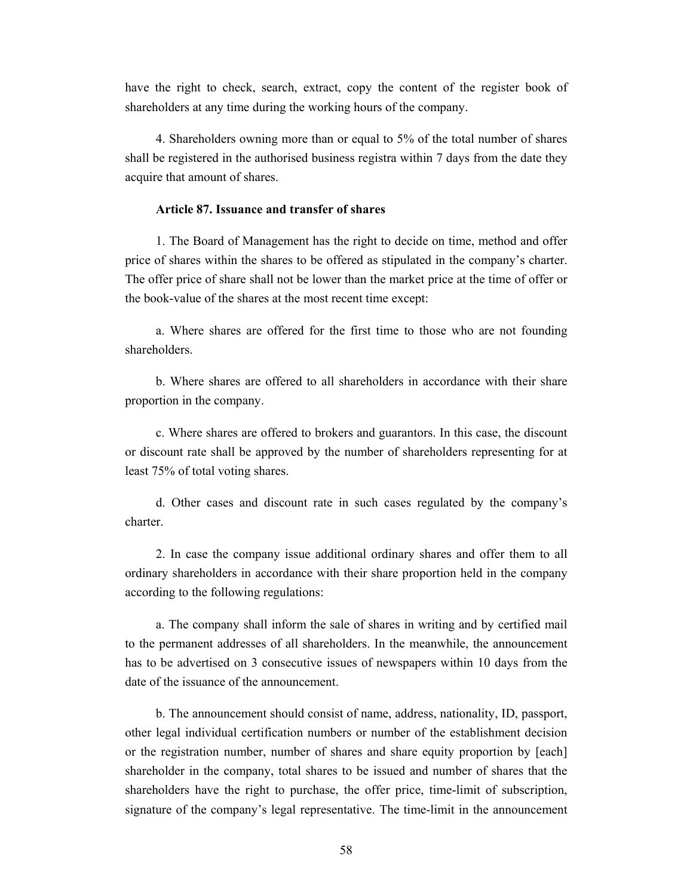have the right to check, search, extract, copy the content of the register book of shareholders at any time during the working hours of the company.

4. Shareholders owning more than or equal to 5% of the total number of shares shall be registered in the authorised business registra within 7 days from the date they acquire that amount of shares.

## **Article 87. Issuance and transfer of shares**

1. The Board of Management has the right to decide on time, method and offer price of shares within the shares to be offered as stipulated in the company's charter. The offer price of share shall not be lower than the market price at the time of offer or the book-value of the shares at the most recent time except:

a. Where shares are offered for the first time to those who are not founding shareholders.

b. Where shares are offered to all shareholders in accordance with their share proportion in the company.

c. Where shares are offered to brokers and guarantors. In this case, the discount or discount rate shall be approved by the number of shareholders representing for at least 75% of total voting shares.

d. Other cases and discount rate in such cases regulated by the company's charter.

2. In case the company issue additional ordinary shares and offer them to all ordinary shareholders in accordance with their share proportion held in the company according to the following regulations:

a. The company shall inform the sale of shares in writing and by certified mail to the permanent addresses of all shareholders. In the meanwhile, the announcement has to be advertised on 3 consecutive issues of newspapers within 10 days from the date of the issuance of the announcement.

b. The announcement should consist of name, address, nationality, ID, passport, other legal individual certification numbers or number of the establishment decision or the registration number, number of shares and share equity proportion by [each] shareholder in the company, total shares to be issued and number of shares that the shareholders have the right to purchase, the offer price, time-limit of subscription, signature of the company's legal representative. The time-limit in the announcement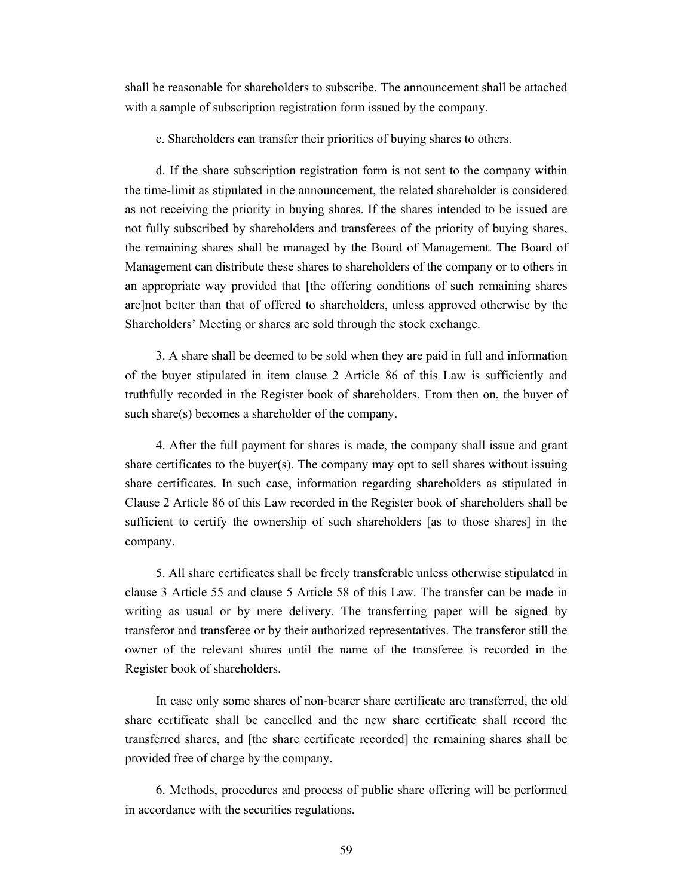shall be reasonable for shareholders to subscribe. The announcement shall be attached with a sample of subscription registration form issued by the company.

c. Shareholders can transfer their priorities of buying shares to others.

d. If the share subscription registration form is not sent to the company within the time-limit as stipulated in the announcement, the related shareholder is considered as not receiving the priority in buying shares. If the shares intended to be issued are not fully subscribed by shareholders and transferees of the priority of buying shares, the remaining shares shall be managed by the Board of Management. The Board of Management can distribute these shares to shareholders of the company or to others in an appropriate way provided that [the offering conditions of such remaining shares are]not better than that of offered to shareholders, unless approved otherwise by the Shareholders' Meeting or shares are sold through the stock exchange.

3. A share shall be deemed to be sold when they are paid in full and information of the buyer stipulated in item clause 2 Article 86 of this Law is sufficiently and truthfully recorded in the Register book of shareholders. From then on, the buyer of such share(s) becomes a shareholder of the company.

4. After the full payment for shares is made, the company shall issue and grant share certificates to the buyer(s). The company may opt to sell shares without issuing share certificates. In such case, information regarding shareholders as stipulated in Clause 2 Article 86 of this Law recorded in the Register book of shareholders shall be sufficient to certify the ownership of such shareholders [as to those shares] in the company.

5. All share certificates shall be freely transferable unless otherwise stipulated in clause 3 Article 55 and clause 5 Article 58 of this Law. The transfer can be made in writing as usual or by mere delivery. The transferring paper will be signed by transferor and transferee or by their authorized representatives. The transferor still the owner of the relevant shares until the name of the transferee is recorded in the Register book of shareholders.

In case only some shares of non-bearer share certificate are transferred, the old share certificate shall be cancelled and the new share certificate shall record the transferred shares, and [the share certificate recorded] the remaining shares shall be provided free of charge by the company.

6. Methods, procedures and process of public share offering will be performed in accordance with the securities regulations.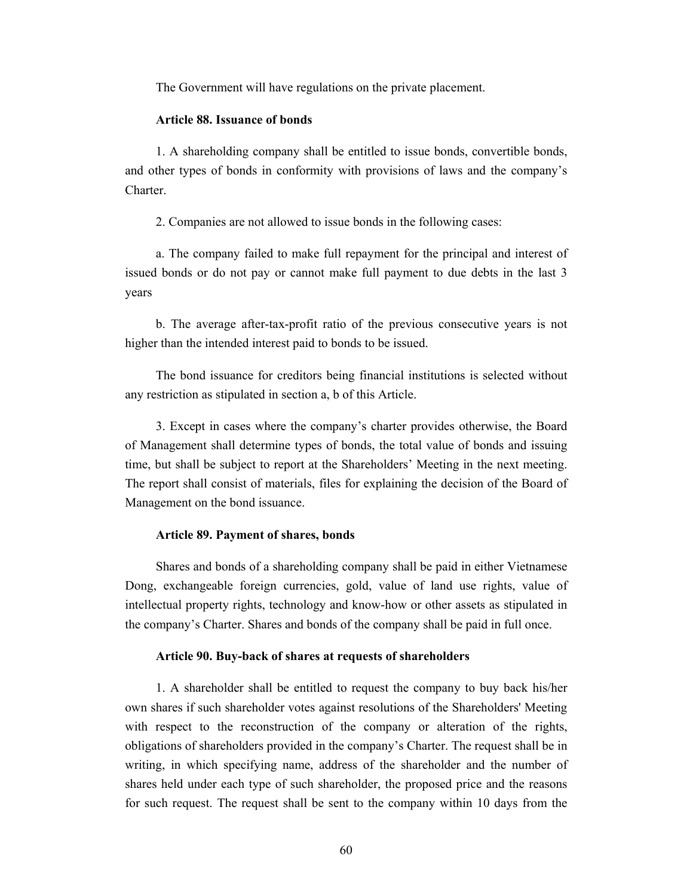The Government will have regulations on the private placement.

#### **Article 88. Issuance of bonds**

1. A shareholding company shall be entitled to issue bonds, convertible bonds, and other types of bonds in conformity with provisions of laws and the company's Charter.

2. Companies are not allowed to issue bonds in the following cases:

a. The company failed to make full repayment for the principal and interest of issued bonds or do not pay or cannot make full payment to due debts in the last 3 years

b. The average after-tax-profit ratio of the previous consecutive years is not higher than the intended interest paid to bonds to be issued.

The bond issuance for creditors being financial institutions is selected without any restriction as stipulated in section a, b of this Article.

3. Except in cases where the company's charter provides otherwise, the Board of Management shall determine types of bonds, the total value of bonds and issuing time, but shall be subject to report at the Shareholders' Meeting in the next meeting. The report shall consist of materials, files for explaining the decision of the Board of Management on the bond issuance.

## **Article 89. Payment of shares, bonds**

Shares and bonds of a shareholding company shall be paid in either Vietnamese Dong, exchangeable foreign currencies, gold, value of land use rights, value of intellectual property rights, technology and know-how or other assets as stipulated in the company's Charter. Shares and bonds of the company shall be paid in full once.

#### **Article 90. Buy-back of shares at requests of shareholders**

1. A shareholder shall be entitled to request the company to buy back his/her own shares if such shareholder votes against resolutions of the Shareholders' Meeting with respect to the reconstruction of the company or alteration of the rights, obligations of shareholders provided in the company's Charter. The request shall be in writing, in which specifying name, address of the shareholder and the number of shares held under each type of such shareholder, the proposed price and the reasons for such request. The request shall be sent to the company within 10 days from the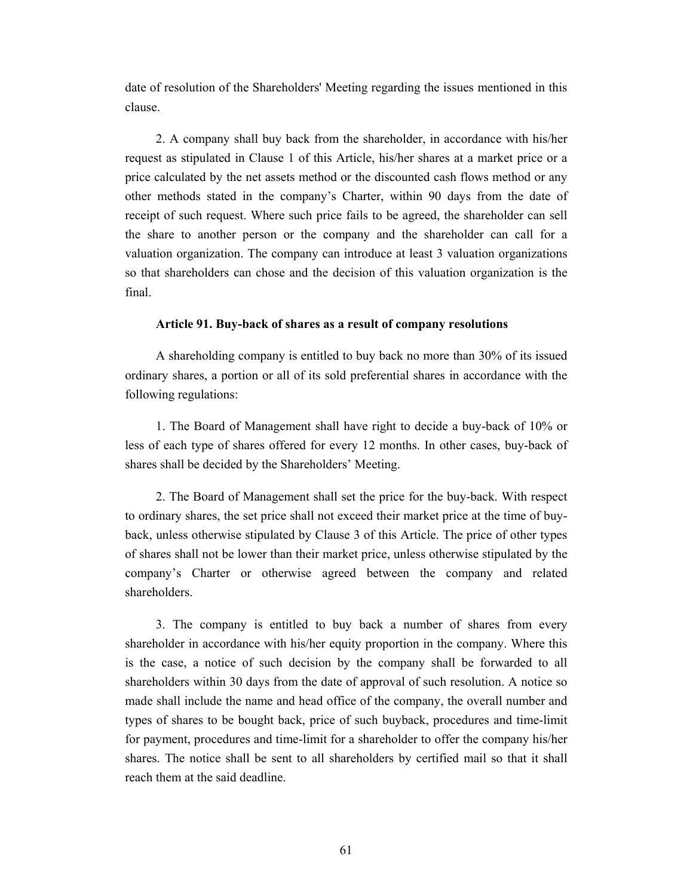date of resolution of the Shareholders' Meeting regarding the issues mentioned in this clause.

2. A company shall buy back from the shareholder, in accordance with his/her request as stipulated in Clause 1 of this Article, his/her shares at a market price or a price calculated by the net assets method or the discounted cash flows method or any other methods stated in the company's Charter, within 90 days from the date of receipt of such request. Where such price fails to be agreed, the shareholder can sell the share to another person or the company and the shareholder can call for a valuation organization. The company can introduce at least 3 valuation organizations so that shareholders can chose and the decision of this valuation organization is the final.

## **Article 91. Buy-back of shares as a result of company resolutions**

A shareholding company is entitled to buy back no more than 30% of its issued ordinary shares, a portion or all of its sold preferential shares in accordance with the following regulations:

1. The Board of Management shall have right to decide a buy-back of 10% or less of each type of shares offered for every 12 months. In other cases, buy-back of shares shall be decided by the Shareholders' Meeting.

2. The Board of Management shall set the price for the buy-back. With respect to ordinary shares, the set price shall not exceed their market price at the time of buyback, unless otherwise stipulated by Clause 3 of this Article. The price of other types of shares shall not be lower than their market price, unless otherwise stipulated by the company's Charter or otherwise agreed between the company and related shareholders.

3. The company is entitled to buy back a number of shares from every shareholder in accordance with his/her equity proportion in the company. Where this is the case, a notice of such decision by the company shall be forwarded to all shareholders within 30 days from the date of approval of such resolution. A notice so made shall include the name and head office of the company, the overall number and types of shares to be bought back, price of such buyback, procedures and time-limit for payment, procedures and time-limit for a shareholder to offer the company his/her shares. The notice shall be sent to all shareholders by certified mail so that it shall reach them at the said deadline.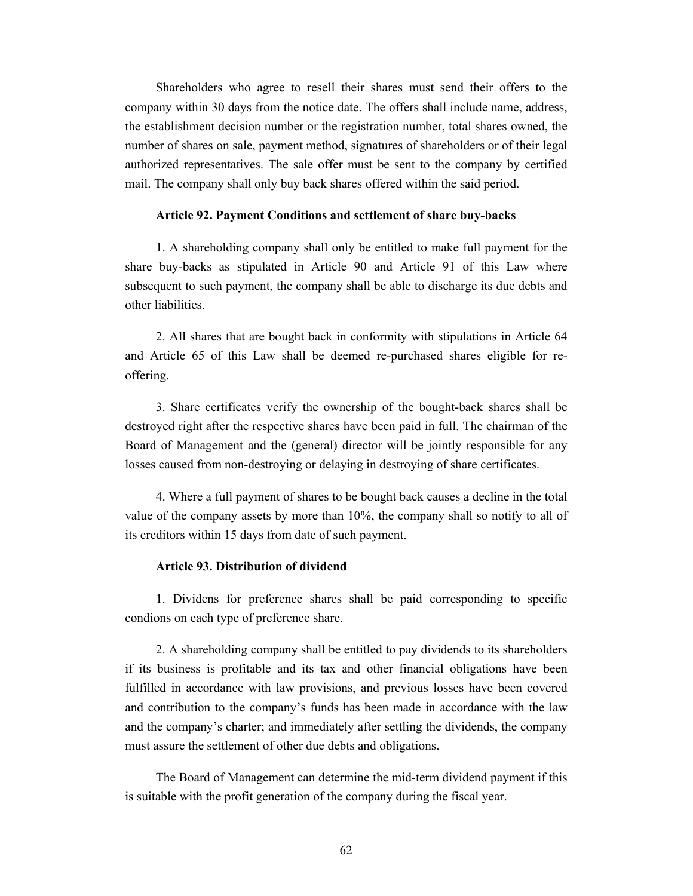Shareholders who agree to resell their shares must send their offers to the company within 30 days from the notice date. The offers shall include name, address, the establishment decision number or the registration number, total shares owned, the number of shares on sale, payment method, signatures of shareholders or of their legal authorized representatives. The sale offer must be sent to the company by certified mail. The company shall only buy back shares offered within the said period.

#### **Article 92. Payment Conditions and settlement of share buy-backs**

1. A shareholding company shall only be entitled to make full payment for the share buy-backs as stipulated in Article 90 and Article 91 of this Law where subsequent to such payment, the company shall be able to discharge its due debts and other liabilities.

2. All shares that are bought back in conformity with stipulations in Article 64 and Article 65 of this Law shall be deemed re-purchased shares eligible for reoffering.

3. Share certificates verify the ownership of the bought-back shares shall be destroyed right after the respective shares have been paid in full. The chairman of the Board of Management and the (general) director will be jointly responsible for any losses caused from non-destroying or delaying in destroying of share certificates.

4. Where a full payment of shares to be bought back causes a decline in the total value of the company assets by more than 10%, the company shall so notify to all of its creditors within 15 days from date of such payment.

## **Article 93. Distribution of dividend**

1. Dividens for preference shares shall be paid corresponding to specific condions on each type of preference share.

2. A shareholding company shall be entitled to pay dividends to its shareholders if its business is profitable and its tax and other financial obligations have been fulfilled in accordance with law provisions, and previous losses have been covered and contribution to the company's funds has been made in accordance with the law and the company's charter; and immediately after settling the dividends, the company must assure the settlement of other due debts and obligations.

The Board of Management can determine the mid-term dividend payment if this is suitable with the profit generation of the company during the fiscal year.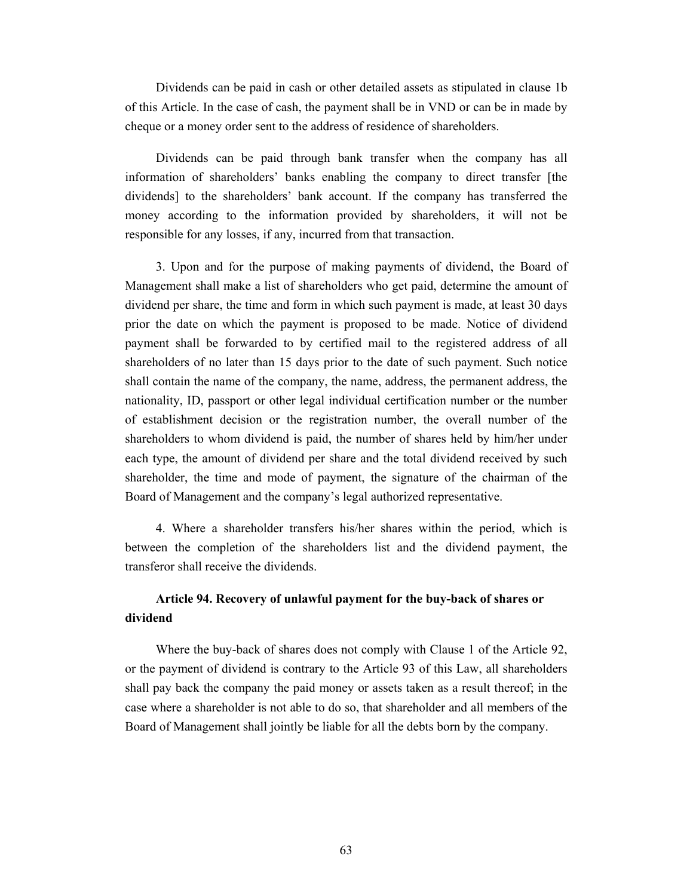Dividends can be paid in cash or other detailed assets as stipulated in clause 1b of this Article. In the case of cash, the payment shall be in VND or can be in made by cheque or a money order sent to the address of residence of shareholders.

Dividends can be paid through bank transfer when the company has all information of shareholders' banks enabling the company to direct transfer [the dividends] to the shareholders' bank account. If the company has transferred the money according to the information provided by shareholders, it will not be responsible for any losses, if any, incurred from that transaction.

3. Upon and for the purpose of making payments of dividend, the Board of Management shall make a list of shareholders who get paid, determine the amount of dividend per share, the time and form in which such payment is made, at least 30 days prior the date on which the payment is proposed to be made. Notice of dividend payment shall be forwarded to by certified mail to the registered address of all shareholders of no later than 15 days prior to the date of such payment. Such notice shall contain the name of the company, the name, address, the permanent address, the nationality, ID, passport or other legal individual certification number or the number of establishment decision or the registration number, the overall number of the shareholders to whom dividend is paid, the number of shares held by him/her under each type, the amount of dividend per share and the total dividend received by such shareholder, the time and mode of payment, the signature of the chairman of the Board of Management and the company's legal authorized representative.

4. Where a shareholder transfers his/her shares within the period, which is between the completion of the shareholders list and the dividend payment, the transferor shall receive the dividends.

## **Article 94. Recovery of unlawful payment for the buy-back of shares or dividend**

Where the buy-back of shares does not comply with Clause 1 of the Article 92, or the payment of dividend is contrary to the Article 93 of this Law, all shareholders shall pay back the company the paid money or assets taken as a result thereof; in the case where a shareholder is not able to do so, that shareholder and all members of the Board of Management shall jointly be liable for all the debts born by the company.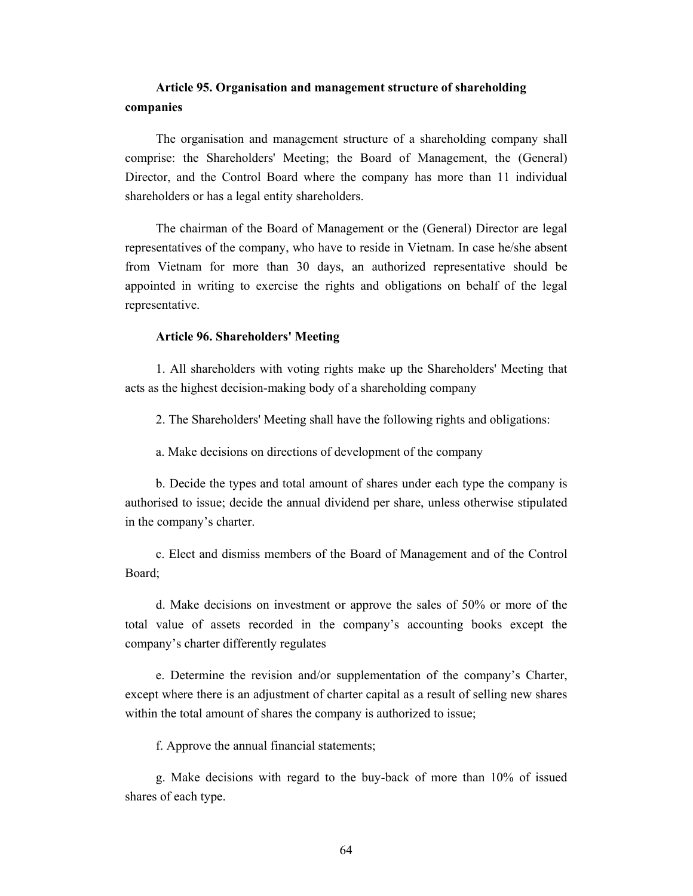## **Article 95. Organisation and management structure of shareholding companies**

The organisation and management structure of a shareholding company shall comprise: the Shareholders' Meeting; the Board of Management, the (General) Director, and the Control Board where the company has more than 11 individual shareholders or has a legal entity shareholders.

The chairman of the Board of Management or the (General) Director are legal representatives of the company, who have to reside in Vietnam. In case he/she absent from Vietnam for more than 30 days, an authorized representative should be appointed in writing to exercise the rights and obligations on behalf of the legal representative.

#### **Article 96. Shareholders' Meeting**

1. All shareholders with voting rights make up the Shareholders' Meeting that acts as the highest decision-making body of a shareholding company

2. The Shareholders' Meeting shall have the following rights and obligations:

a. Make decisions on directions of development of the company

b. Decide the types and total amount of shares under each type the company is authorised to issue; decide the annual dividend per share, unless otherwise stipulated in the company's charter.

c. Elect and dismiss members of the Board of Management and of the Control Board;

d. Make decisions on investment or approve the sales of 50% or more of the total value of assets recorded in the company's accounting books except the company's charter differently regulates

e. Determine the revision and/or supplementation of the company's Charter, except where there is an adjustment of charter capital as a result of selling new shares within the total amount of shares the company is authorized to issue;

f. Approve the annual financial statements;

g. Make decisions with regard to the buy-back of more than 10% of issued shares of each type.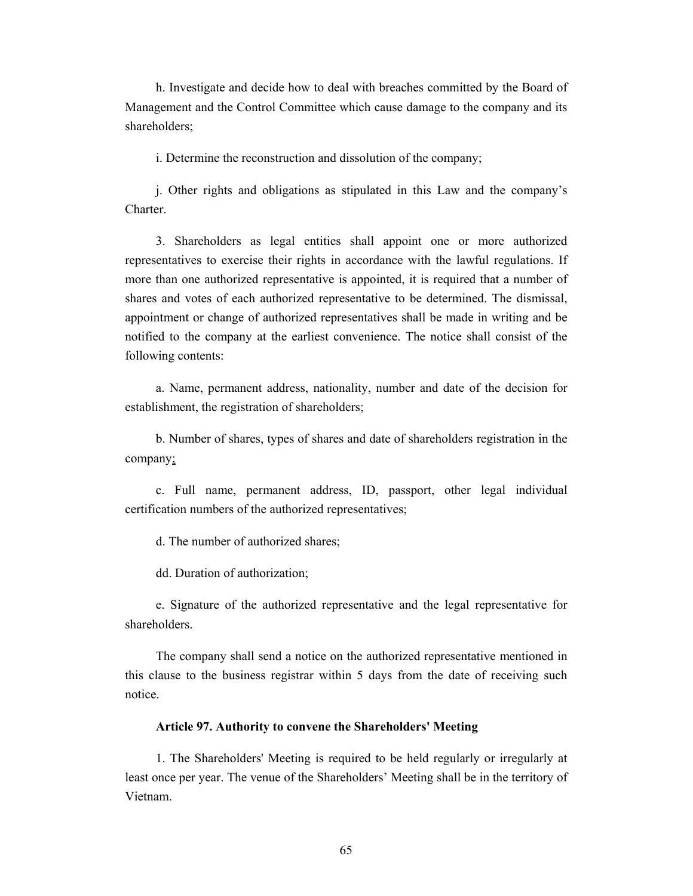h. Investigate and decide how to deal with breaches committed by the Board of Management and the Control Committee which cause damage to the company and its shareholders;

i. Determine the reconstruction and dissolution of the company;

j. Other rights and obligations as stipulated in this Law and the company's **Charter** 

3. Shareholders as legal entities shall appoint one or more authorized representatives to exercise their rights in accordance with the lawful regulations. If more than one authorized representative is appointed, it is required that a number of shares and votes of each authorized representative to be determined. The dismissal, appointment or change of authorized representatives shall be made in writing and be notified to the company at the earliest convenience. The notice shall consist of the following contents:

a. Name, permanent address, nationality, number and date of the decision for establishment, the registration of shareholders;

b. Number of shares, types of shares and date of shareholders registration in the company;

c. Full name, permanent address, ID, passport, other legal individual certification numbers of the authorized representatives;

d. The number of authorized shares;

dd. Duration of authorization;

e. Signature of the authorized representative and the legal representative for shareholders.

The company shall send a notice on the authorized representative mentioned in this clause to the business registrar within 5 days from the date of receiving such notice.

## **Article 97. Authority to convene the Shareholders' Meeting**

1. The Shareholders' Meeting is required to be held regularly or irregularly at least once per year. The venue of the Shareholders' Meeting shall be in the territory of Vietnam.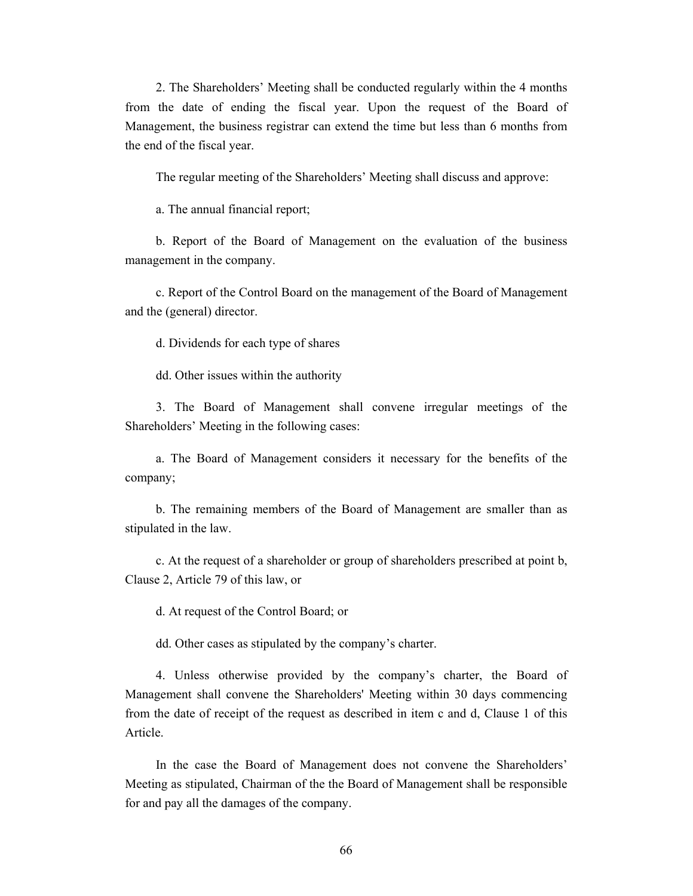2. The Shareholders' Meeting shall be conducted regularly within the 4 months from the date of ending the fiscal year. Upon the request of the Board of Management, the business registrar can extend the time but less than 6 months from the end of the fiscal year.

The regular meeting of the Shareholders' Meeting shall discuss and approve:

a. The annual financial report;

b. Report of the Board of Management on the evaluation of the business management in the company.

c. Report of the Control Board on the management of the Board of Management and the (general) director.

d. Dividends for each type of shares

dd. Other issues within the authority

3. The Board of Management shall convene irregular meetings of the Shareholders' Meeting in the following cases:

a. The Board of Management considers it necessary for the benefits of the company;

b. The remaining members of the Board of Management are smaller than as stipulated in the law.

c. At the request of a shareholder or group of shareholders prescribed at point b, Clause 2, Article 79 of this law, or

d. At request of the Control Board; or

dd. Other cases as stipulated by the company's charter.

4. Unless otherwise provided by the company's charter, the Board of Management shall convene the Shareholders' Meeting within 30 days commencing from the date of receipt of the request as described in item c and d, Clause 1 of this Article.

In the case the Board of Management does not convene the Shareholders' Meeting as stipulated, Chairman of the the Board of Management shall be responsible for and pay all the damages of the company.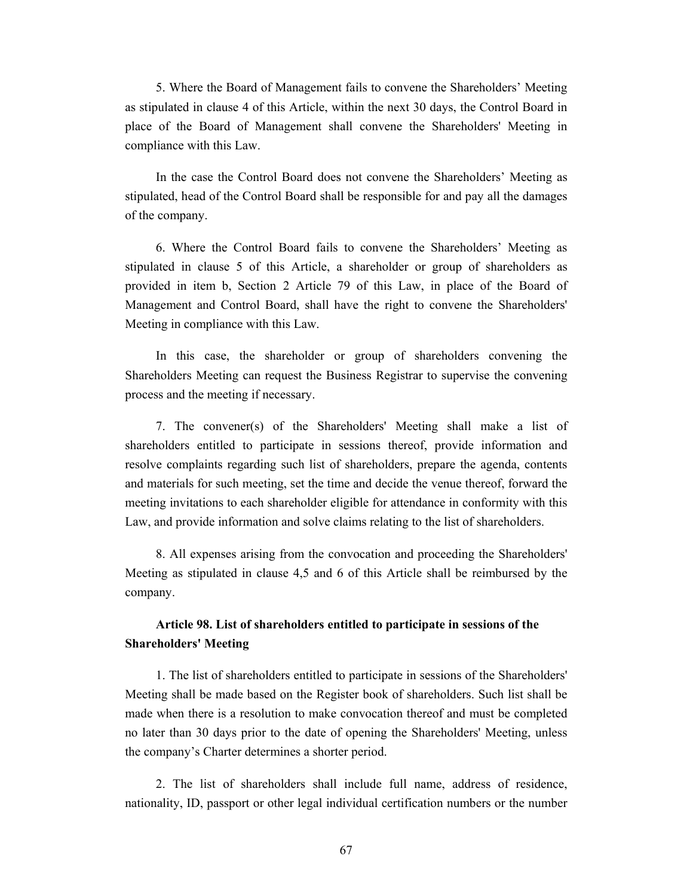5. Where the Board of Management fails to convene the Shareholders' Meeting as stipulated in clause 4 of this Article, within the next 30 days, the Control Board in place of the Board of Management shall convene the Shareholders' Meeting in compliance with this Law.

In the case the Control Board does not convene the Shareholders' Meeting as stipulated, head of the Control Board shall be responsible for and pay all the damages of the company.

6. Where the Control Board fails to convene the Shareholders' Meeting as stipulated in clause 5 of this Article, a shareholder or group of shareholders as provided in item b, Section 2 Article 79 of this Law, in place of the Board of Management and Control Board, shall have the right to convene the Shareholders' Meeting in compliance with this Law.

In this case, the shareholder or group of shareholders convening the Shareholders Meeting can request the Business Registrar to supervise the convening process and the meeting if necessary.

7. The convener(s) of the Shareholders' Meeting shall make a list of shareholders entitled to participate in sessions thereof, provide information and resolve complaints regarding such list of shareholders, prepare the agenda, contents and materials for such meeting, set the time and decide the venue thereof, forward the meeting invitations to each shareholder eligible for attendance in conformity with this Law, and provide information and solve claims relating to the list of shareholders.

8. All expenses arising from the convocation and proceeding the Shareholders' Meeting as stipulated in clause 4,5 and 6 of this Article shall be reimbursed by the company.

## **Article 98. List of shareholders entitled to participate in sessions of the Shareholders' Meeting**

1. The list of shareholders entitled to participate in sessions of the Shareholders' Meeting shall be made based on the Register book of shareholders. Such list shall be made when there is a resolution to make convocation thereof and must be completed no later than 30 days prior to the date of opening the Shareholders' Meeting, unless the company's Charter determines a shorter period.

2. The list of shareholders shall include full name, address of residence, nationality, ID, passport or other legal individual certification numbers or the number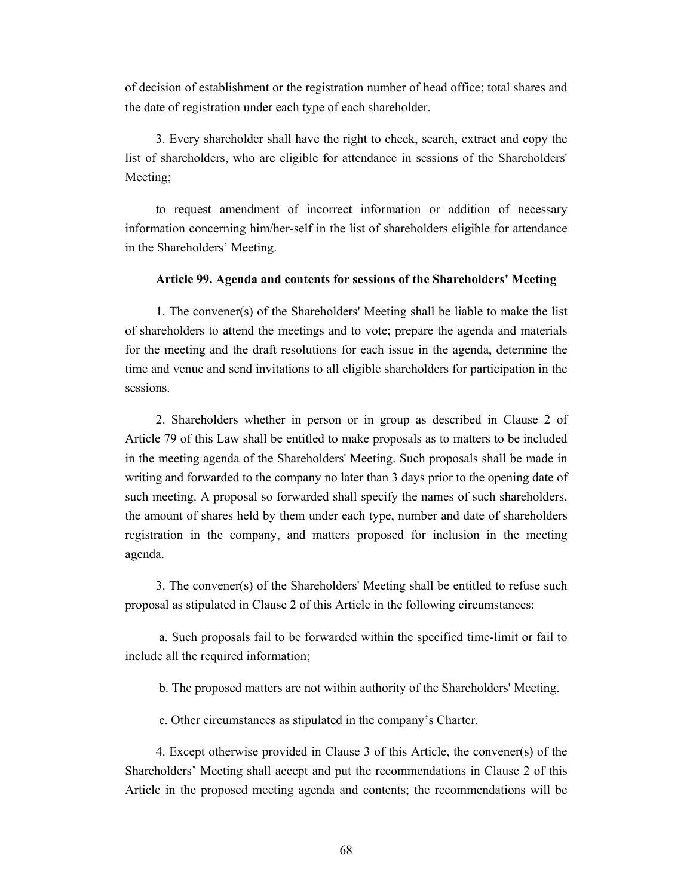of decision of establishment or the registration number of head office; total shares and the date of registration under each type of each shareholder.

3. Every shareholder shall have the right to check, search, extract and copy the list of shareholders, who are eligible for attendance in sessions of the Shareholders' Meeting;

to request amendment of incorrect information or addition of necessary information concerning him/her-self in the list of shareholders eligible for attendance in the Shareholders' Meeting.

## **Article 99. Agenda and contents for sessions of the Shareholders' Meeting**

1. The convener(s) of the Shareholders' Meeting shall be liable to make the list of shareholders to attend the meetings and to vote; prepare the agenda and materials for the meeting and the draft resolutions for each issue in the agenda, determine the time and venue and send invitations to all eligible shareholders for participation in the sessions.

2. Shareholders whether in person or in group as described in Clause 2 of Article 79 of this Law shall be entitled to make proposals as to matters to be included in the meeting agenda of the Shareholders' Meeting. Such proposals shall be made in writing and forwarded to the company no later than 3 days prior to the opening date of such meeting. A proposal so forwarded shall specify the names of such shareholders, the amount of shares held by them under each type, number and date of shareholders registration in the company, and matters proposed for inclusion in the meeting agenda.

3. The convener(s) of the Shareholders' Meeting shall be entitled to refuse such proposal as stipulated in Clause 2 of this Article in the following circumstances:

 a. Such proposals fail to be forwarded within the specified time-limit or fail to include all the required information;

b. The proposed matters are not within authority of the Shareholders' Meeting.

c. Other circumstances as stipulated in the company's Charter.

4. Except otherwise provided in Clause 3 of this Article, the convener(s) of the Shareholders' Meeting shall accept and put the recommendations in Clause 2 of this Article in the proposed meeting agenda and contents; the recommendations will be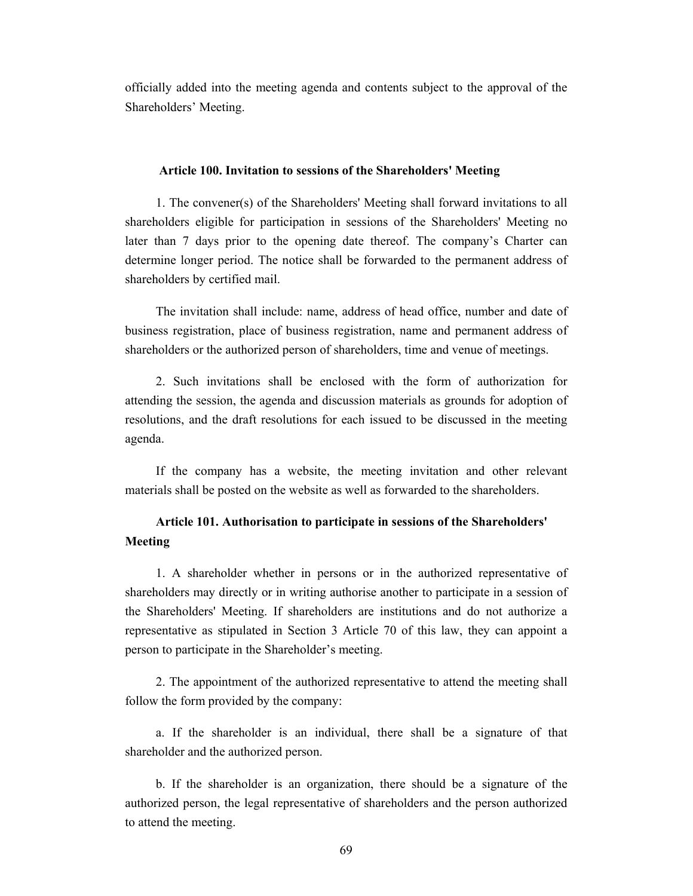officially added into the meeting agenda and contents subject to the approval of the Shareholders' Meeting.

#### **Article 100. Invitation to sessions of the Shareholders' Meeting**

1. The convener(s) of the Shareholders' Meeting shall forward invitations to all shareholders eligible for participation in sessions of the Shareholders' Meeting no later than 7 days prior to the opening date thereof. The company's Charter can determine longer period. The notice shall be forwarded to the permanent address of shareholders by certified mail.

The invitation shall include: name, address of head office, number and date of business registration, place of business registration, name and permanent address of shareholders or the authorized person of shareholders, time and venue of meetings.

2. Such invitations shall be enclosed with the form of authorization for attending the session, the agenda and discussion materials as grounds for adoption of resolutions, and the draft resolutions for each issued to be discussed in the meeting agenda.

If the company has a website, the meeting invitation and other relevant materials shall be posted on the website as well as forwarded to the shareholders.

## **Article 101. Authorisation to participate in sessions of the Shareholders' Meeting**

1. A shareholder whether in persons or in the authorized representative of shareholders may directly or in writing authorise another to participate in a session of the Shareholders' Meeting. If shareholders are institutions and do not authorize a representative as stipulated in Section 3 Article 70 of this law, they can appoint a person to participate in the Shareholder's meeting.

2. The appointment of the authorized representative to attend the meeting shall follow the form provided by the company:

a. If the shareholder is an individual, there shall be a signature of that shareholder and the authorized person.

b. If the shareholder is an organization, there should be a signature of the authorized person, the legal representative of shareholders and the person authorized to attend the meeting.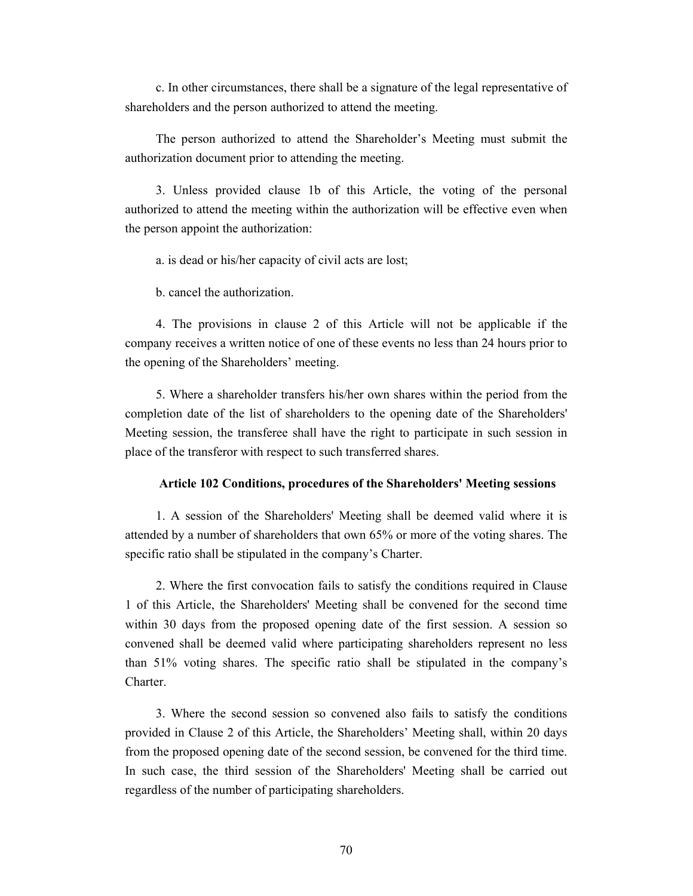c. In other circumstances, there shall be a signature of the legal representative of shareholders and the person authorized to attend the meeting.

The person authorized to attend the Shareholder's Meeting must submit the authorization document prior to attending the meeting.

3. Unless provided clause 1b of this Article, the voting of the personal authorized to attend the meeting within the authorization will be effective even when the person appoint the authorization:

a. is dead or his/her capacity of civil acts are lost;

b. cancel the authorization.

4. The provisions in clause 2 of this Article will not be applicable if the company receives a written notice of one of these events no less than 24 hours prior to the opening of the Shareholders' meeting.

5. Where a shareholder transfers his/her own shares within the period from the completion date of the list of shareholders to the opening date of the Shareholders' Meeting session, the transferee shall have the right to participate in such session in place of the transferor with respect to such transferred shares.

## **Article 102 Conditions, procedures of the Shareholders' Meeting sessions**

1. A session of the Shareholders' Meeting shall be deemed valid where it is attended by a number of shareholders that own 65% or more of the voting shares. The specific ratio shall be stipulated in the company's Charter.

2. Where the first convocation fails to satisfy the conditions required in Clause 1 of this Article, the Shareholders' Meeting shall be convened for the second time within 30 days from the proposed opening date of the first session. A session so convened shall be deemed valid where participating shareholders represent no less than 51% voting shares. The specific ratio shall be stipulated in the company's **Charter** 

3. Where the second session so convened also fails to satisfy the conditions provided in Clause 2 of this Article, the Shareholders' Meeting shall, within 20 days from the proposed opening date of the second session, be convened for the third time. In such case, the third session of the Shareholders' Meeting shall be carried out regardless of the number of participating shareholders.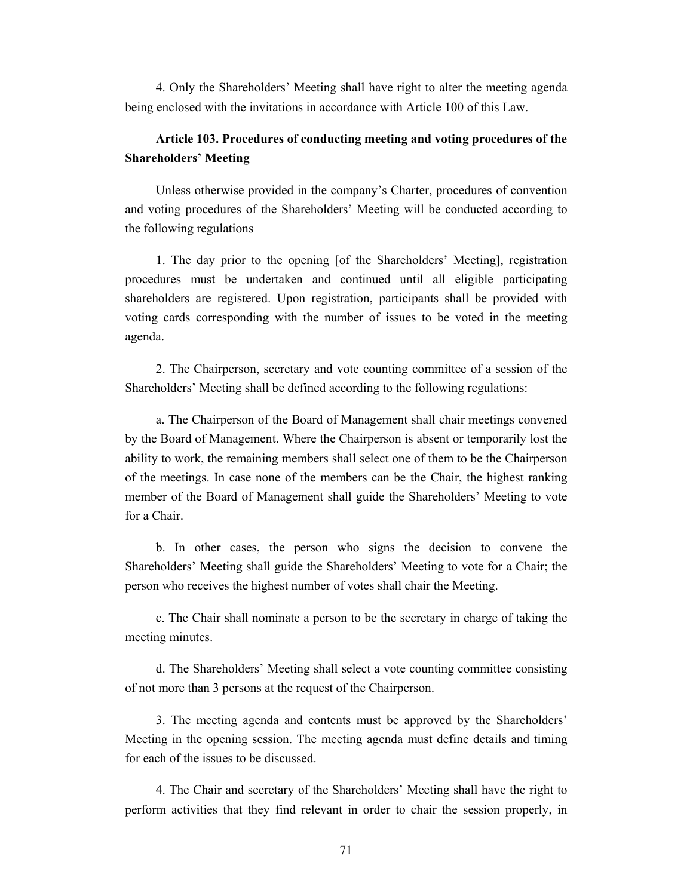4. Only the Shareholders' Meeting shall have right to alter the meeting agenda being enclosed with the invitations in accordance with Article 100 of this Law.

## **Article 103. Procedures of conducting meeting and voting procedures of the Shareholders' Meeting**

Unless otherwise provided in the company's Charter, procedures of convention and voting procedures of the Shareholders' Meeting will be conducted according to the following regulations

1. The day prior to the opening [of the Shareholders' Meeting], registration procedures must be undertaken and continued until all eligible participating shareholders are registered. Upon registration, participants shall be provided with voting cards corresponding with the number of issues to be voted in the meeting agenda.

2. The Chairperson, secretary and vote counting committee of a session of the Shareholders' Meeting shall be defined according to the following regulations:

a. The Chairperson of the Board of Management shall chair meetings convened by the Board of Management. Where the Chairperson is absent or temporarily lost the ability to work, the remaining members shall select one of them to be the Chairperson of the meetings. In case none of the members can be the Chair, the highest ranking member of the Board of Management shall guide the Shareholders' Meeting to vote for a Chair.

b. In other cases, the person who signs the decision to convene the Shareholders' Meeting shall guide the Shareholders' Meeting to vote for a Chair; the person who receives the highest number of votes shall chair the Meeting.

c. The Chair shall nominate a person to be the secretary in charge of taking the meeting minutes.

d. The Shareholders' Meeting shall select a vote counting committee consisting of not more than 3 persons at the request of the Chairperson.

3. The meeting agenda and contents must be approved by the Shareholders' Meeting in the opening session. The meeting agenda must define details and timing for each of the issues to be discussed.

4. The Chair and secretary of the Shareholders' Meeting shall have the right to perform activities that they find relevant in order to chair the session properly, in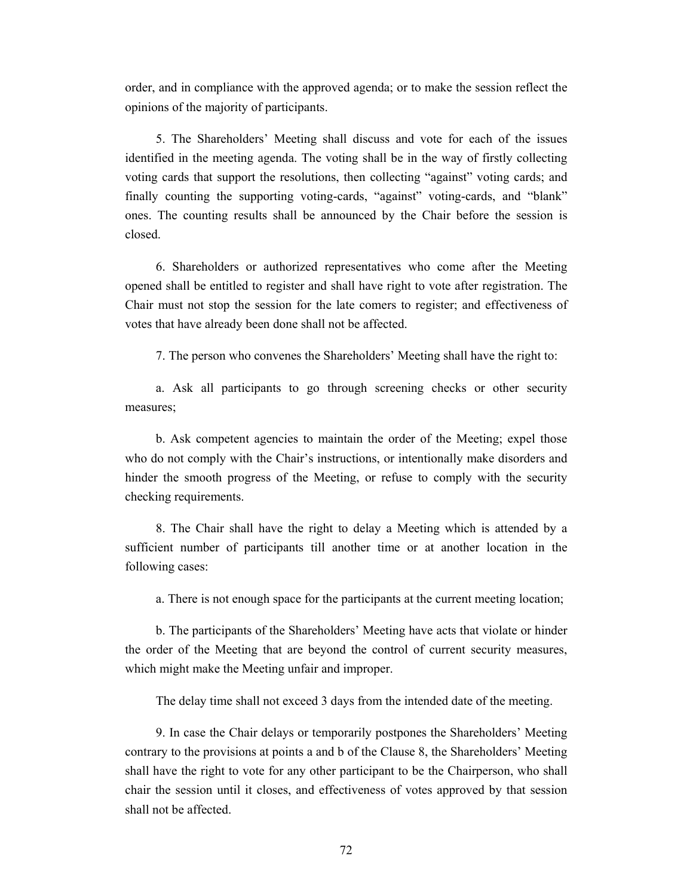order, and in compliance with the approved agenda; or to make the session reflect the opinions of the majority of participants.

5. The Shareholders' Meeting shall discuss and vote for each of the issues identified in the meeting agenda. The voting shall be in the way of firstly collecting voting cards that support the resolutions, then collecting "against" voting cards; and finally counting the supporting voting-cards, "against" voting-cards, and "blank" ones. The counting results shall be announced by the Chair before the session is closed.

6. Shareholders or authorized representatives who come after the Meeting opened shall be entitled to register and shall have right to vote after registration. The Chair must not stop the session for the late comers to register; and effectiveness of votes that have already been done shall not be affected.

7. The person who convenes the Shareholders' Meeting shall have the right to:

a. Ask all participants to go through screening checks or other security measures;

b. Ask competent agencies to maintain the order of the Meeting; expel those who do not comply with the Chair's instructions, or intentionally make disorders and hinder the smooth progress of the Meeting, or refuse to comply with the security checking requirements.

8. The Chair shall have the right to delay a Meeting which is attended by a sufficient number of participants till another time or at another location in the following cases:

a. There is not enough space for the participants at the current meeting location;

b. The participants of the Shareholders' Meeting have acts that violate or hinder the order of the Meeting that are beyond the control of current security measures, which might make the Meeting unfair and improper.

The delay time shall not exceed 3 days from the intended date of the meeting.

9. In case the Chair delays or temporarily postpones the Shareholders' Meeting contrary to the provisions at points a and b of the Clause 8, the Shareholders' Meeting shall have the right to vote for any other participant to be the Chairperson, who shall chair the session until it closes, and effectiveness of votes approved by that session shall not be affected.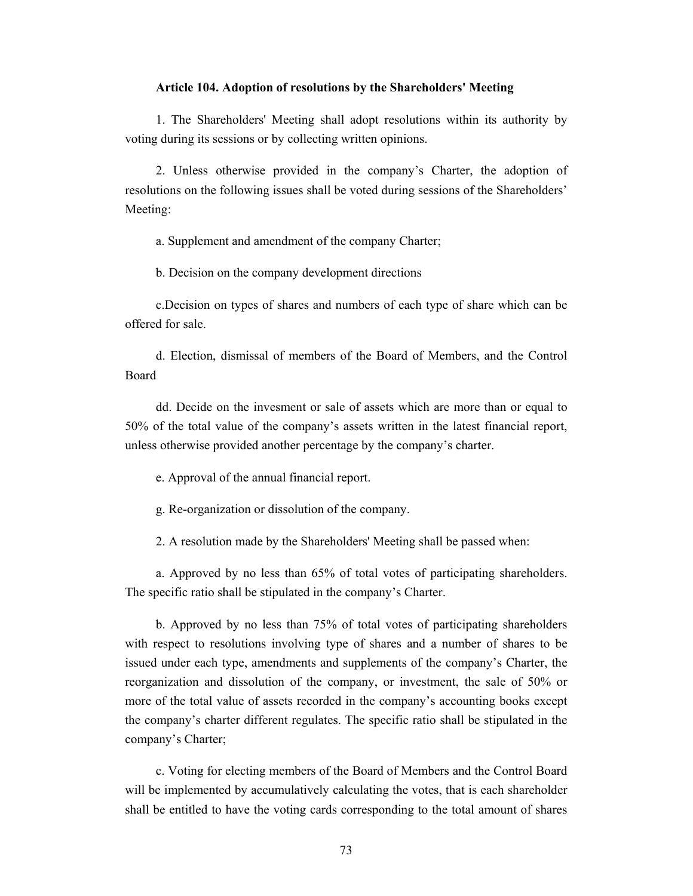#### **Article 104. Adoption of resolutions by the Shareholders' Meeting**

1. The Shareholders' Meeting shall adopt resolutions within its authority by voting during its sessions or by collecting written opinions.

2. Unless otherwise provided in the company's Charter, the adoption of resolutions on the following issues shall be voted during sessions of the Shareholders' Meeting:

a. Supplement and amendment of the company Charter;

b. Decision on the company development directions

c.Decision on types of shares and numbers of each type of share which can be offered for sale.

d. Election, dismissal of members of the Board of Members, and the Control Board

dd. Decide on the invesment or sale of assets which are more than or equal to 50% of the total value of the company's assets written in the latest financial report, unless otherwise provided another percentage by the company's charter.

e. Approval of the annual financial report.

g. Re-organization or dissolution of the company.

2. A resolution made by the Shareholders' Meeting shall be passed when:

a. Approved by no less than 65% of total votes of participating shareholders. The specific ratio shall be stipulated in the company's Charter.

b. Approved by no less than 75% of total votes of participating shareholders with respect to resolutions involving type of shares and a number of shares to be issued under each type, amendments and supplements of the company's Charter, the reorganization and dissolution of the company, or investment, the sale of 50% or more of the total value of assets recorded in the company's accounting books except the company's charter different regulates. The specific ratio shall be stipulated in the company's Charter;

c. Voting for electing members of the Board of Members and the Control Board will be implemented by accumulatively calculating the votes, that is each shareholder shall be entitled to have the voting cards corresponding to the total amount of shares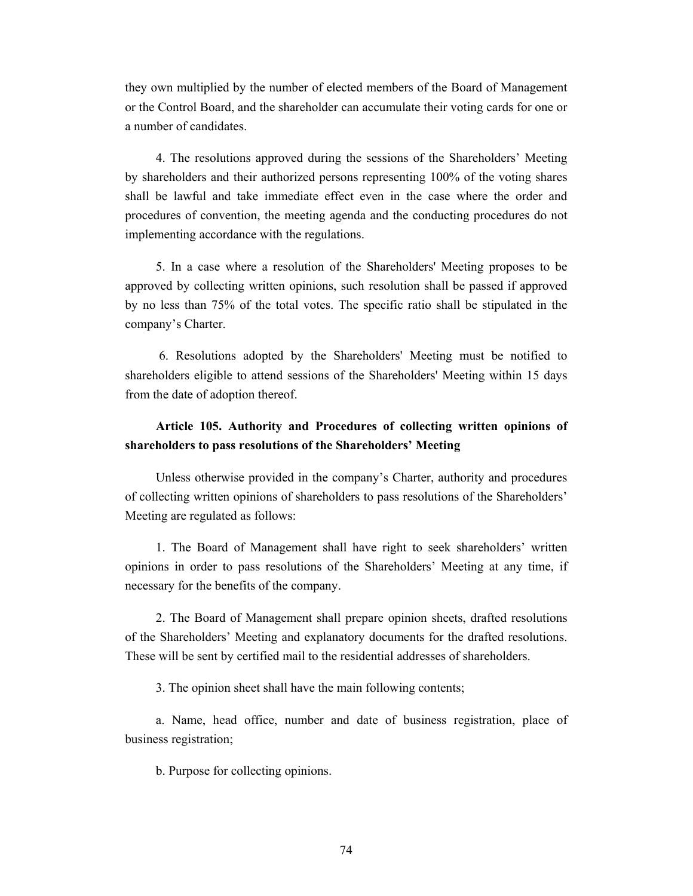they own multiplied by the number of elected members of the Board of Management or the Control Board, and the shareholder can accumulate their voting cards for one or a number of candidates.

4. The resolutions approved during the sessions of the Shareholders' Meeting by shareholders and their authorized persons representing 100% of the voting shares shall be lawful and take immediate effect even in the case where the order and procedures of convention, the meeting agenda and the conducting procedures do not implementing accordance with the regulations.

5. In a case where a resolution of the Shareholders' Meeting proposes to be approved by collecting written opinions, such resolution shall be passed if approved by no less than 75% of the total votes. The specific ratio shall be stipulated in the company's Charter.

 6. Resolutions adopted by the Shareholders' Meeting must be notified to shareholders eligible to attend sessions of the Shareholders' Meeting within 15 days from the date of adoption thereof.

# **Article 105. Authority and Procedures of collecting written opinions of shareholders to pass resolutions of the Shareholders' Meeting**

Unless otherwise provided in the company's Charter, authority and procedures of collecting written opinions of shareholders to pass resolutions of the Shareholders' Meeting are regulated as follows:

1. The Board of Management shall have right to seek shareholders' written opinions in order to pass resolutions of the Shareholders' Meeting at any time, if necessary for the benefits of the company.

2. The Board of Management shall prepare opinion sheets, drafted resolutions of the Shareholders' Meeting and explanatory documents for the drafted resolutions. These will be sent by certified mail to the residential addresses of shareholders.

3. The opinion sheet shall have the main following contents;

a. Name, head office, number and date of business registration, place of business registration;

b. Purpose for collecting opinions.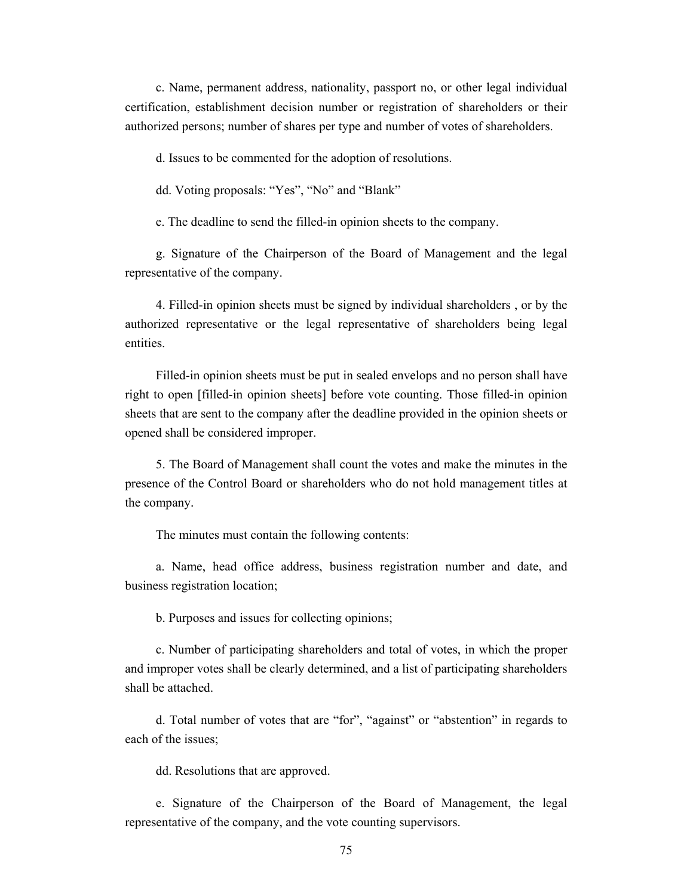c. Name, permanent address, nationality, passport no, or other legal individual certification, establishment decision number or registration of shareholders or their authorized persons; number of shares per type and number of votes of shareholders.

d. Issues to be commented for the adoption of resolutions.

dd. Voting proposals: "Yes", "No" and "Blank"

e. The deadline to send the filled-in opinion sheets to the company.

g. Signature of the Chairperson of the Board of Management and the legal representative of the company.

4. Filled-in opinion sheets must be signed by individual shareholders , or by the authorized representative or the legal representative of shareholders being legal entities.

Filled-in opinion sheets must be put in sealed envelops and no person shall have right to open [filled-in opinion sheets] before vote counting. Those filled-in opinion sheets that are sent to the company after the deadline provided in the opinion sheets or opened shall be considered improper.

5. The Board of Management shall count the votes and make the minutes in the presence of the Control Board or shareholders who do not hold management titles at the company.

The minutes must contain the following contents:

a. Name, head office address, business registration number and date, and business registration location;

b. Purposes and issues for collecting opinions;

c. Number of participating shareholders and total of votes, in which the proper and improper votes shall be clearly determined, and a list of participating shareholders shall be attached.

d. Total number of votes that are "for", "against" or "abstention" in regards to each of the issues;

dd. Resolutions that are approved.

e. Signature of the Chairperson of the Board of Management, the legal representative of the company, and the vote counting supervisors.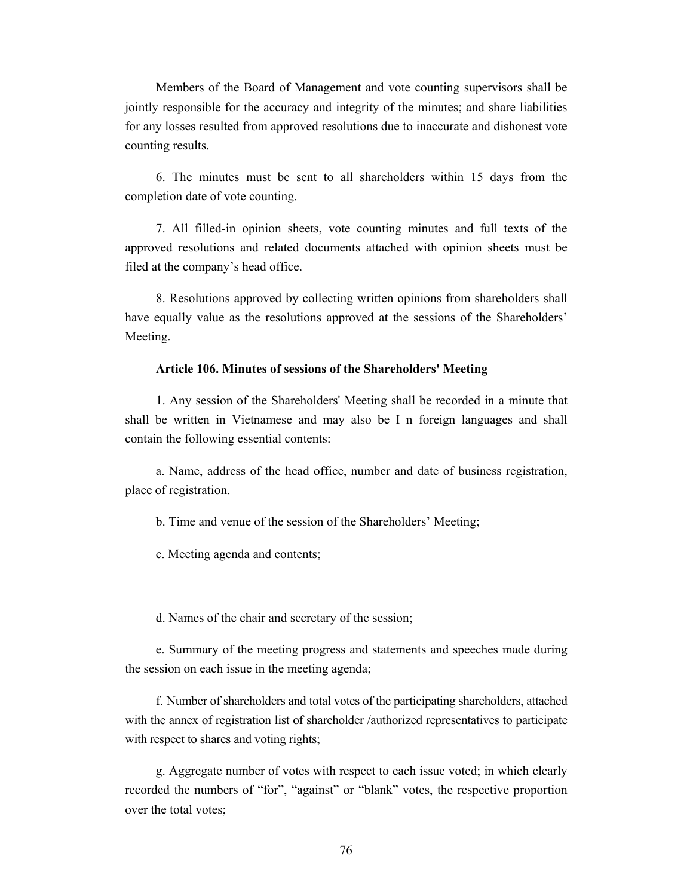Members of the Board of Management and vote counting supervisors shall be jointly responsible for the accuracy and integrity of the minutes; and share liabilities for any losses resulted from approved resolutions due to inaccurate and dishonest vote counting results.

6. The minutes must be sent to all shareholders within 15 days from the completion date of vote counting.

7. All filled-in opinion sheets, vote counting minutes and full texts of the approved resolutions and related documents attached with opinion sheets must be filed at the company's head office.

8. Resolutions approved by collecting written opinions from shareholders shall have equally value as the resolutions approved at the sessions of the Shareholders' Meeting.

#### **Article 106. Minutes of sessions of the Shareholders' Meeting**

1. Any session of the Shareholders' Meeting shall be recorded in a minute that shall be written in Vietnamese and may also be I n foreign languages and shall contain the following essential contents:

a. Name, address of the head office, number and date of business registration, place of registration.

b. Time and venue of the session of the Shareholders' Meeting;

c. Meeting agenda and contents;

d. Names of the chair and secretary of the session;

e. Summary of the meeting progress and statements and speeches made during the session on each issue in the meeting agenda;

f. Number of shareholders and total votes of the participating shareholders, attached with the annex of registration list of shareholder /authorized representatives to participate with respect to shares and voting rights;

g. Aggregate number of votes with respect to each issue voted; in which clearly recorded the numbers of "for", "against" or "blank" votes, the respective proportion over the total votes;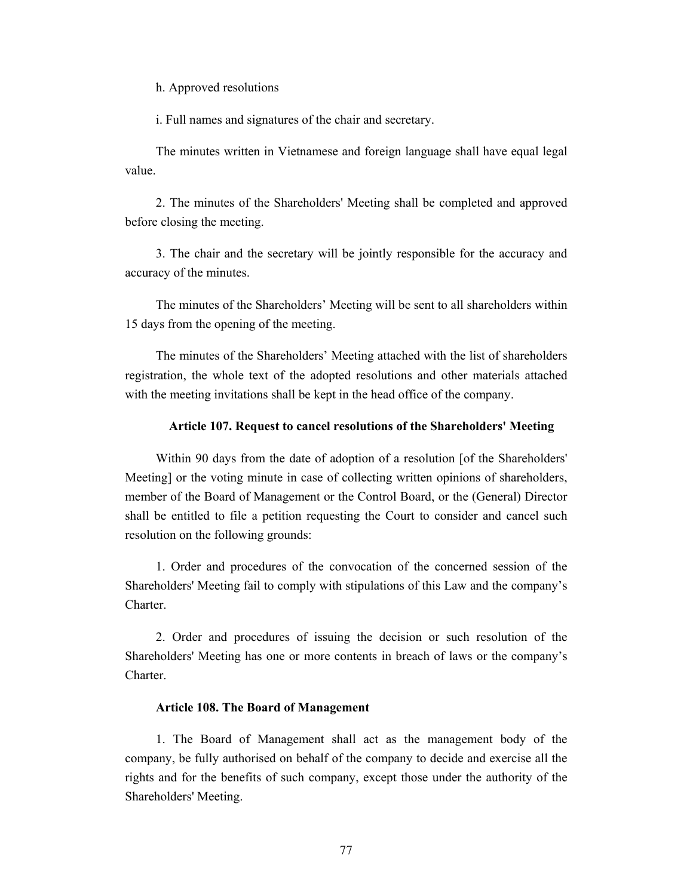h. Approved resolutions

i. Full names and signatures of the chair and secretary.

The minutes written in Vietnamese and foreign language shall have equal legal value.

2. The minutes of the Shareholders' Meeting shall be completed and approved before closing the meeting.

3. The chair and the secretary will be jointly responsible for the accuracy and accuracy of the minutes.

The minutes of the Shareholders' Meeting will be sent to all shareholders within 15 days from the opening of the meeting.

The minutes of the Shareholders' Meeting attached with the list of shareholders registration, the whole text of the adopted resolutions and other materials attached with the meeting invitations shall be kept in the head office of the company.

### **Article 107. Request to cancel resolutions of the Shareholders' Meeting**

Within 90 days from the date of adoption of a resolution [of the Shareholders' Meeting] or the voting minute in case of collecting written opinions of shareholders, member of the Board of Management or the Control Board, or the (General) Director shall be entitled to file a petition requesting the Court to consider and cancel such resolution on the following grounds:

1. Order and procedures of the convocation of the concerned session of the Shareholders' Meeting fail to comply with stipulations of this Law and the company's Charter.

2. Order and procedures of issuing the decision or such resolution of the Shareholders' Meeting has one or more contents in breach of laws or the company's **Charter** 

#### **Article 108. The Board of Management**

1. The Board of Management shall act as the management body of the company, be fully authorised on behalf of the company to decide and exercise all the rights and for the benefits of such company, except those under the authority of the Shareholders' Meeting.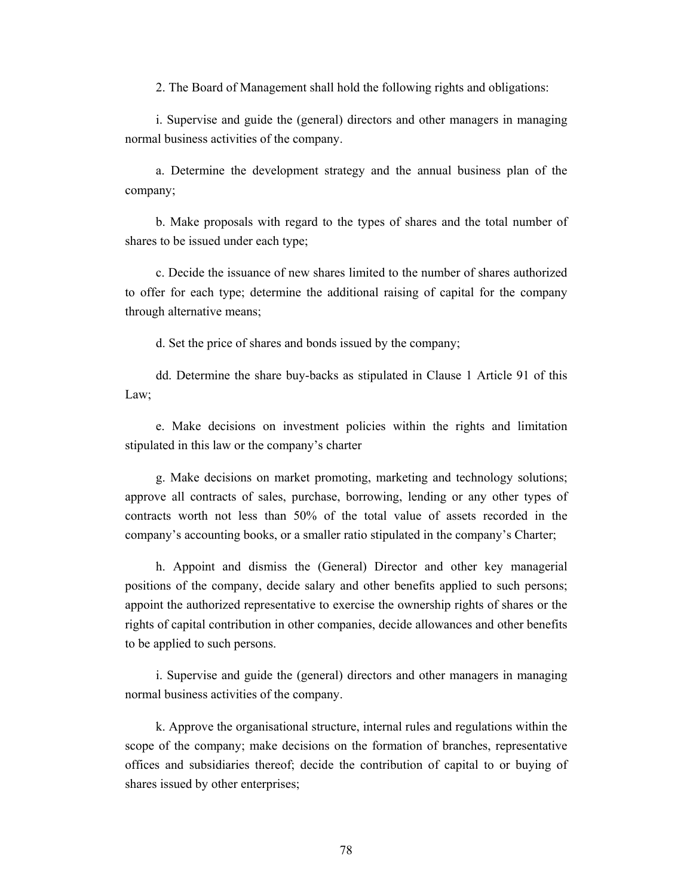2. The Board of Management shall hold the following rights and obligations:

i. Supervise and guide the (general) directors and other managers in managing normal business activities of the company.

a. Determine the development strategy and the annual business plan of the company;

b. Make proposals with regard to the types of shares and the total number of shares to be issued under each type;

c. Decide the issuance of new shares limited to the number of shares authorized to offer for each type; determine the additional raising of capital for the company through alternative means;

d. Set the price of shares and bonds issued by the company;

dd. Determine the share buy-backs as stipulated in Clause 1 Article 91 of this Law;

e. Make decisions on investment policies within the rights and limitation stipulated in this law or the company's charter

g. Make decisions on market promoting, marketing and technology solutions; approve all contracts of sales, purchase, borrowing, lending or any other types of contracts worth not less than 50% of the total value of assets recorded in the company's accounting books, or a smaller ratio stipulated in the company's Charter;

h. Appoint and dismiss the (General) Director and other key managerial positions of the company, decide salary and other benefits applied to such persons; appoint the authorized representative to exercise the ownership rights of shares or the rights of capital contribution in other companies, decide allowances and other benefits to be applied to such persons.

i. Supervise and guide the (general) directors and other managers in managing normal business activities of the company.

k. Approve the organisational structure, internal rules and regulations within the scope of the company; make decisions on the formation of branches, representative offices and subsidiaries thereof; decide the contribution of capital to or buying of shares issued by other enterprises;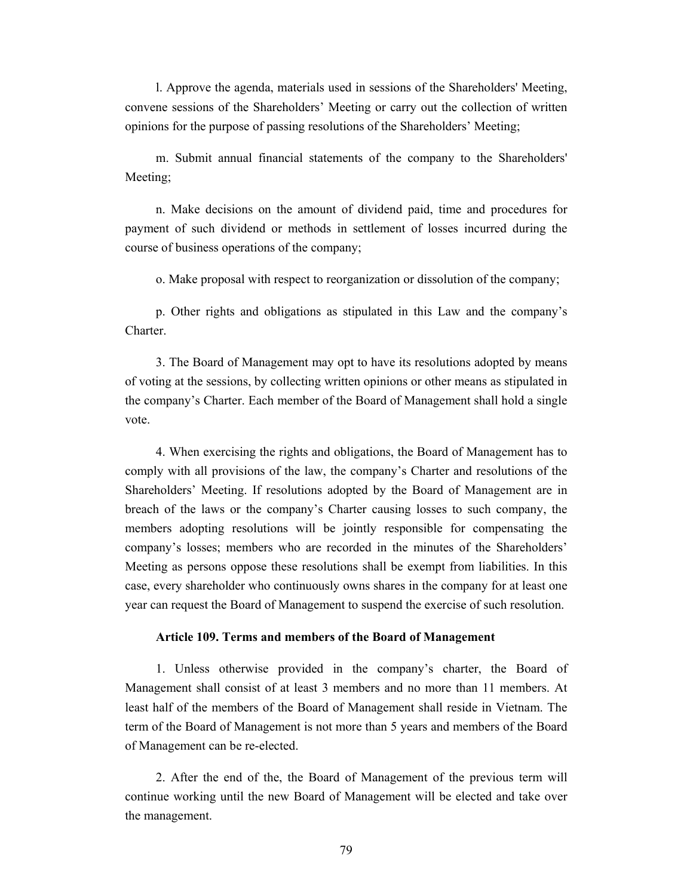l. Approve the agenda, materials used in sessions of the Shareholders' Meeting, convene sessions of the Shareholders' Meeting or carry out the collection of written opinions for the purpose of passing resolutions of the Shareholders' Meeting;

m. Submit annual financial statements of the company to the Shareholders' Meeting;

n. Make decisions on the amount of dividend paid, time and procedures for payment of such dividend or methods in settlement of losses incurred during the course of business operations of the company;

o. Make proposal with respect to reorganization or dissolution of the company;

p. Other rights and obligations as stipulated in this Law and the company's Charter.

3. The Board of Management may opt to have its resolutions adopted by means of voting at the sessions, by collecting written opinions or other means as stipulated in the company's Charter. Each member of the Board of Management shall hold a single vote.

4. When exercising the rights and obligations, the Board of Management has to comply with all provisions of the law, the company's Charter and resolutions of the Shareholders' Meeting. If resolutions adopted by the Board of Management are in breach of the laws or the company's Charter causing losses to such company, the members adopting resolutions will be jointly responsible for compensating the company's losses; members who are recorded in the minutes of the Shareholders' Meeting as persons oppose these resolutions shall be exempt from liabilities. In this case, every shareholder who continuously owns shares in the company for at least one year can request the Board of Management to suspend the exercise of such resolution.

#### **Article 109. Terms and members of the Board of Management**

1. Unless otherwise provided in the company's charter, the Board of Management shall consist of at least 3 members and no more than 11 members. At least half of the members of the Board of Management shall reside in Vietnam. The term of the Board of Management is not more than 5 years and members of the Board of Management can be re-elected.

2. After the end of the, the Board of Management of the previous term will continue working until the new Board of Management will be elected and take over the management.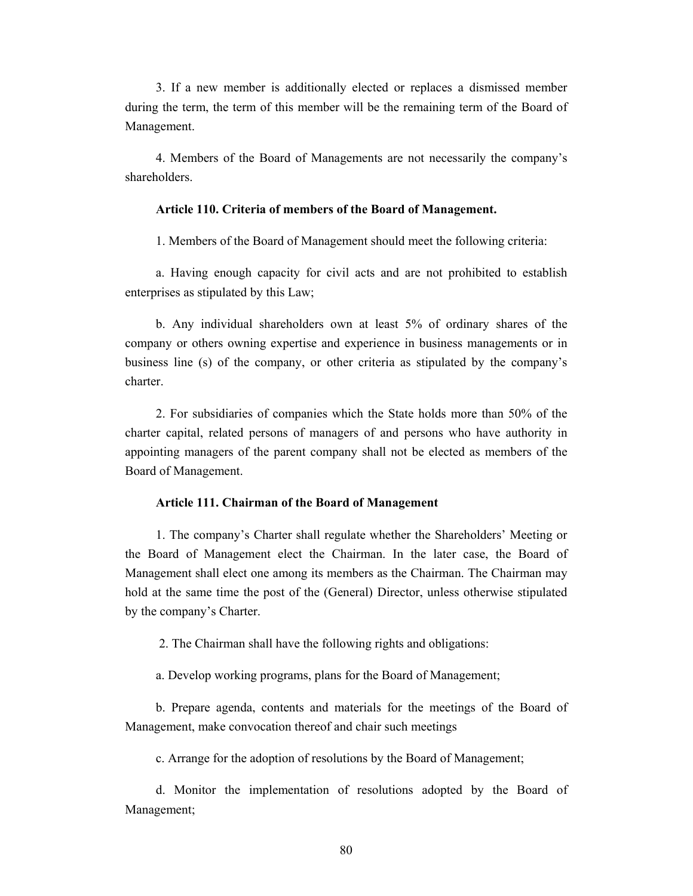3. If a new member is additionally elected or replaces a dismissed member during the term, the term of this member will be the remaining term of the Board of Management.

4. Members of the Board of Managements are not necessarily the company's shareholders.

### **Article 110. Criteria of members of the Board of Management.**

1. Members of the Board of Management should meet the following criteria:

a. Having enough capacity for civil acts and are not prohibited to establish enterprises as stipulated by this Law;

b. Any individual shareholders own at least 5% of ordinary shares of the company or others owning expertise and experience in business managements or in business line (s) of the company, or other criteria as stipulated by the company's charter.

2. For subsidiaries of companies which the State holds more than 50% of the charter capital, related persons of managers of and persons who have authority in appointing managers of the parent company shall not be elected as members of the Board of Management.

#### **Article 111. Chairman of the Board of Management**

1. The company's Charter shall regulate whether the Shareholders' Meeting or the Board of Management elect the Chairman. In the later case, the Board of Management shall elect one among its members as the Chairman. The Chairman may hold at the same time the post of the (General) Director, unless otherwise stipulated by the company's Charter.

2. The Chairman shall have the following rights and obligations:

a. Develop working programs, plans for the Board of Management;

b. Prepare agenda, contents and materials for the meetings of the Board of Management, make convocation thereof and chair such meetings

c. Arrange for the adoption of resolutions by the Board of Management;

d. Monitor the implementation of resolutions adopted by the Board of Management;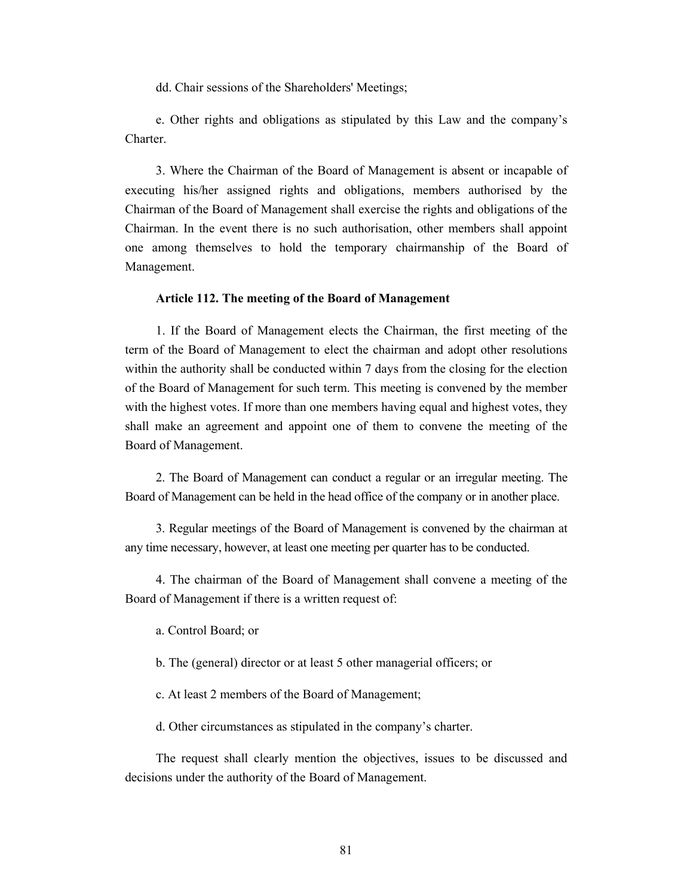dd. Chair sessions of the Shareholders' Meetings;

e. Other rights and obligations as stipulated by this Law and the company's Charter.

3. Where the Chairman of the Board of Management is absent or incapable of executing his/her assigned rights and obligations, members authorised by the Chairman of the Board of Management shall exercise the rights and obligations of the Chairman. In the event there is no such authorisation, other members shall appoint one among themselves to hold the temporary chairmanship of the Board of Management.

#### **Article 112. The meeting of the Board of Management**

1. If the Board of Management elects the Chairman, the first meeting of the term of the Board of Management to elect the chairman and adopt other resolutions within the authority shall be conducted within 7 days from the closing for the election of the Board of Management for such term. This meeting is convened by the member with the highest votes. If more than one members having equal and highest votes, they shall make an agreement and appoint one of them to convene the meeting of the Board of Management.

2. The Board of Management can conduct a regular or an irregular meeting. The Board of Management can be held in the head office of the company or in another place.

3. Regular meetings of the Board of Management is convened by the chairman at any time necessary, however, at least one meeting per quarter has to be conducted.

4. The chairman of the Board of Management shall convene a meeting of the Board of Management if there is a written request of:

a. Control Board; or

b. The (general) director or at least 5 other managerial officers; or

c. At least 2 members of the Board of Management;

d. Other circumstances as stipulated in the company's charter.

The request shall clearly mention the objectives, issues to be discussed and decisions under the authority of the Board of Management.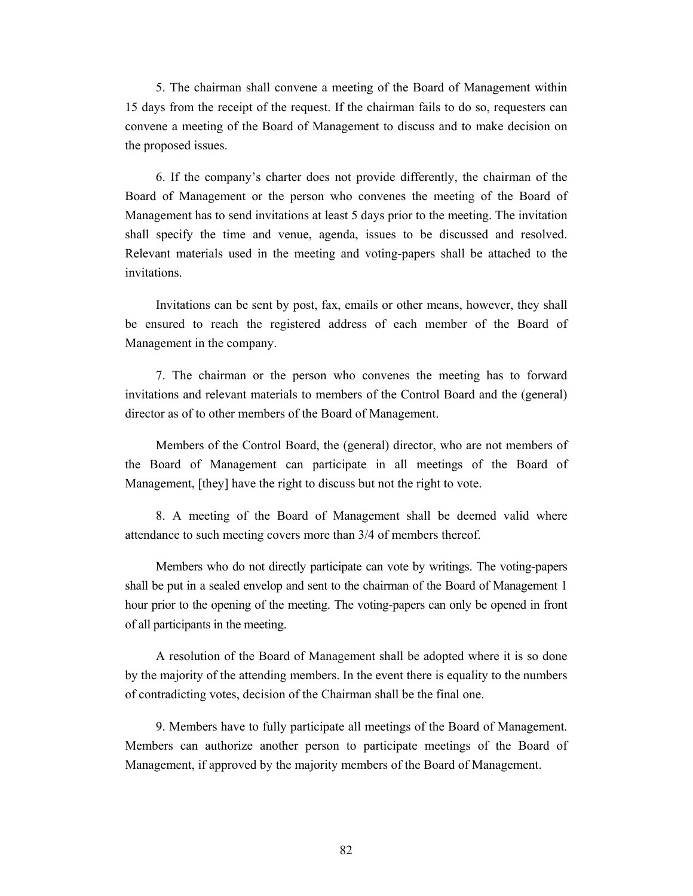5. The chairman shall convene a meeting of the Board of Management within 15 days from the receipt of the request. If the chairman fails to do so, requesters can convene a meeting of the Board of Management to discuss and to make decision on the proposed issues.

6. If the company's charter does not provide differently, the chairman of the Board of Management or the person who convenes the meeting of the Board of Management has to send invitations at least 5 days prior to the meeting. The invitation shall specify the time and venue, agenda, issues to be discussed and resolved. Relevant materials used in the meeting and voting-papers shall be attached to the invitations.

Invitations can be sent by post, fax, emails or other means, however, they shall be ensured to reach the registered address of each member of the Board of Management in the company.

7. The chairman or the person who convenes the meeting has to forward invitations and relevant materials to members of the Control Board and the (general) director as of to other members of the Board of Management.

Members of the Control Board, the (general) director, who are not members of the Board of Management can participate in all meetings of the Board of Management, [they] have the right to discuss but not the right to vote.

8. A meeting of the Board of Management shall be deemed valid where attendance to such meeting covers more than 3/4 of members thereof.

Members who do not directly participate can vote by writings. The voting-papers shall be put in a sealed envelop and sent to the chairman of the Board of Management 1 hour prior to the opening of the meeting. The voting-papers can only be opened in front of all participants in the meeting.

A resolution of the Board of Management shall be adopted where it is so done by the majority of the attending members. In the event there is equality to the numbers of contradicting votes, decision of the Chairman shall be the final one.

9. Members have to fully participate all meetings of the Board of Management. Members can authorize another person to participate meetings of the Board of Management, if approved by the majority members of the Board of Management.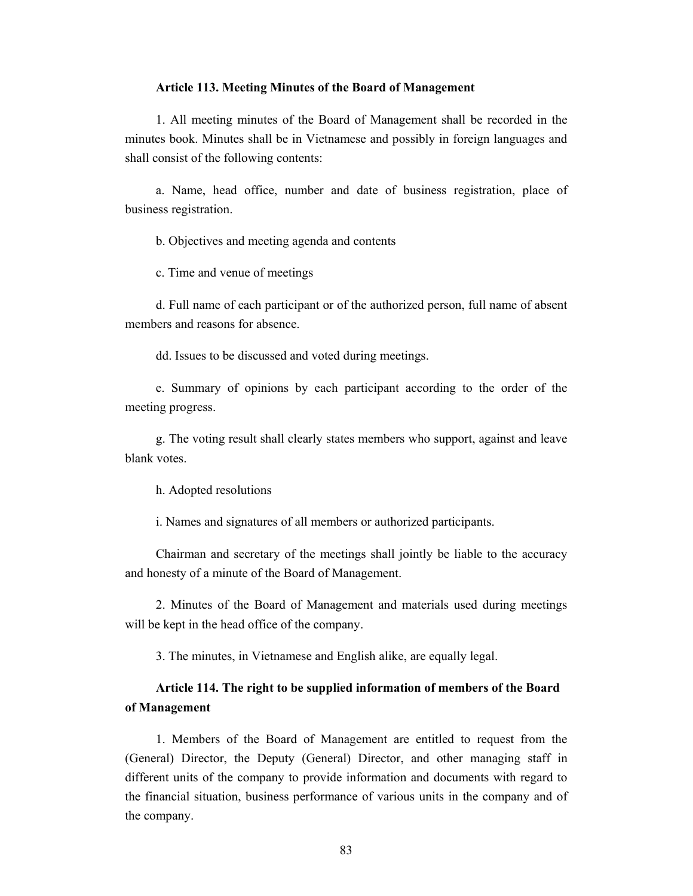#### **Article 113. Meeting Minutes of the Board of Management**

1. All meeting minutes of the Board of Management shall be recorded in the minutes book. Minutes shall be in Vietnamese and possibly in foreign languages and shall consist of the following contents:

a. Name, head office, number and date of business registration, place of business registration.

b. Objectives and meeting agenda and contents

c. Time and venue of meetings

d. Full name of each participant or of the authorized person, full name of absent members and reasons for absence.

dd. Issues to be discussed and voted during meetings.

e. Summary of opinions by each participant according to the order of the meeting progress.

g. The voting result shall clearly states members who support, against and leave blank votes.

h. Adopted resolutions

i. Names and signatures of all members or authorized participants.

Chairman and secretary of the meetings shall jointly be liable to the accuracy and honesty of a minute of the Board of Management.

2. Minutes of the Board of Management and materials used during meetings will be kept in the head office of the company.

3. The minutes, in Vietnamese and English alike, are equally legal.

## **Article 114. The right to be supplied information of members of the Board of Management**

1. Members of the Board of Management are entitled to request from the (General) Director, the Deputy (General) Director, and other managing staff in different units of the company to provide information and documents with regard to the financial situation, business performance of various units in the company and of the company.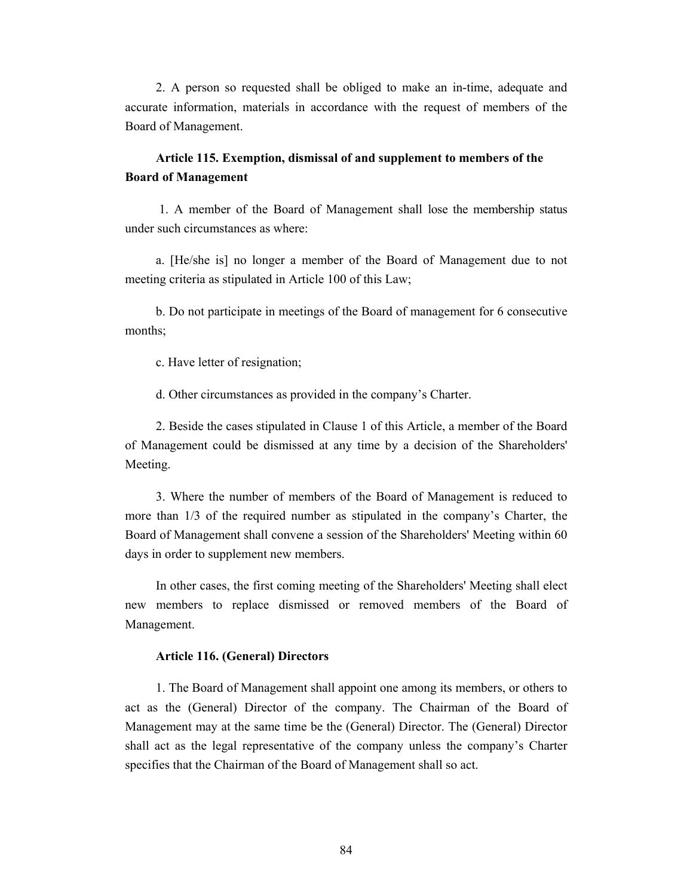2. A person so requested shall be obliged to make an in-time, adequate and accurate information, materials in accordance with the request of members of the Board of Management.

## **Article 115. Exemption, dismissal of and supplement to members of the Board of Management**

 1. A member of the Board of Management shall lose the membership status under such circumstances as where:

a. [He/she is] no longer a member of the Board of Management due to not meeting criteria as stipulated in Article 100 of this Law;

b. Do not participate in meetings of the Board of management for 6 consecutive months;

c. Have letter of resignation;

d. Other circumstances as provided in the company's Charter.

2. Beside the cases stipulated in Clause 1 of this Article, a member of the Board of Management could be dismissed at any time by a decision of the Shareholders' Meeting.

3. Where the number of members of the Board of Management is reduced to more than 1/3 of the required number as stipulated in the company's Charter, the Board of Management shall convene a session of the Shareholders' Meeting within 60 days in order to supplement new members.

In other cases, the first coming meeting of the Shareholders' Meeting shall elect new members to replace dismissed or removed members of the Board of Management.

### **Article 116. (General) Directors**

1. The Board of Management shall appoint one among its members, or others to act as the (General) Director of the company. The Chairman of the Board of Management may at the same time be the (General) Director. The (General) Director shall act as the legal representative of the company unless the company's Charter specifies that the Chairman of the Board of Management shall so act.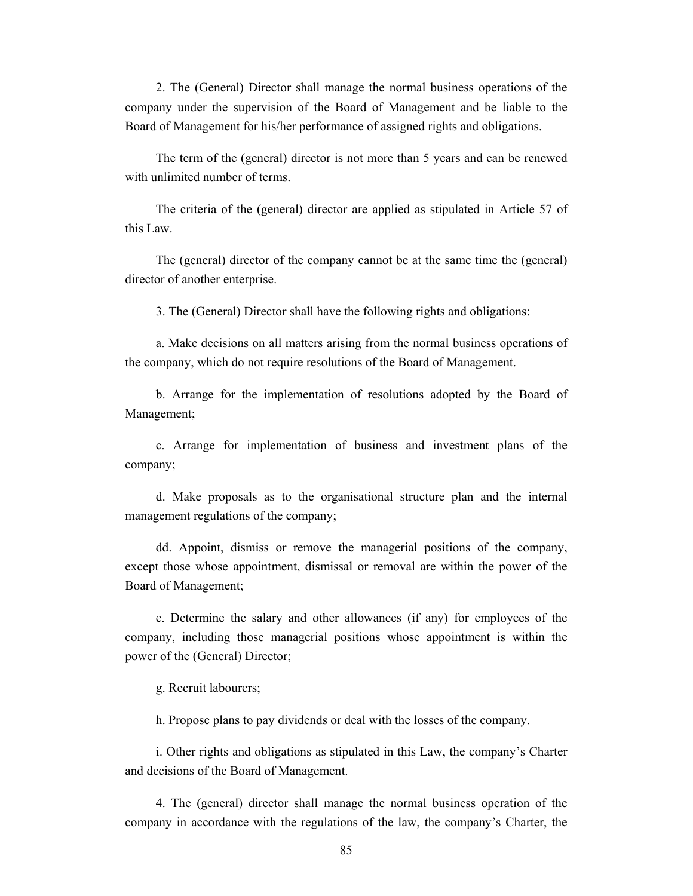2. The (General) Director shall manage the normal business operations of the company under the supervision of the Board of Management and be liable to the Board of Management for his/her performance of assigned rights and obligations.

The term of the (general) director is not more than 5 years and can be renewed with unlimited number of terms.

The criteria of the (general) director are applied as stipulated in Article 57 of this Law.

The (general) director of the company cannot be at the same time the (general) director of another enterprise.

3. The (General) Director shall have the following rights and obligations:

a. Make decisions on all matters arising from the normal business operations of the company, which do not require resolutions of the Board of Management.

b. Arrange for the implementation of resolutions adopted by the Board of Management;

c. Arrange for implementation of business and investment plans of the company;

d. Make proposals as to the organisational structure plan and the internal management regulations of the company;

dd. Appoint, dismiss or remove the managerial positions of the company, except those whose appointment, dismissal or removal are within the power of the Board of Management;

e. Determine the salary and other allowances (if any) for employees of the company, including those managerial positions whose appointment is within the power of the (General) Director;

g. Recruit labourers;

h. Propose plans to pay dividends or deal with the losses of the company.

i. Other rights and obligations as stipulated in this Law, the company's Charter and decisions of the Board of Management.

4. The (general) director shall manage the normal business operation of the company in accordance with the regulations of the law, the company's Charter, the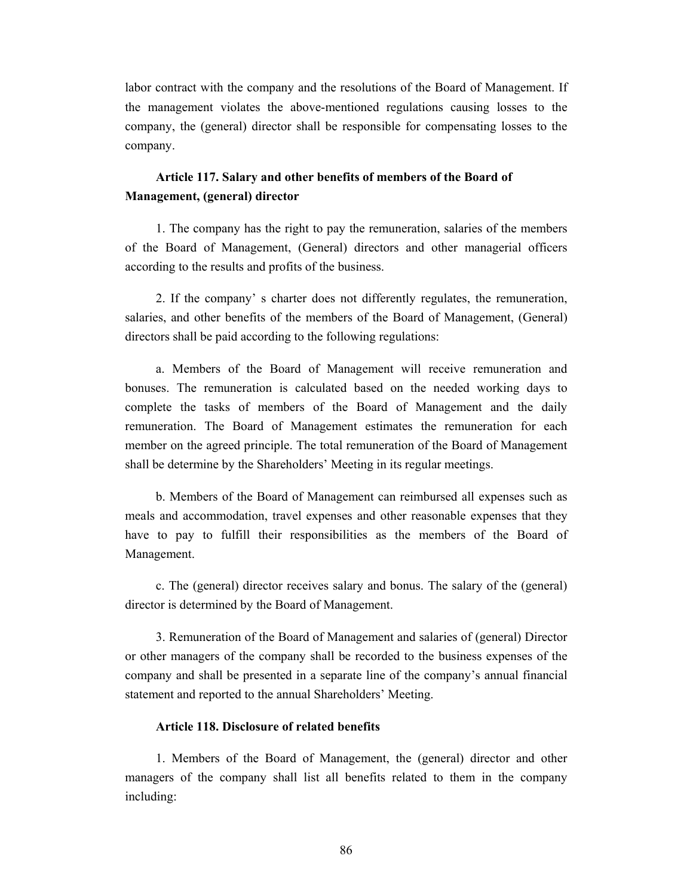labor contract with the company and the resolutions of the Board of Management. If the management violates the above-mentioned regulations causing losses to the company, the (general) director shall be responsible for compensating losses to the company.

## **Article 117. Salary and other benefits of members of the Board of Management, (general) director**

1. The company has the right to pay the remuneration, salaries of the members of the Board of Management, (General) directors and other managerial officers according to the results and profits of the business.

2. If the company' s charter does not differently regulates, the remuneration, salaries, and other benefits of the members of the Board of Management, (General) directors shall be paid according to the following regulations:

a. Members of the Board of Management will receive remuneration and bonuses. The remuneration is calculated based on the needed working days to complete the tasks of members of the Board of Management and the daily remuneration. The Board of Management estimates the remuneration for each member on the agreed principle. The total remuneration of the Board of Management shall be determine by the Shareholders' Meeting in its regular meetings.

b. Members of the Board of Management can reimbursed all expenses such as meals and accommodation, travel expenses and other reasonable expenses that they have to pay to fulfill their responsibilities as the members of the Board of Management.

c. The (general) director receives salary and bonus. The salary of the (general) director is determined by the Board of Management.

3. Remuneration of the Board of Management and salaries of (general) Director or other managers of the company shall be recorded to the business expenses of the company and shall be presented in a separate line of the company's annual financial statement and reported to the annual Shareholders' Meeting.

### **Article 118. Disclosure of related benefits**

1. Members of the Board of Management, the (general) director and other managers of the company shall list all benefits related to them in the company including: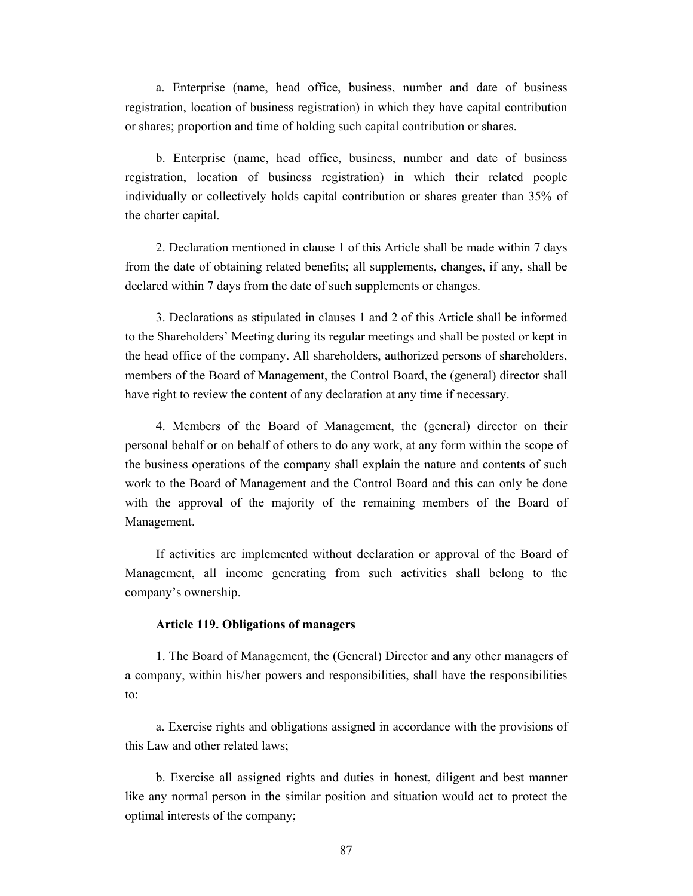a. Enterprise (name, head office, business, number and date of business registration, location of business registration) in which they have capital contribution or shares; proportion and time of holding such capital contribution or shares.

b. Enterprise (name, head office, business, number and date of business registration, location of business registration) in which their related people individually or collectively holds capital contribution or shares greater than 35% of the charter capital.

2. Declaration mentioned in clause 1 of this Article shall be made within 7 days from the date of obtaining related benefits; all supplements, changes, if any, shall be declared within 7 days from the date of such supplements or changes.

3. Declarations as stipulated in clauses 1 and 2 of this Article shall be informed to the Shareholders' Meeting during its regular meetings and shall be posted or kept in the head office of the company. All shareholders, authorized persons of shareholders, members of the Board of Management, the Control Board, the (general) director shall have right to review the content of any declaration at any time if necessary.

4. Members of the Board of Management, the (general) director on their personal behalf or on behalf of others to do any work, at any form within the scope of the business operations of the company shall explain the nature and contents of such work to the Board of Management and the Control Board and this can only be done with the approval of the majority of the remaining members of the Board of Management.

If activities are implemented without declaration or approval of the Board of Management, all income generating from such activities shall belong to the company's ownership.

### **Article 119. Obligations of managers**

1. The Board of Management, the (General) Director and any other managers of a company, within his/her powers and responsibilities, shall have the responsibilities to:

a. Exercise rights and obligations assigned in accordance with the provisions of this Law and other related laws;

b. Exercise all assigned rights and duties in honest, diligent and best manner like any normal person in the similar position and situation would act to protect the optimal interests of the company;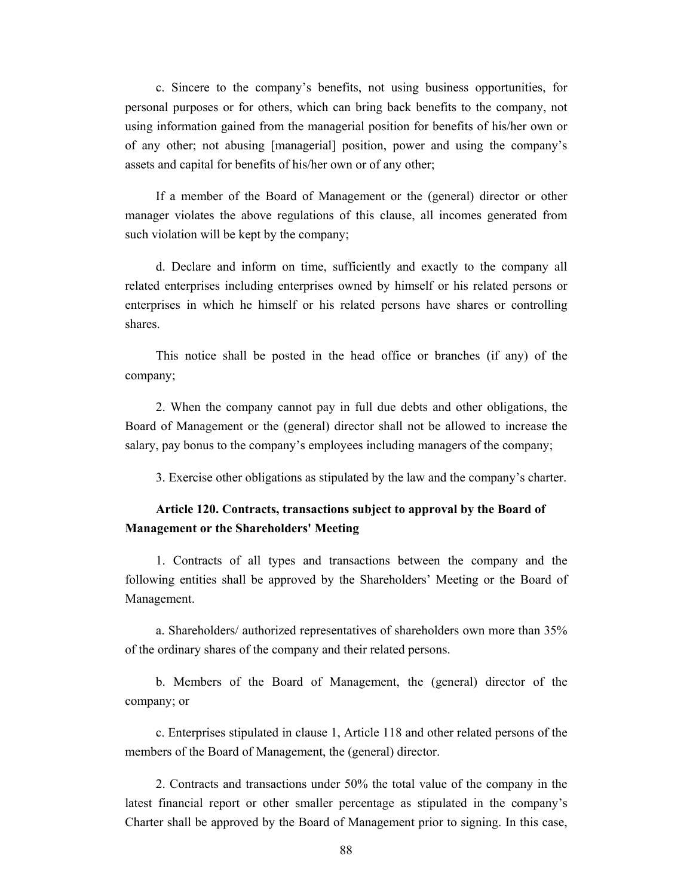c. Sincere to the company's benefits, not using business opportunities, for personal purposes or for others, which can bring back benefits to the company, not using information gained from the managerial position for benefits of his/her own or of any other; not abusing [managerial] position, power and using the company's assets and capital for benefits of his/her own or of any other;

If a member of the Board of Management or the (general) director or other manager violates the above regulations of this clause, all incomes generated from such violation will be kept by the company;

d. Declare and inform on time, sufficiently and exactly to the company all related enterprises including enterprises owned by himself or his related persons or enterprises in which he himself or his related persons have shares or controlling shares.

This notice shall be posted in the head office or branches (if any) of the company;

2. When the company cannot pay in full due debts and other obligations, the Board of Management or the (general) director shall not be allowed to increase the salary, pay bonus to the company's employees including managers of the company;

3. Exercise other obligations as stipulated by the law and the company's charter.

# **Article 120. Contracts, transactions subject to approval by the Board of Management or the Shareholders' Meeting**

1. Contracts of all types and transactions between the company and the following entities shall be approved by the Shareholders' Meeting or the Board of Management.

a. Shareholders/ authorized representatives of shareholders own more than 35% of the ordinary shares of the company and their related persons.

b. Members of the Board of Management, the (general) director of the company; or

c. Enterprises stipulated in clause 1, Article 118 and other related persons of the members of the Board of Management, the (general) director.

2. Contracts and transactions under 50% the total value of the company in the latest financial report or other smaller percentage as stipulated in the company's Charter shall be approved by the Board of Management prior to signing. In this case,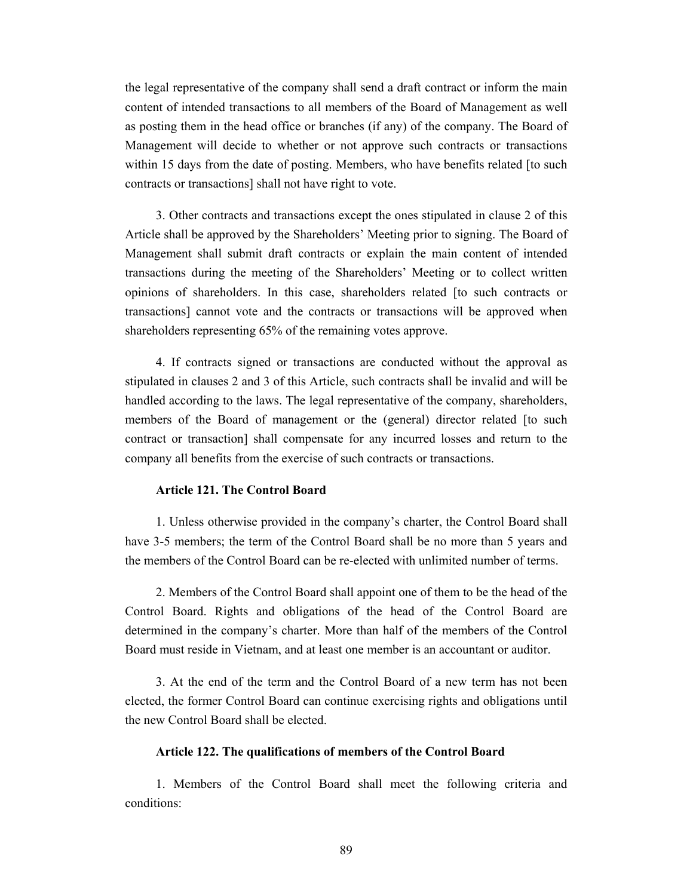the legal representative of the company shall send a draft contract or inform the main content of intended transactions to all members of the Board of Management as well as posting them in the head office or branches (if any) of the company. The Board of Management will decide to whether or not approve such contracts or transactions within 15 days from the date of posting. Members, who have benefits related [to such contracts or transactions] shall not have right to vote.

3. Other contracts and transactions except the ones stipulated in clause 2 of this Article shall be approved by the Shareholders' Meeting prior to signing. The Board of Management shall submit draft contracts or explain the main content of intended transactions during the meeting of the Shareholders' Meeting or to collect written opinions of shareholders. In this case, shareholders related [to such contracts or transactions] cannot vote and the contracts or transactions will be approved when shareholders representing 65% of the remaining votes approve.

4. If contracts signed or transactions are conducted without the approval as stipulated in clauses 2 and 3 of this Article, such contracts shall be invalid and will be handled according to the laws. The legal representative of the company, shareholders, members of the Board of management or the (general) director related [to such contract or transaction] shall compensate for any incurred losses and return to the company all benefits from the exercise of such contracts or transactions.

#### **Article 121. The Control Board**

1. Unless otherwise provided in the company's charter, the Control Board shall have 3-5 members; the term of the Control Board shall be no more than 5 years and the members of the Control Board can be re-elected with unlimited number of terms.

2. Members of the Control Board shall appoint one of them to be the head of the Control Board. Rights and obligations of the head of the Control Board are determined in the company's charter. More than half of the members of the Control Board must reside in Vietnam, and at least one member is an accountant or auditor.

3. At the end of the term and the Control Board of a new term has not been elected, the former Control Board can continue exercising rights and obligations until the new Control Board shall be elected.

#### **Article 122. The qualifications of members of the Control Board**

1. Members of the Control Board shall meet the following criteria and conditions: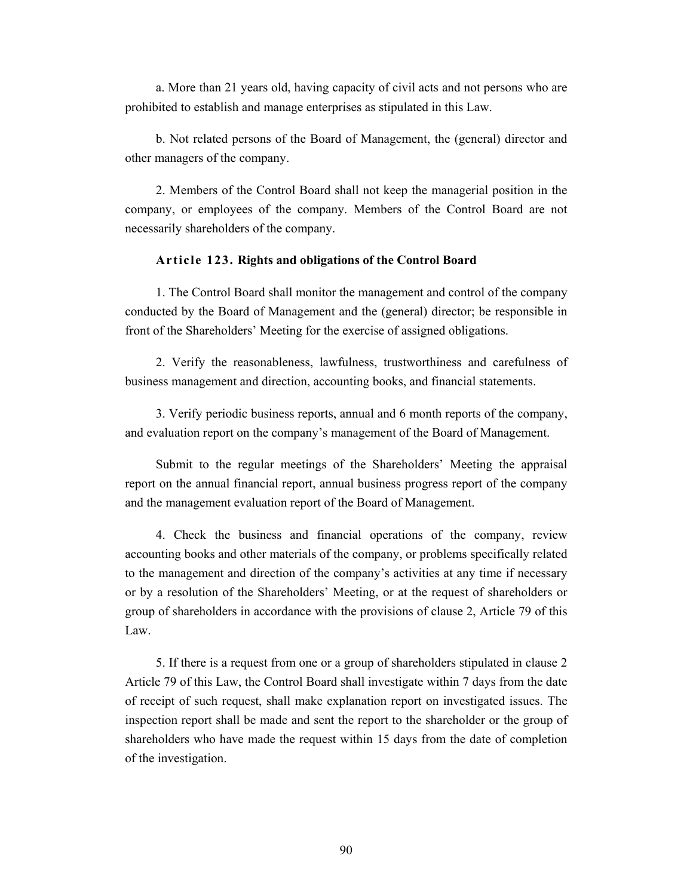a. More than 21 years old, having capacity of civil acts and not persons who are prohibited to establish and manage enterprises as stipulated in this Law.

b. Not related persons of the Board of Management, the (general) director and other managers of the company.

2. Members of the Control Board shall not keep the managerial position in the company, or employees of the company. Members of the Control Board are not necessarily shareholders of the company.

### **Article 123. Rights and obligations of the Control Board**

1. The Control Board shall monitor the management and control of the company conducted by the Board of Management and the (general) director; be responsible in front of the Shareholders' Meeting for the exercise of assigned obligations.

2. Verify the reasonableness, lawfulness, trustworthiness and carefulness of business management and direction, accounting books, and financial statements.

3. Verify periodic business reports, annual and 6 month reports of the company, and evaluation report on the company's management of the Board of Management.

Submit to the regular meetings of the Shareholders' Meeting the appraisal report on the annual financial report, annual business progress report of the company and the management evaluation report of the Board of Management.

4. Check the business and financial operations of the company, review accounting books and other materials of the company, or problems specifically related to the management and direction of the company's activities at any time if necessary or by a resolution of the Shareholders' Meeting, or at the request of shareholders or group of shareholders in accordance with the provisions of clause 2, Article 79 of this Law.

5. If there is a request from one or a group of shareholders stipulated in clause 2 Article 79 of this Law, the Control Board shall investigate within 7 days from the date of receipt of such request, shall make explanation report on investigated issues. The inspection report shall be made and sent the report to the shareholder or the group of shareholders who have made the request within 15 days from the date of completion of the investigation.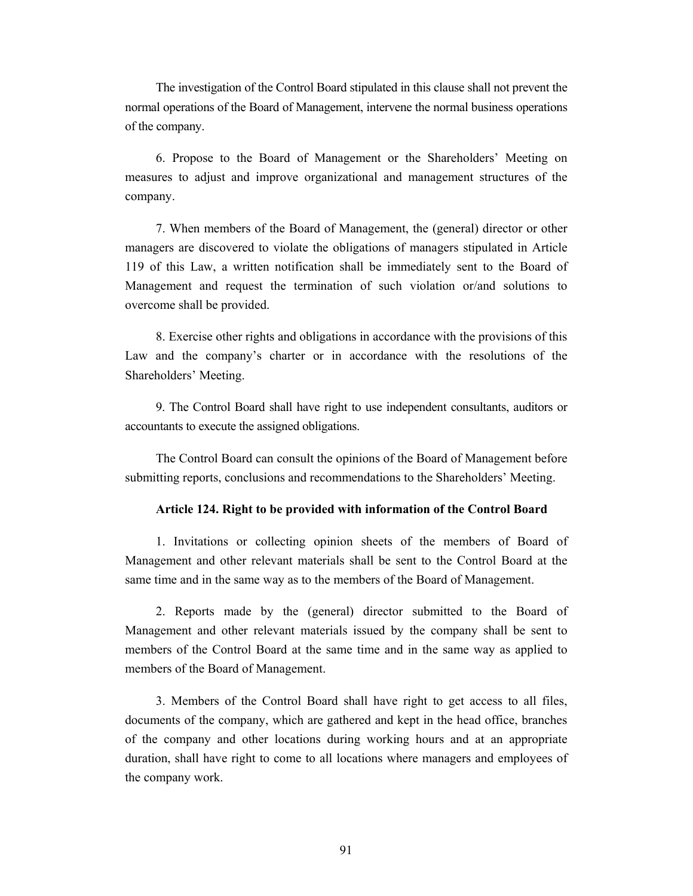The investigation of the Control Board stipulated in this clause shall not prevent the normal operations of the Board of Management, intervene the normal business operations of the company.

6. Propose to the Board of Management or the Shareholders' Meeting on measures to adjust and improve organizational and management structures of the company.

7. When members of the Board of Management, the (general) director or other managers are discovered to violate the obligations of managers stipulated in Article 119 of this Law, a written notification shall be immediately sent to the Board of Management and request the termination of such violation or/and solutions to overcome shall be provided.

8. Exercise other rights and obligations in accordance with the provisions of this Law and the company's charter or in accordance with the resolutions of the Shareholders' Meeting.

9. The Control Board shall have right to use independent consultants, auditors or accountants to execute the assigned obligations.

The Control Board can consult the opinions of the Board of Management before submitting reports, conclusions and recommendations to the Shareholders' Meeting.

#### **Article 124. Right to be provided with information of the Control Board**

1. Invitations or collecting opinion sheets of the members of Board of Management and other relevant materials shall be sent to the Control Board at the same time and in the same way as to the members of the Board of Management.

2. Reports made by the (general) director submitted to the Board of Management and other relevant materials issued by the company shall be sent to members of the Control Board at the same time and in the same way as applied to members of the Board of Management.

3. Members of the Control Board shall have right to get access to all files, documents of the company, which are gathered and kept in the head office, branches of the company and other locations during working hours and at an appropriate duration, shall have right to come to all locations where managers and employees of the company work.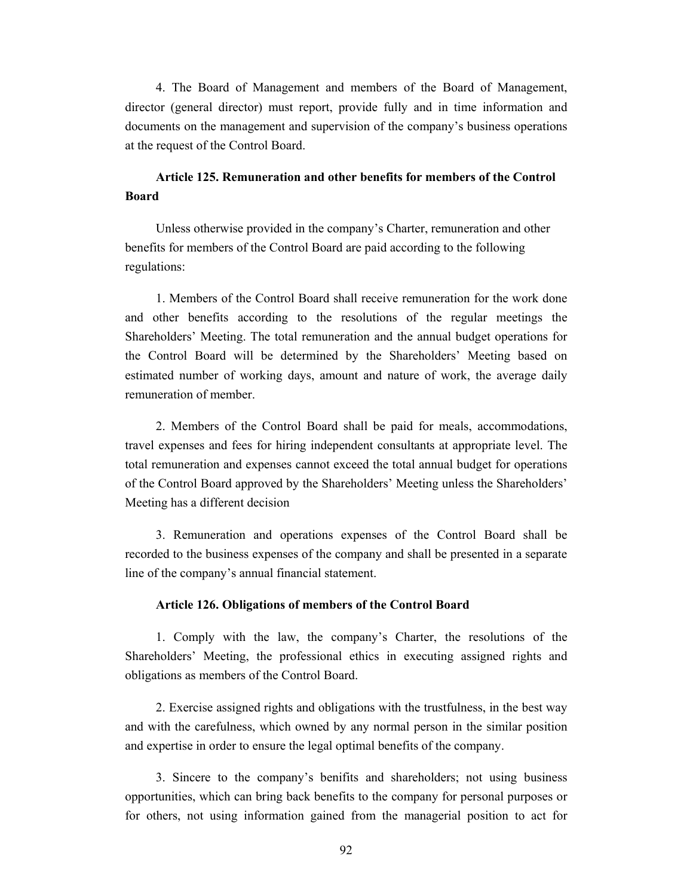4. The Board of Management and members of the Board of Management, director (general director) must report, provide fully and in time information and documents on the management and supervision of the company's business operations at the request of the Control Board.

## **Article 125. Remuneration and other benefits for members of the Control Board**

Unless otherwise provided in the company's Charter, remuneration and other benefits for members of the Control Board are paid according to the following regulations:

1. Members of the Control Board shall receive remuneration for the work done and other benefits according to the resolutions of the regular meetings the Shareholders' Meeting. The total remuneration and the annual budget operations for the Control Board will be determined by the Shareholders' Meeting based on estimated number of working days, amount and nature of work, the average daily remuneration of member.

2. Members of the Control Board shall be paid for meals, accommodations, travel expenses and fees for hiring independent consultants at appropriate level. The total remuneration and expenses cannot exceed the total annual budget for operations of the Control Board approved by the Shareholders' Meeting unless the Shareholders' Meeting has a different decision

3. Remuneration and operations expenses of the Control Board shall be recorded to the business expenses of the company and shall be presented in a separate line of the company's annual financial statement.

### **Article 126. Obligations of members of the Control Board**

1. Comply with the law, the company's Charter, the resolutions of the Shareholders' Meeting, the professional ethics in executing assigned rights and obligations as members of the Control Board.

2. Exercise assigned rights and obligations with the trustfulness, in the best way and with the carefulness, which owned by any normal person in the similar position and expertise in order to ensure the legal optimal benefits of the company.

3. Sincere to the company's benifits and shareholders; not using business opportunities, which can bring back benefits to the company for personal purposes or for others, not using information gained from the managerial position to act for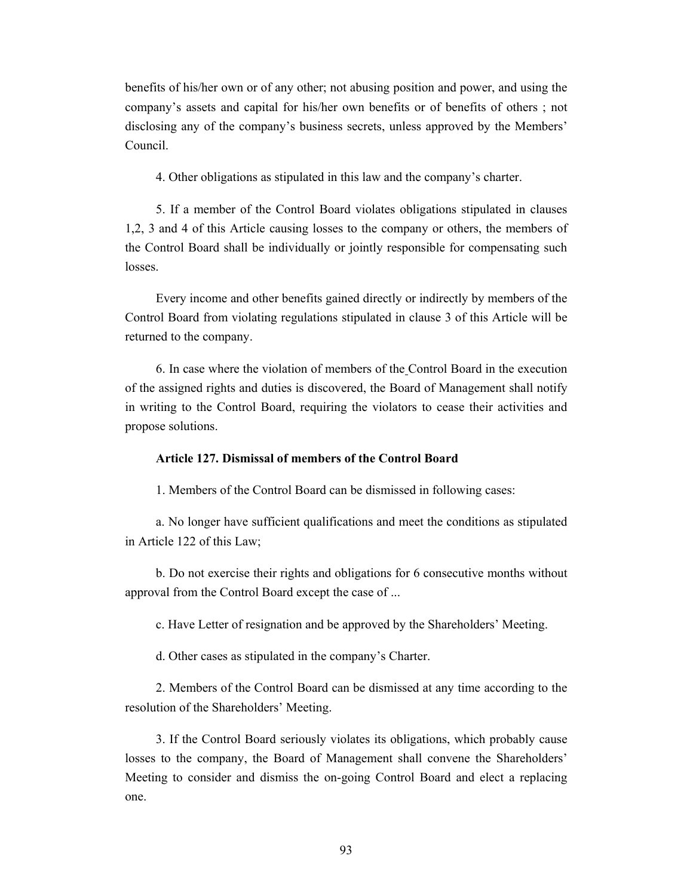benefits of his/her own or of any other; not abusing position and power, and using the company's assets and capital for his/her own benefits or of benefits of others ; not disclosing any of the company's business secrets, unless approved by the Members' Council.

4. Other obligations as stipulated in this law and the company's charter.

5. If a member of the Control Board violates obligations stipulated in clauses 1,2, 3 and 4 of this Article causing losses to the company or others, the members of the Control Board shall be individually or jointly responsible for compensating such losses.

Every income and other benefits gained directly or indirectly by members of the Control Board from violating regulations stipulated in clause 3 of this Article will be returned to the company.

6. In case where the violation of members of the Control Board in the execution of the assigned rights and duties is discovered, the Board of Management shall notify in writing to the Control Board, requiring the violators to cease their activities and propose solutions.

### **Article 127. Dismissal of members of the Control Board**

1. Members of the Control Board can be dismissed in following cases:

a. No longer have sufficient qualifications and meet the conditions as stipulated in Article 122 of this Law;

b. Do not exercise their rights and obligations for 6 consecutive months without approval from the Control Board except the case of ...

c. Have Letter of resignation and be approved by the Shareholders' Meeting.

d. Other cases as stipulated in the company's Charter.

2. Members of the Control Board can be dismissed at any time according to the resolution of the Shareholders' Meeting.

3. If the Control Board seriously violates its obligations, which probably cause losses to the company, the Board of Management shall convene the Shareholders' Meeting to consider and dismiss the on-going Control Board and elect a replacing one.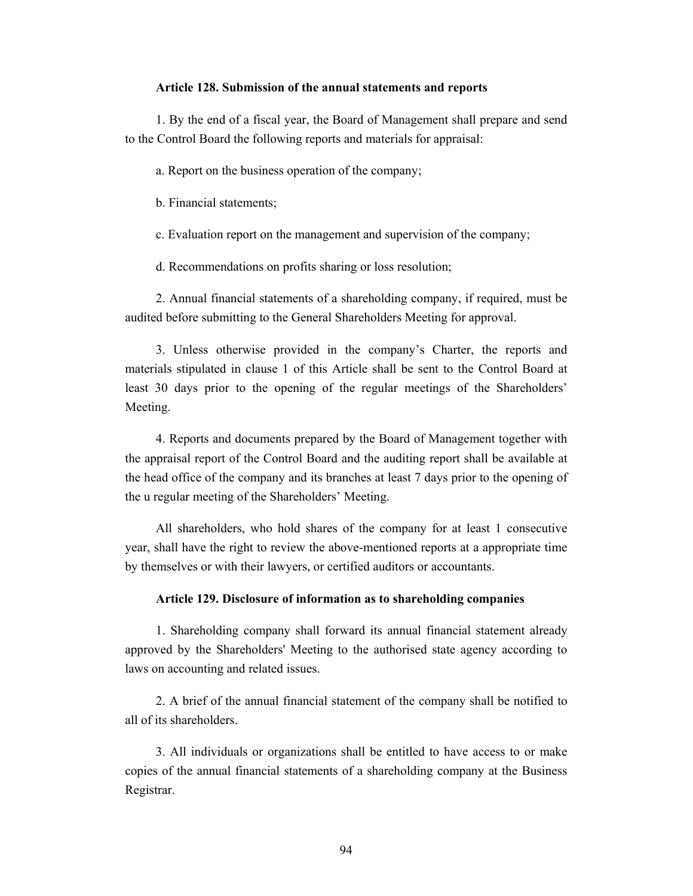#### **Article 128. Submission of the annual statements and reports**

1. By the end of a fiscal year, the Board of Management shall prepare and send to the Control Board the following reports and materials for appraisal:

a. Report on the business operation of the company;

b. Financial statements;

c. Evaluation report on the management and supervision of the company;

d. Recommendations on profits sharing or loss resolution;

2. Annual financial statements of a shareholding company, if required, must be audited before submitting to the General Shareholders Meeting for approval.

3. Unless otherwise provided in the company's Charter, the reports and materials stipulated in clause 1 of this Article shall be sent to the Control Board at least 30 days prior to the opening of the regular meetings of the Shareholders' Meeting.

4. Reports and documents prepared by the Board of Management together with the appraisal report of the Control Board and the auditing report shall be available at the head office of the company and its branches at least 7 days prior to the opening of the u regular meeting of the Shareholders' Meeting.

All shareholders, who hold shares of the company for at least 1 consecutive year, shall have the right to review the above-mentioned reports at a appropriate time by themselves or with their lawyers, or certified auditors or accountants.

#### **Article 129. Disclosure of information as to shareholding companies**

1. Shareholding company shall forward its annual financial statement already approved by the Shareholders' Meeting to the authorised state agency according to laws on accounting and related issues.

2. A brief of the annual financial statement of the company shall be notified to all of its shareholders.

3. All individuals or organizations shall be entitled to have access to or make copies of the annual financial statements of a shareholding company at the Business Registrar.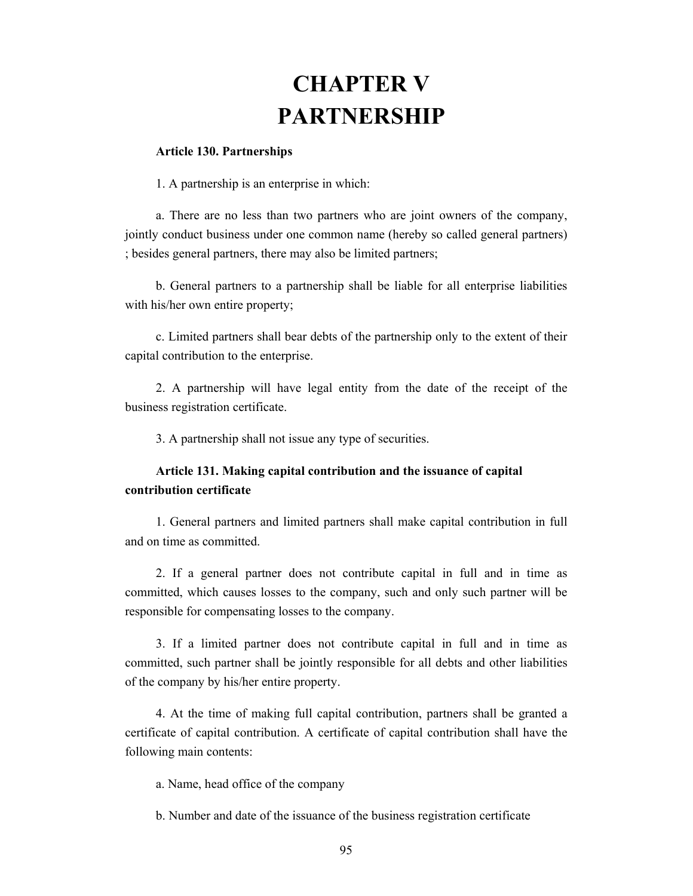# **CHAPTER V PARTNERSHIP**

#### **Article 130. Partnerships**

1. A partnership is an enterprise in which:

a. There are no less than two partners who are joint owners of the company, jointly conduct business under one common name (hereby so called general partners) ; besides general partners, there may also be limited partners;

b. General partners to a partnership shall be liable for all enterprise liabilities with his/her own entire property;

c. Limited partners shall bear debts of the partnership only to the extent of their capital contribution to the enterprise.

2. A partnership will have legal entity from the date of the receipt of the business registration certificate.

3. A partnership shall not issue any type of securities.

## **Article 131. Making capital contribution and the issuance of capital contribution certificate**

1. General partners and limited partners shall make capital contribution in full and on time as committed.

2. If a general partner does not contribute capital in full and in time as committed, which causes losses to the company, such and only such partner will be responsible for compensating losses to the company.

3. If a limited partner does not contribute capital in full and in time as committed, such partner shall be jointly responsible for all debts and other liabilities of the company by his/her entire property.

4. At the time of making full capital contribution, partners shall be granted a certificate of capital contribution. A certificate of capital contribution shall have the following main contents:

a. Name, head office of the company

b. Number and date of the issuance of the business registration certificate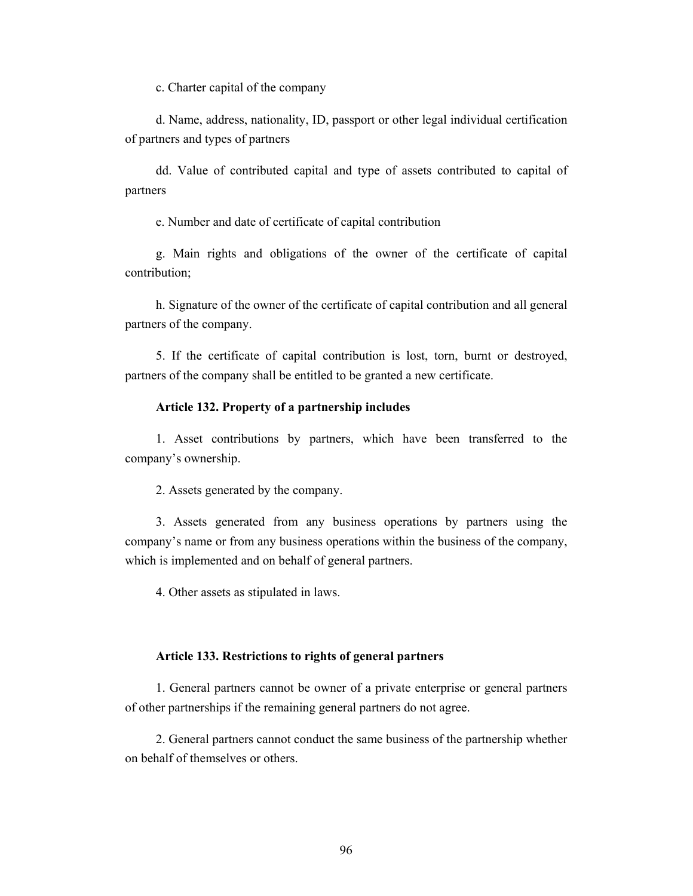c. Charter capital of the company

d. Name, address, nationality, ID, passport or other legal individual certification of partners and types of partners

dd. Value of contributed capital and type of assets contributed to capital of partners

e. Number and date of certificate of capital contribution

g. Main rights and obligations of the owner of the certificate of capital contribution;

h. Signature of the owner of the certificate of capital contribution and all general partners of the company.

5. If the certificate of capital contribution is lost, torn, burnt or destroyed, partners of the company shall be entitled to be granted a new certificate.

### **Article 132. Property of a partnership includes**

1. Asset contributions by partners, which have been transferred to the company's ownership.

2. Assets generated by the company.

3. Assets generated from any business operations by partners using the company's name or from any business operations within the business of the company, which is implemented and on behalf of general partners.

4. Other assets as stipulated in laws.

#### **Article 133. Restrictions to rights of general partners**

1. General partners cannot be owner of a private enterprise or general partners of other partnerships if the remaining general partners do not agree.

2. General partners cannot conduct the same business of the partnership whether on behalf of themselves or others.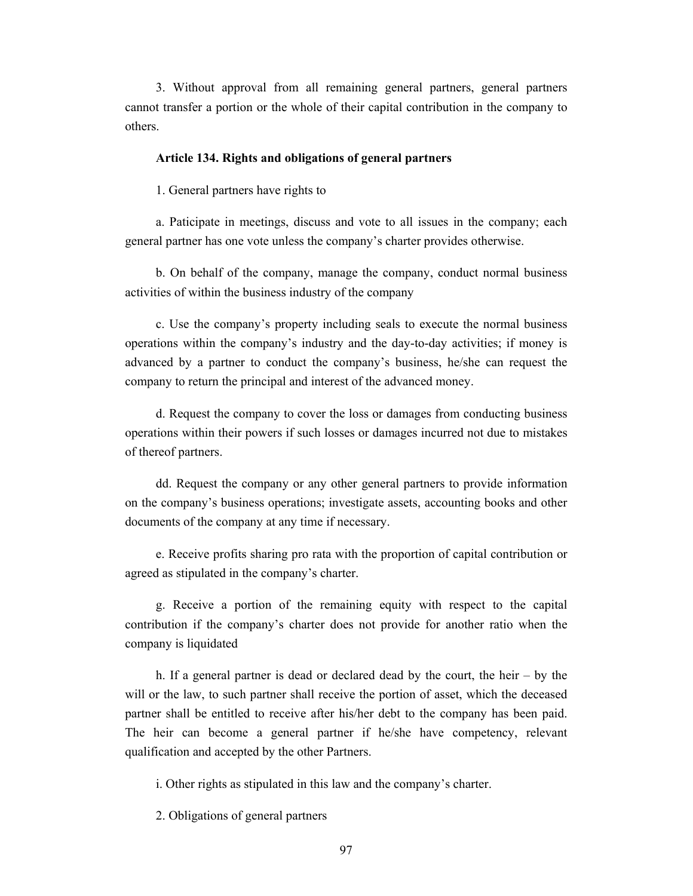3. Without approval from all remaining general partners, general partners cannot transfer a portion or the whole of their capital contribution in the company to others.

#### **Article 134. Rights and obligations of general partners**

1. General partners have rights to

a. Paticipate in meetings, discuss and vote to all issues in the company; each general partner has one vote unless the company's charter provides otherwise.

b. On behalf of the company, manage the company, conduct normal business activities of within the business industry of the company

c. Use the company's property including seals to execute the normal business operations within the company's industry and the day-to-day activities; if money is advanced by a partner to conduct the company's business, he/she can request the company to return the principal and interest of the advanced money.

d. Request the company to cover the loss or damages from conducting business operations within their powers if such losses or damages incurred not due to mistakes of thereof partners.

dd. Request the company or any other general partners to provide information on the company's business operations; investigate assets, accounting books and other documents of the company at any time if necessary.

e. Receive profits sharing pro rata with the proportion of capital contribution or agreed as stipulated in the company's charter.

g. Receive a portion of the remaining equity with respect to the capital contribution if the company's charter does not provide for another ratio when the company is liquidated

h. If a general partner is dead or declared dead by the court, the heir – by the will or the law, to such partner shall receive the portion of asset, which the deceased partner shall be entitled to receive after his/her debt to the company has been paid. The heir can become a general partner if he/she have competency, relevant qualification and accepted by the other Partners.

i. Other rights as stipulated in this law and the company's charter.

2. Obligations of general partners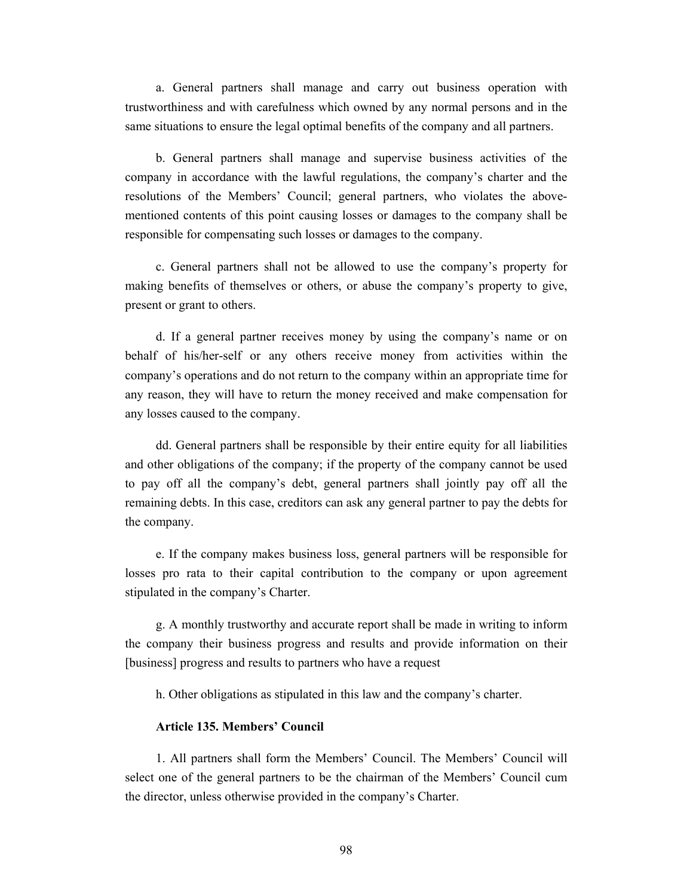a. General partners shall manage and carry out business operation with trustworthiness and with carefulness which owned by any normal persons and in the same situations to ensure the legal optimal benefits of the company and all partners.

b. General partners shall manage and supervise business activities of the company in accordance with the lawful regulations, the company's charter and the resolutions of the Members' Council; general partners, who violates the abovementioned contents of this point causing losses or damages to the company shall be responsible for compensating such losses or damages to the company.

c. General partners shall not be allowed to use the company's property for making benefits of themselves or others, or abuse the company's property to give, present or grant to others.

d. If a general partner receives money by using the company's name or on behalf of his/her-self or any others receive money from activities within the company's operations and do not return to the company within an appropriate time for any reason, they will have to return the money received and make compensation for any losses caused to the company.

dd. General partners shall be responsible by their entire equity for all liabilities and other obligations of the company; if the property of the company cannot be used to pay off all the company's debt, general partners shall jointly pay off all the remaining debts. In this case, creditors can ask any general partner to pay the debts for the company.

e. If the company makes business loss, general partners will be responsible for losses pro rata to their capital contribution to the company or upon agreement stipulated in the company's Charter.

g. A monthly trustworthy and accurate report shall be made in writing to inform the company their business progress and results and provide information on their [business] progress and results to partners who have a request

h. Other obligations as stipulated in this law and the company's charter.

### **Article 135. Members' Council**

1. All partners shall form the Members' Council. The Members' Council will select one of the general partners to be the chairman of the Members' Council cum the director, unless otherwise provided in the company's Charter.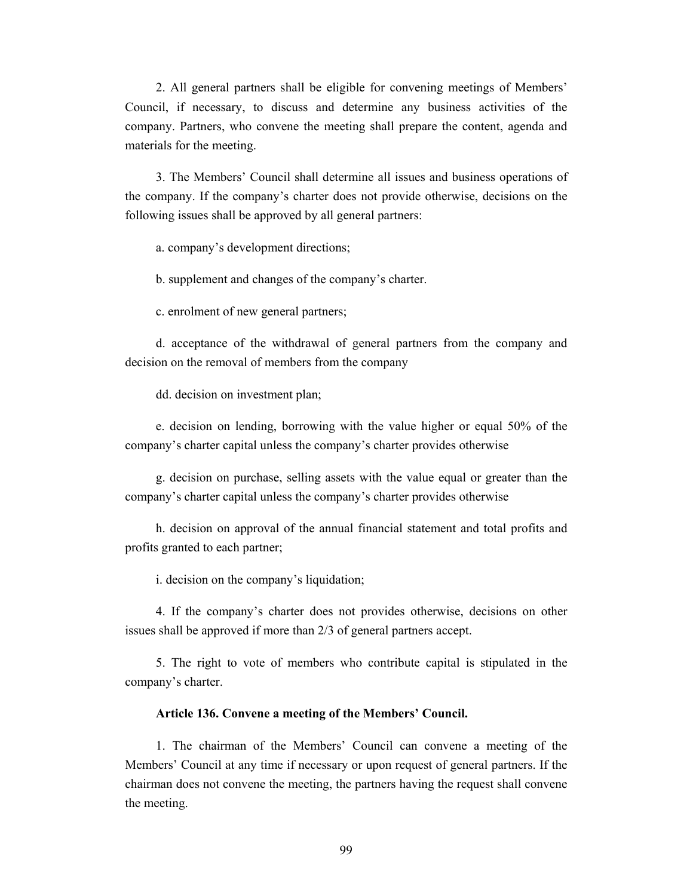2. All general partners shall be eligible for convening meetings of Members' Council, if necessary, to discuss and determine any business activities of the company. Partners, who convene the meeting shall prepare the content, agenda and materials for the meeting.

3. The Members' Council shall determine all issues and business operations of the company. If the company's charter does not provide otherwise, decisions on the following issues shall be approved by all general partners:

a. company's development directions;

b. supplement and changes of the company's charter.

c. enrolment of new general partners;

d. acceptance of the withdrawal of general partners from the company and decision on the removal of members from the company

dd. decision on investment plan;

e. decision on lending, borrowing with the value higher or equal 50% of the company's charter capital unless the company's charter provides otherwise

g. decision on purchase, selling assets with the value equal or greater than the company's charter capital unless the company's charter provides otherwise

h. decision on approval of the annual financial statement and total profits and profits granted to each partner;

i. decision on the company's liquidation;

4. If the company's charter does not provides otherwise, decisions on other issues shall be approved if more than 2/3 of general partners accept.

5. The right to vote of members who contribute capital is stipulated in the company's charter.

#### **Article 136. Convene a meeting of the Members' Council.**

1. The chairman of the Members' Council can convene a meeting of the Members' Council at any time if necessary or upon request of general partners. If the chairman does not convene the meeting, the partners having the request shall convene the meeting.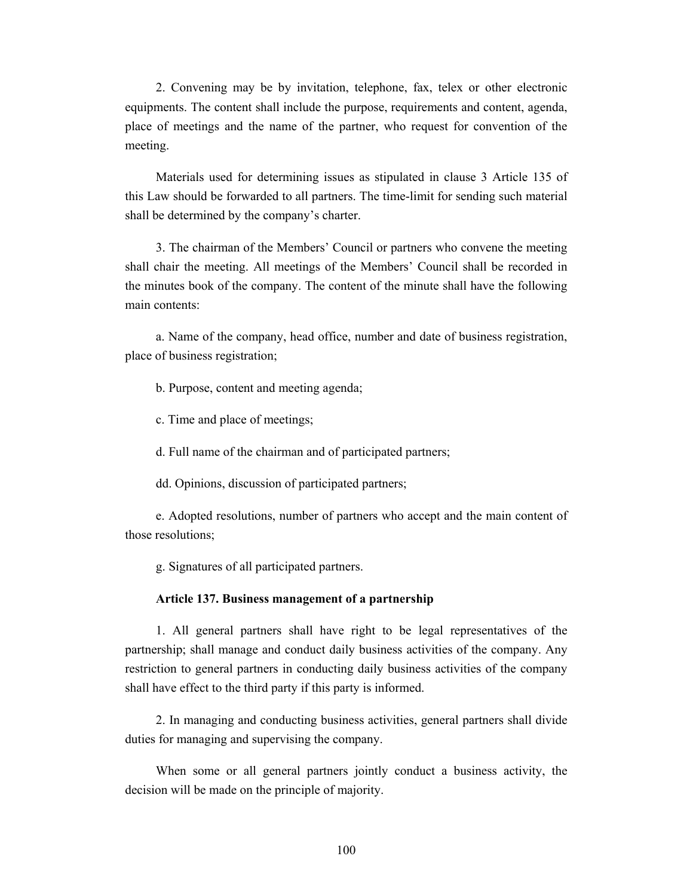2. Convening may be by invitation, telephone, fax, telex or other electronic equipments. The content shall include the purpose, requirements and content, agenda, place of meetings and the name of the partner, who request for convention of the meeting.

Materials used for determining issues as stipulated in clause 3 Article 135 of this Law should be forwarded to all partners. The time-limit for sending such material shall be determined by the company's charter.

3. The chairman of the Members' Council or partners who convene the meeting shall chair the meeting. All meetings of the Members' Council shall be recorded in the minutes book of the company. The content of the minute shall have the following main contents:

a. Name of the company, head office, number and date of business registration, place of business registration;

b. Purpose, content and meeting agenda;

c. Time and place of meetings;

d. Full name of the chairman and of participated partners;

dd. Opinions, discussion of participated partners;

e. Adopted resolutions, number of partners who accept and the main content of those resolutions;

g. Signatures of all participated partners.

#### **Article 137. Business management of a partnership**

1. All general partners shall have right to be legal representatives of the partnership; shall manage and conduct daily business activities of the company. Any restriction to general partners in conducting daily business activities of the company shall have effect to the third party if this party is informed.

2. In managing and conducting business activities, general partners shall divide duties for managing and supervising the company.

When some or all general partners jointly conduct a business activity, the decision will be made on the principle of majority.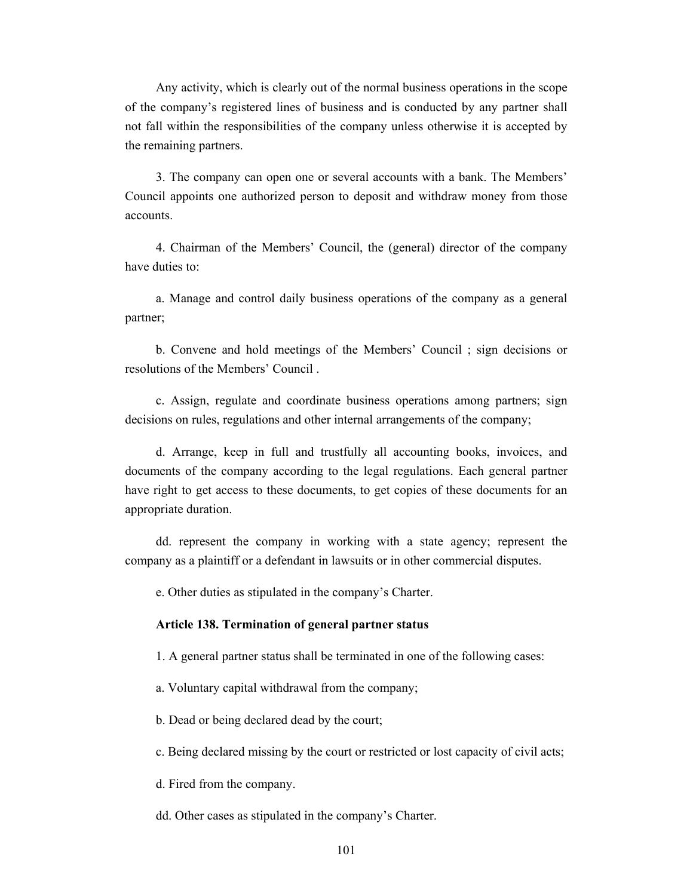Any activity, which is clearly out of the normal business operations in the scope of the company's registered lines of business and is conducted by any partner shall not fall within the responsibilities of the company unless otherwise it is accepted by the remaining partners.

3. The company can open one or several accounts with a bank. The Members' Council appoints one authorized person to deposit and withdraw money from those accounts.

4. Chairman of the Members' Council, the (general) director of the company have duties to:

a. Manage and control daily business operations of the company as a general partner;

b. Convene and hold meetings of the Members' Council ; sign decisions or resolutions of the Members' Council .

c. Assign, regulate and coordinate business operations among partners; sign decisions on rules, regulations and other internal arrangements of the company;

d. Arrange, keep in full and trustfully all accounting books, invoices, and documents of the company according to the legal regulations. Each general partner have right to get access to these documents, to get copies of these documents for an appropriate duration.

dd. represent the company in working with a state agency; represent the company as a plaintiff or a defendant in lawsuits or in other commercial disputes.

e. Other duties as stipulated in the company's Charter.

#### **Article 138. Termination of general partner status**

1. A general partner status shall be terminated in one of the following cases:

a. Voluntary capital withdrawal from the company;

b. Dead or being declared dead by the court;

c. Being declared missing by the court or restricted or lost capacity of civil acts;

d. Fired from the company.

dd. Other cases as stipulated in the company's Charter.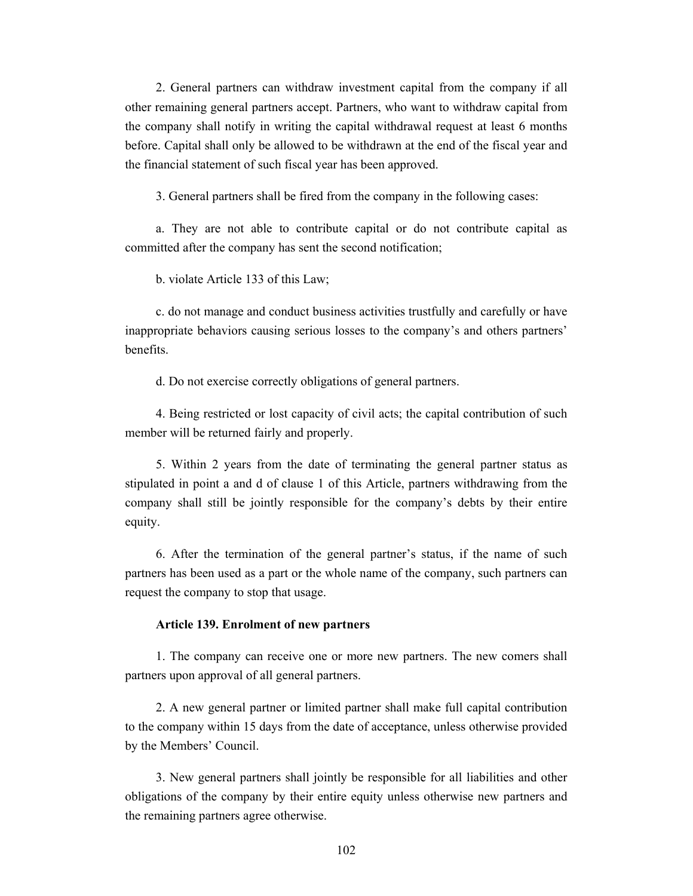2. General partners can withdraw investment capital from the company if all other remaining general partners accept. Partners, who want to withdraw capital from the company shall notify in writing the capital withdrawal request at least 6 months before. Capital shall only be allowed to be withdrawn at the end of the fiscal year and the financial statement of such fiscal year has been approved.

3. General partners shall be fired from the company in the following cases:

a. They are not able to contribute capital or do not contribute capital as committed after the company has sent the second notification;

b. violate Article 133 of this Law;

c. do not manage and conduct business activities trustfully and carefully or have inappropriate behaviors causing serious losses to the company's and others partners' benefits.

d. Do not exercise correctly obligations of general partners.

4. Being restricted or lost capacity of civil acts; the capital contribution of such member will be returned fairly and properly.

5. Within 2 years from the date of terminating the general partner status as stipulated in point a and d of clause 1 of this Article, partners withdrawing from the company shall still be jointly responsible for the company's debts by their entire equity.

6. After the termination of the general partner's status, if the name of such partners has been used as a part or the whole name of the company, such partners can request the company to stop that usage.

### **Article 139. Enrolment of new partners**

1. The company can receive one or more new partners. The new comers shall partners upon approval of all general partners.

2. A new general partner or limited partner shall make full capital contribution to the company within 15 days from the date of acceptance, unless otherwise provided by the Members' Council.

3. New general partners shall jointly be responsible for all liabilities and other obligations of the company by their entire equity unless otherwise new partners and the remaining partners agree otherwise.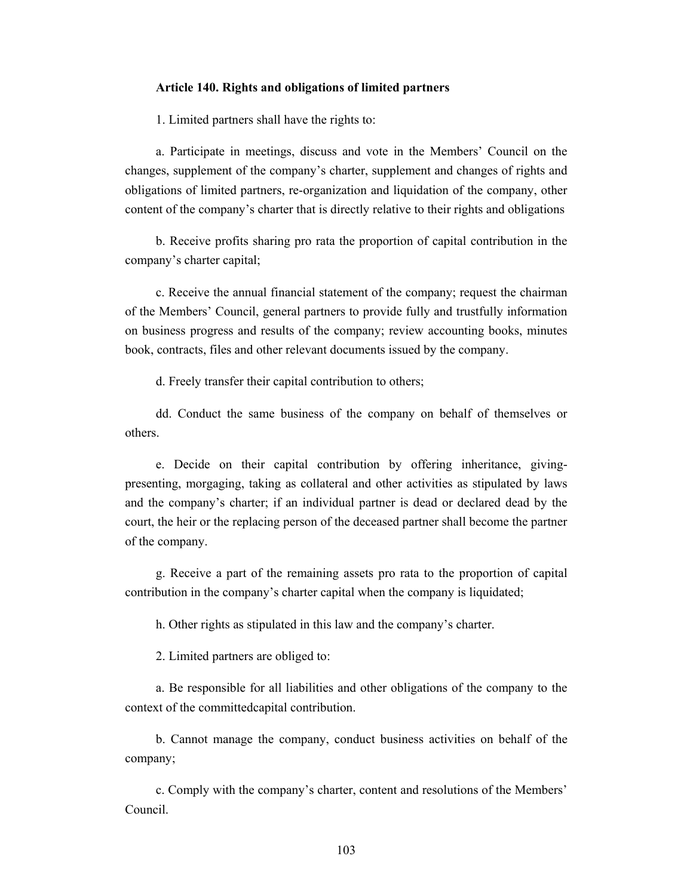#### **Article 140. Rights and obligations of limited partners**

1. Limited partners shall have the rights to:

a. Participate in meetings, discuss and vote in the Members' Council on the changes, supplement of the company's charter, supplement and changes of rights and obligations of limited partners, re-organization and liquidation of the company, other content of the company's charter that is directly relative to their rights and obligations

b. Receive profits sharing pro rata the proportion of capital contribution in the company's charter capital;

c. Receive the annual financial statement of the company; request the chairman of the Members' Council, general partners to provide fully and trustfully information on business progress and results of the company; review accounting books, minutes book, contracts, files and other relevant documents issued by the company.

d. Freely transfer their capital contribution to others;

dd. Conduct the same business of the company on behalf of themselves or others.

e. Decide on their capital contribution by offering inheritance, givingpresenting, morgaging, taking as collateral and other activities as stipulated by laws and the company's charter; if an individual partner is dead or declared dead by the court, the heir or the replacing person of the deceased partner shall become the partner of the company.

g. Receive a part of the remaining assets pro rata to the proportion of capital contribution in the company's charter capital when the company is liquidated;

h. Other rights as stipulated in this law and the company's charter.

2. Limited partners are obliged to:

a. Be responsible for all liabilities and other obligations of the company to the context of the committedcapital contribution.

b. Cannot manage the company, conduct business activities on behalf of the company;

c. Comply with the company's charter, content and resolutions of the Members' Council.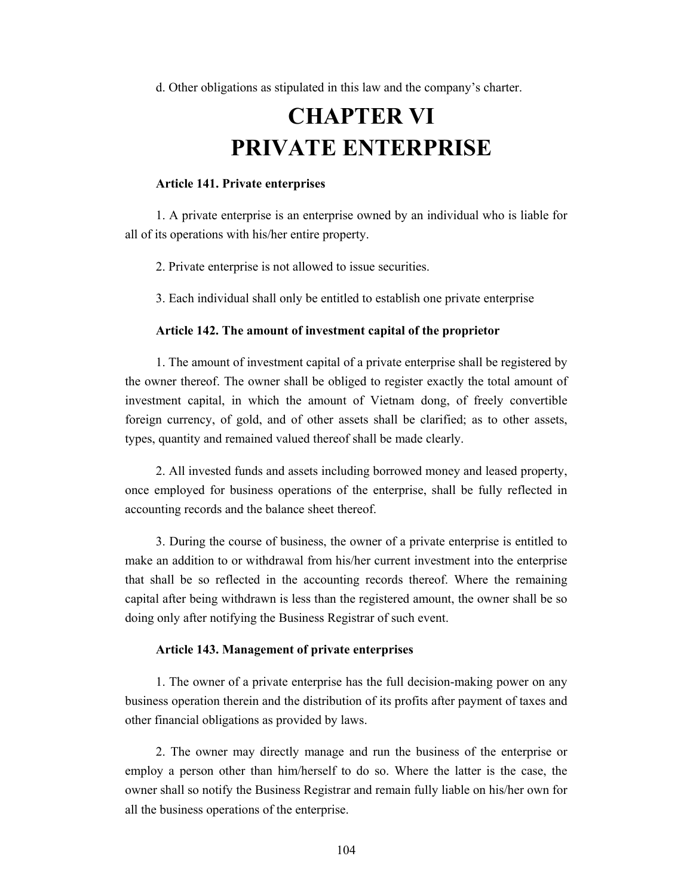d. Other obligations as stipulated in this law and the company's charter.

# **CHAPTER VI PRIVATE ENTERPRISE**

### **Article 141. Private enterprises**

1. A private enterprise is an enterprise owned by an individual who is liable for all of its operations with his/her entire property.

2. Private enterprise is not allowed to issue securities.

3. Each individual shall only be entitled to establish one private enterprise

### **Article 142. The amount of investment capital of the proprietor**

1. The amount of investment capital of a private enterprise shall be registered by the owner thereof. The owner shall be obliged to register exactly the total amount of investment capital, in which the amount of Vietnam dong, of freely convertible foreign currency, of gold, and of other assets shall be clarified; as to other assets, types, quantity and remained valued thereof shall be made clearly.

2. All invested funds and assets including borrowed money and leased property, once employed for business operations of the enterprise, shall be fully reflected in accounting records and the balance sheet thereof.

3. During the course of business, the owner of a private enterprise is entitled to make an addition to or withdrawal from his/her current investment into the enterprise that shall be so reflected in the accounting records thereof. Where the remaining capital after being withdrawn is less than the registered amount, the owner shall be so doing only after notifying the Business Registrar of such event.

### **Article 143. Management of private enterprises**

1. The owner of a private enterprise has the full decision-making power on any business operation therein and the distribution of its profits after payment of taxes and other financial obligations as provided by laws.

2. The owner may directly manage and run the business of the enterprise or employ a person other than him/herself to do so. Where the latter is the case, the owner shall so notify the Business Registrar and remain fully liable on his/her own for all the business operations of the enterprise.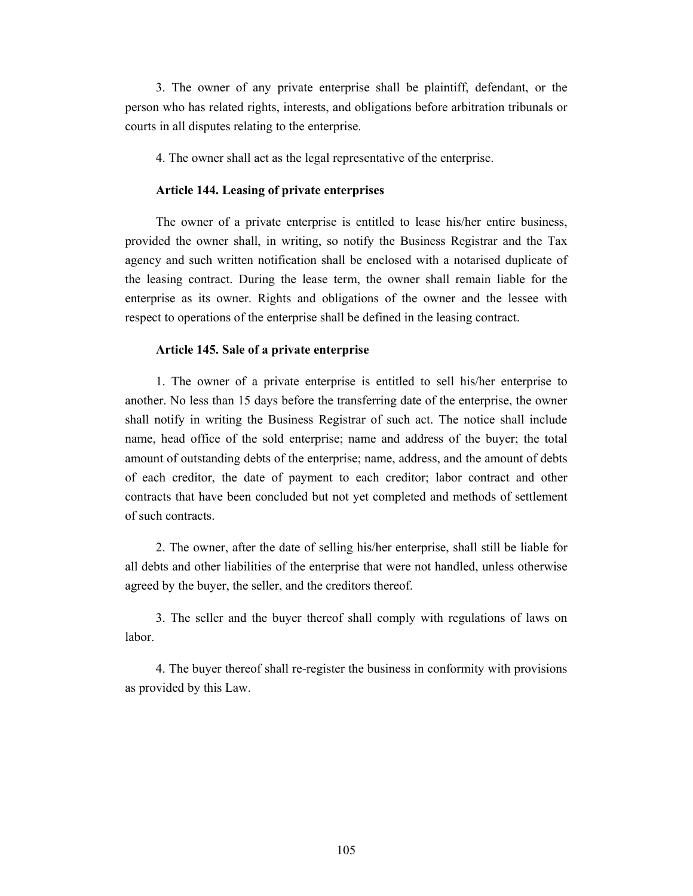3. The owner of any private enterprise shall be plaintiff, defendant, or the person who has related rights, interests, and obligations before arbitration tribunals or courts in all disputes relating to the enterprise.

4. The owner shall act as the legal representative of the enterprise.

### **Article 144. Leasing of private enterprises**

The owner of a private enterprise is entitled to lease his/her entire business, provided the owner shall, in writing, so notify the Business Registrar and the Tax agency and such written notification shall be enclosed with a notarised duplicate of the leasing contract. During the lease term, the owner shall remain liable for the enterprise as its owner. Rights and obligations of the owner and the lessee with respect to operations of the enterprise shall be defined in the leasing contract.

### **Article 145. Sale of a private enterprise**

1. The owner of a private enterprise is entitled to sell his/her enterprise to another. No less than 15 days before the transferring date of the enterprise, the owner shall notify in writing the Business Registrar of such act. The notice shall include name, head office of the sold enterprise; name and address of the buyer; the total amount of outstanding debts of the enterprise; name, address, and the amount of debts of each creditor, the date of payment to each creditor; labor contract and other contracts that have been concluded but not yet completed and methods of settlement of such contracts.

2. The owner, after the date of selling his/her enterprise, shall still be liable for all debts and other liabilities of the enterprise that were not handled, unless otherwise agreed by the buyer, the seller, and the creditors thereof.

3. The seller and the buyer thereof shall comply with regulations of laws on labor.

4. The buyer thereof shall re-register the business in conformity with provisions as provided by this Law.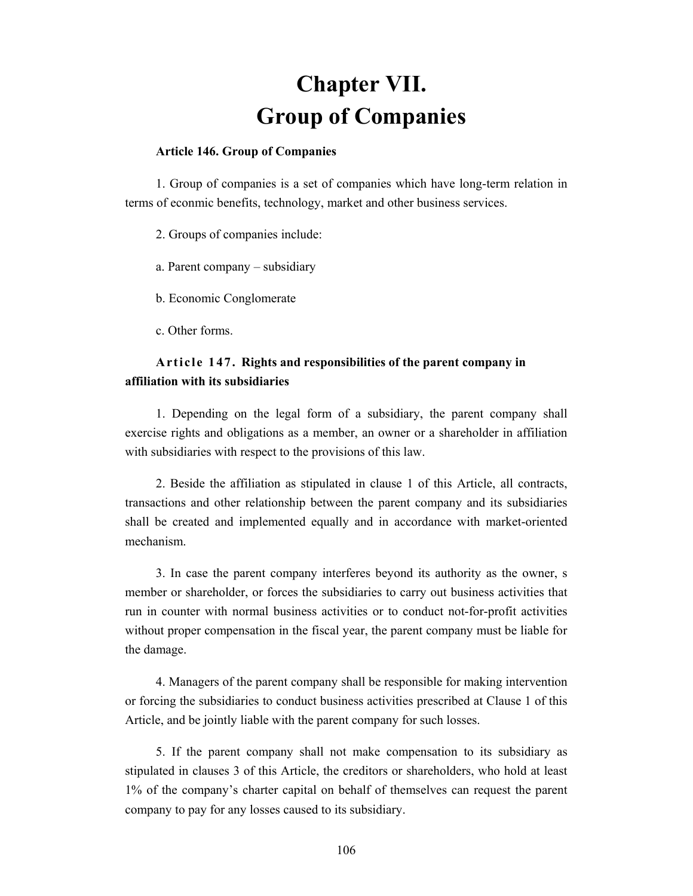# **Chapter VII. Group of Companies**

### **Article 146. Group of Companies**

1. Group of companies is a set of companies which have long-term relation in terms of econmic benefits, technology, market and other business services.

2. Groups of companies include:

- a. Parent company subsidiary
- b. Economic Conglomerate
- c. Other forms.

## **Article 147. Rights and responsibilities of the parent company in affiliation with its subsidiaries**

1. Depending on the legal form of a subsidiary, the parent company shall exercise rights and obligations as a member, an owner or a shareholder in affiliation with subsidiaries with respect to the provisions of this law.

2. Beside the affiliation as stipulated in clause 1 of this Article, all contracts, transactions and other relationship between the parent company and its subsidiaries shall be created and implemented equally and in accordance with market-oriented mechanism.

3. In case the parent company interferes beyond its authority as the owner, s member or shareholder, or forces the subsidiaries to carry out business activities that run in counter with normal business activities or to conduct not-for-profit activities without proper compensation in the fiscal year, the parent company must be liable for the damage.

4. Managers of the parent company shall be responsible for making intervention or forcing the subsidiaries to conduct business activities prescribed at Clause 1 of this Article, and be jointly liable with the parent company for such losses.

5. If the parent company shall not make compensation to its subsidiary as stipulated in clauses 3 of this Article, the creditors or shareholders, who hold at least 1% of the company's charter capital on behalf of themselves can request the parent company to pay for any losses caused to its subsidiary.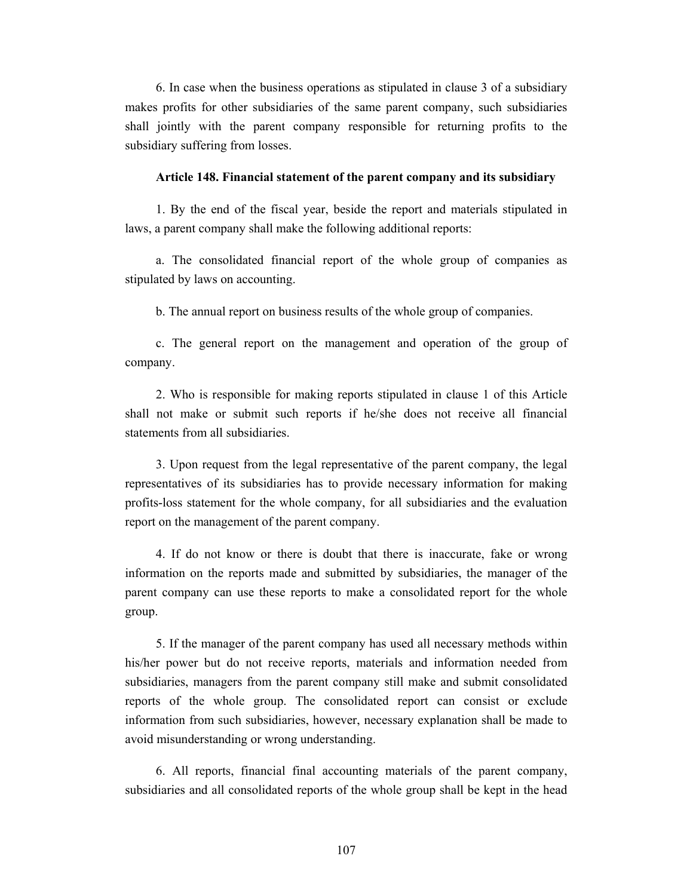6. In case when the business operations as stipulated in clause 3 of a subsidiary makes profits for other subsidiaries of the same parent company, such subsidiaries shall jointly with the parent company responsible for returning profits to the subsidiary suffering from losses.

#### **Article 148. Financial statement of the parent company and its subsidiary**

1. By the end of the fiscal year, beside the report and materials stipulated in laws, a parent company shall make the following additional reports:

a. The consolidated financial report of the whole group of companies as stipulated by laws on accounting.

b. The annual report on business results of the whole group of companies.

c. The general report on the management and operation of the group of company.

2. Who is responsible for making reports stipulated in clause 1 of this Article shall not make or submit such reports if he/she does not receive all financial statements from all subsidiaries.

3. Upon request from the legal representative of the parent company, the legal representatives of its subsidiaries has to provide necessary information for making profits-loss statement for the whole company, for all subsidiaries and the evaluation report on the management of the parent company.

4. If do not know or there is doubt that there is inaccurate, fake or wrong information on the reports made and submitted by subsidiaries, the manager of the parent company can use these reports to make a consolidated report for the whole group.

5. If the manager of the parent company has used all necessary methods within his/her power but do not receive reports, materials and information needed from subsidiaries, managers from the parent company still make and submit consolidated reports of the whole group. The consolidated report can consist or exclude information from such subsidiaries, however, necessary explanation shall be made to avoid misunderstanding or wrong understanding.

6. All reports, financial final accounting materials of the parent company, subsidiaries and all consolidated reports of the whole group shall be kept in the head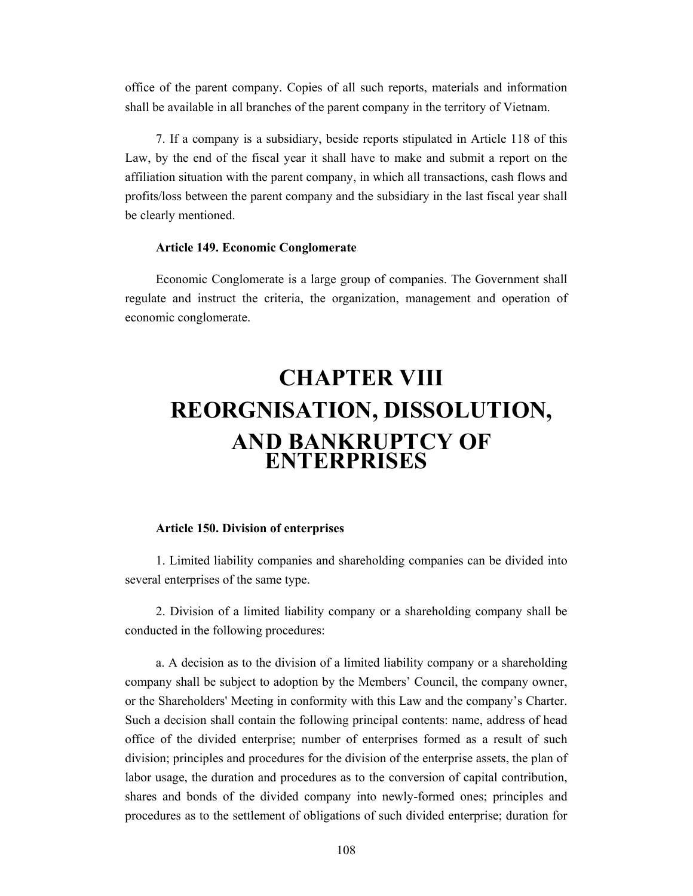office of the parent company. Copies of all such reports, materials and information shall be available in all branches of the parent company in the territory of Vietnam.

7. If a company is a subsidiary, beside reports stipulated in Article 118 of this Law, by the end of the fiscal year it shall have to make and submit a report on the affiliation situation with the parent company, in which all transactions, cash flows and profits/loss between the parent company and the subsidiary in the last fiscal year shall be clearly mentioned.

### **Article 149. Economic Conglomerate**

Economic Conglomerate is a large group of companies. The Government shall regulate and instruct the criteria, the organization, management and operation of economic conglomerate.

# **CHAPTER VIII REORGNISATION, DISSOLUTION, AND BANKRUPTCY OF ENTERPRISES**

## **Article 150. Division of enterprises**

1. Limited liability companies and shareholding companies can be divided into several enterprises of the same type.

2. Division of a limited liability company or a shareholding company shall be conducted in the following procedures:

a. A decision as to the division of a limited liability company or a shareholding company shall be subject to adoption by the Members' Council, the company owner, or the Shareholders' Meeting in conformity with this Law and the company's Charter. Such a decision shall contain the following principal contents: name, address of head office of the divided enterprise; number of enterprises formed as a result of such division; principles and procedures for the division of the enterprise assets, the plan of labor usage, the duration and procedures as to the conversion of capital contribution, shares and bonds of the divided company into newly-formed ones; principles and procedures as to the settlement of obligations of such divided enterprise; duration for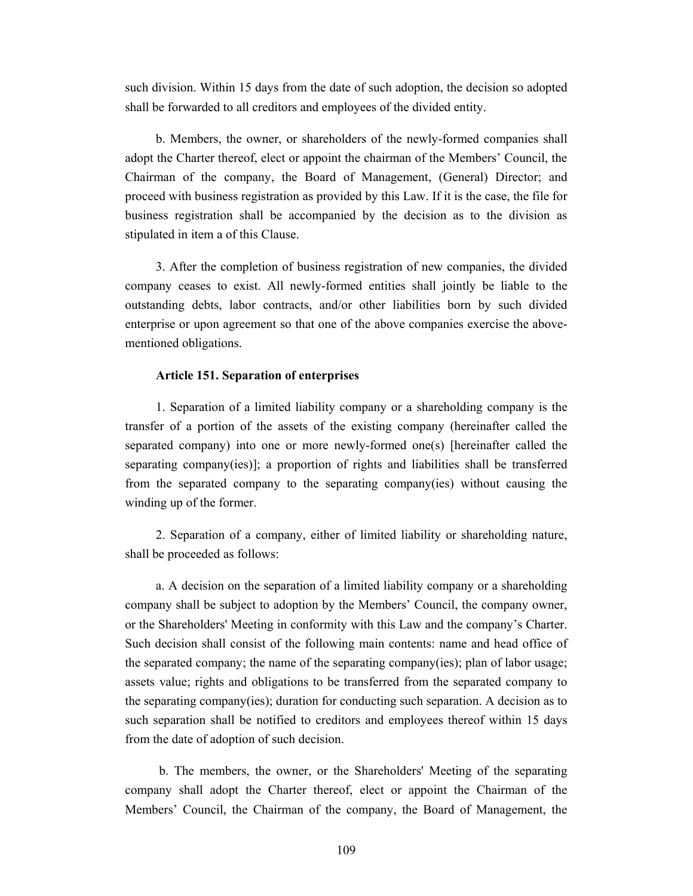such division. Within 15 days from the date of such adoption, the decision so adopted shall be forwarded to all creditors and employees of the divided entity.

b. Members, the owner, or shareholders of the newly-formed companies shall adopt the Charter thereof, elect or appoint the chairman of the Members' Council, the Chairman of the company, the Board of Management, (General) Director; and proceed with business registration as provided by this Law. If it is the case, the file for business registration shall be accompanied by the decision as to the division as stipulated in item a of this Clause.

3. After the completion of business registration of new companies, the divided company ceases to exist. All newly-formed entities shall jointly be liable to the outstanding debts, labor contracts, and/or other liabilities born by such divided enterprise or upon agreement so that one of the above companies exercise the abovementioned obligations.

#### **Article 151. Separation of enterprises**

1. Separation of a limited liability company or a shareholding company is the transfer of a portion of the assets of the existing company (hereinafter called the separated company) into one or more newly-formed one(s) [hereinafter called the separating company(ies)]; a proportion of rights and liabilities shall be transferred from the separated company to the separating company(ies) without causing the winding up of the former.

2. Separation of a company, either of limited liability or shareholding nature, shall be proceeded as follows:

a. A decision on the separation of a limited liability company or a shareholding company shall be subject to adoption by the Members' Council, the company owner, or the Shareholders' Meeting in conformity with this Law and the company's Charter. Such decision shall consist of the following main contents: name and head office of the separated company; the name of the separating company(ies); plan of labor usage; assets value; rights and obligations to be transferred from the separated company to the separating company(ies); duration for conducting such separation. A decision as to such separation shall be notified to creditors and employees thereof within 15 days from the date of adoption of such decision.

 b. The members, the owner, or the Shareholders' Meeting of the separating company shall adopt the Charter thereof, elect or appoint the Chairman of the Members' Council, the Chairman of the company, the Board of Management, the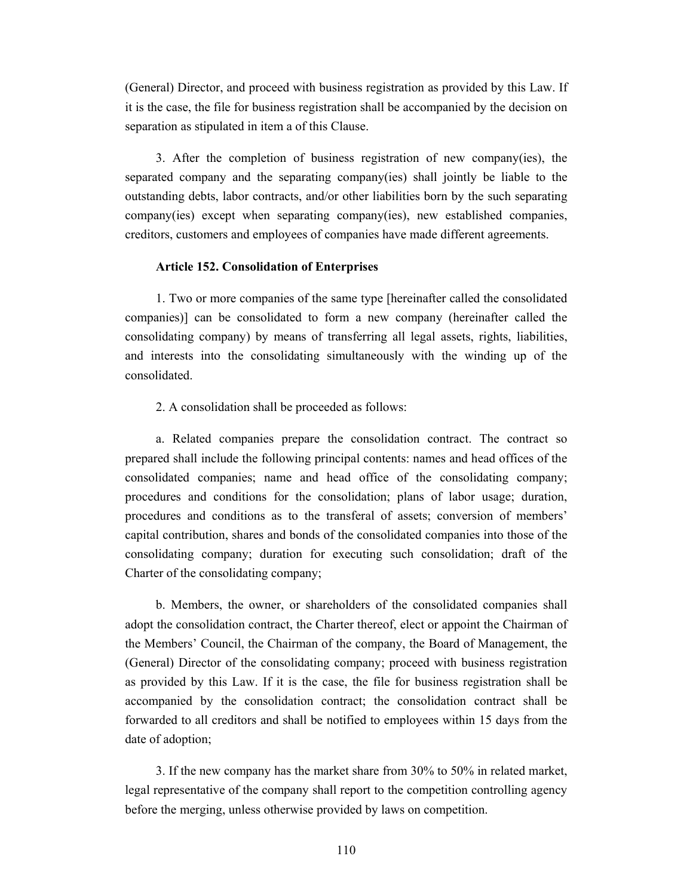(General) Director, and proceed with business registration as provided by this Law. If it is the case, the file for business registration shall be accompanied by the decision on separation as stipulated in item a of this Clause.

3. After the completion of business registration of new company(ies), the separated company and the separating company(ies) shall jointly be liable to the outstanding debts, labor contracts, and/or other liabilities born by the such separating company(ies) except when separating company(ies), new established companies, creditors, customers and employees of companies have made different agreements.

#### **Article 152. Consolidation of Enterprises**

1. Two or more companies of the same type [hereinafter called the consolidated companies)] can be consolidated to form a new company (hereinafter called the consolidating company) by means of transferring all legal assets, rights, liabilities, and interests into the consolidating simultaneously with the winding up of the consolidated.

2. A consolidation shall be proceeded as follows:

a. Related companies prepare the consolidation contract. The contract so prepared shall include the following principal contents: names and head offices of the consolidated companies; name and head office of the consolidating company; procedures and conditions for the consolidation; plans of labor usage; duration, procedures and conditions as to the transferal of assets; conversion of members' capital contribution, shares and bonds of the consolidated companies into those of the consolidating company; duration for executing such consolidation; draft of the Charter of the consolidating company;

b. Members, the owner, or shareholders of the consolidated companies shall adopt the consolidation contract, the Charter thereof, elect or appoint the Chairman of the Members' Council, the Chairman of the company, the Board of Management, the (General) Director of the consolidating company; proceed with business registration as provided by this Law. If it is the case, the file for business registration shall be accompanied by the consolidation contract; the consolidation contract shall be forwarded to all creditors and shall be notified to employees within 15 days from the date of adoption;

3. If the new company has the market share from 30% to 50% in related market, legal representative of the company shall report to the competition controlling agency before the merging, unless otherwise provided by laws on competition.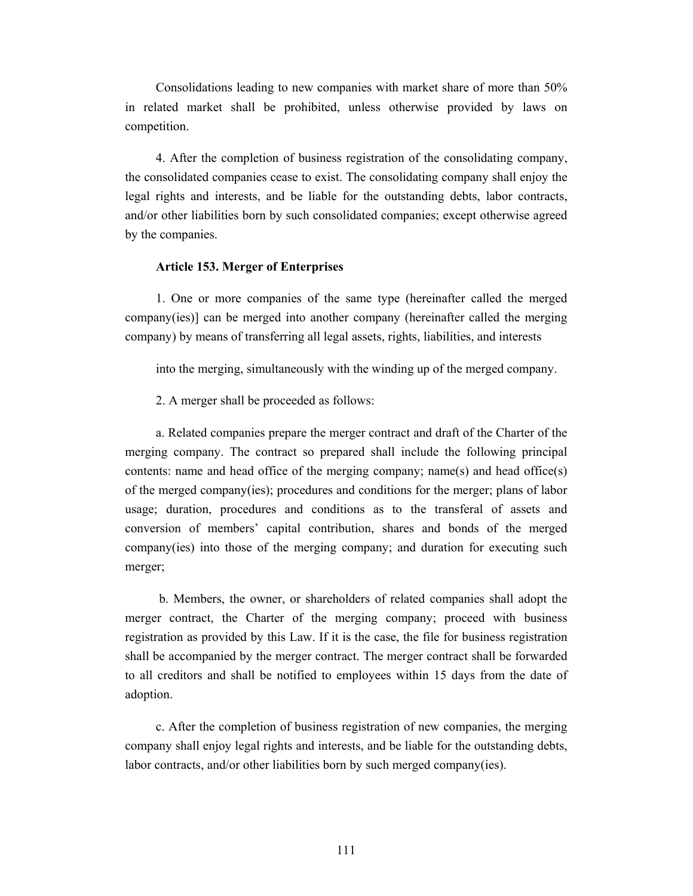Consolidations leading to new companies with market share of more than 50% in related market shall be prohibited, unless otherwise provided by laws on competition.

4. After the completion of business registration of the consolidating company, the consolidated companies cease to exist. The consolidating company shall enjoy the legal rights and interests, and be liable for the outstanding debts, labor contracts, and/or other liabilities born by such consolidated companies; except otherwise agreed by the companies.

#### **Article 153. Merger of Enterprises**

1. One or more companies of the same type (hereinafter called the merged company(ies)] can be merged into another company (hereinafter called the merging company) by means of transferring all legal assets, rights, liabilities, and interests

into the merging, simultaneously with the winding up of the merged company.

2. A merger shall be proceeded as follows:

a. Related companies prepare the merger contract and draft of the Charter of the merging company. The contract so prepared shall include the following principal contents: name and head office of the merging company; name(s) and head office(s) of the merged company(ies); procedures and conditions for the merger; plans of labor usage; duration, procedures and conditions as to the transferal of assets and conversion of members' capital contribution, shares and bonds of the merged company(ies) into those of the merging company; and duration for executing such merger;

 b. Members, the owner, or shareholders of related companies shall adopt the merger contract, the Charter of the merging company; proceed with business registration as provided by this Law. If it is the case, the file for business registration shall be accompanied by the merger contract. The merger contract shall be forwarded to all creditors and shall be notified to employees within 15 days from the date of adoption.

c. After the completion of business registration of new companies, the merging company shall enjoy legal rights and interests, and be liable for the outstanding debts, labor contracts, and/or other liabilities born by such merged company(ies).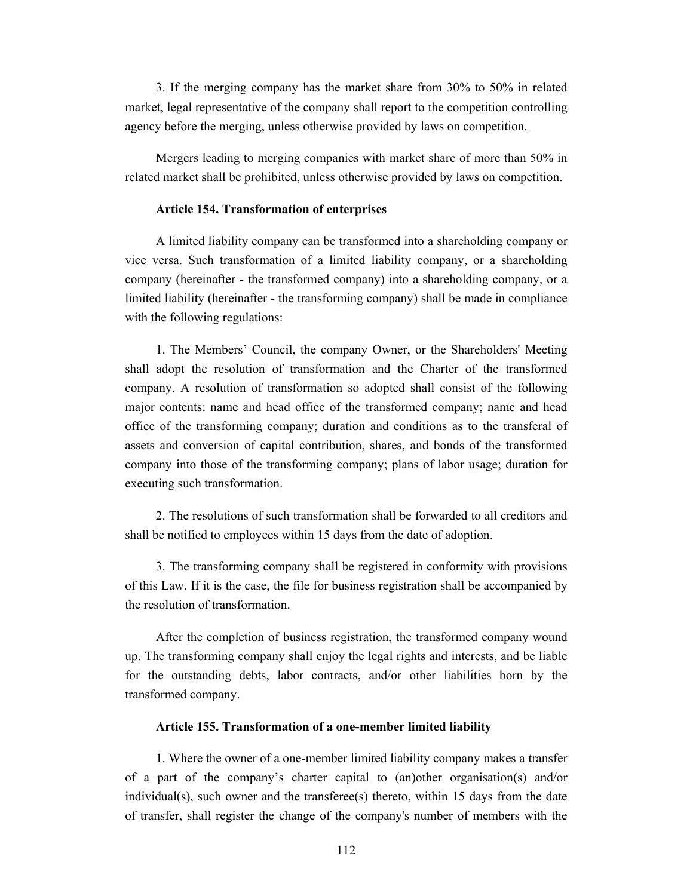3. If the merging company has the market share from 30% to 50% in related market, legal representative of the company shall report to the competition controlling agency before the merging, unless otherwise provided by laws on competition.

Mergers leading to merging companies with market share of more than 50% in related market shall be prohibited, unless otherwise provided by laws on competition.

#### **Article 154. Transformation of enterprises**

A limited liability company can be transformed into a shareholding company or vice versa. Such transformation of a limited liability company, or a shareholding company (hereinafter - the transformed company) into a shareholding company, or a limited liability (hereinafter - the transforming company) shall be made in compliance with the following regulations:

1. The Members' Council, the company Owner, or the Shareholders' Meeting shall adopt the resolution of transformation and the Charter of the transformed company. A resolution of transformation so adopted shall consist of the following major contents: name and head office of the transformed company; name and head office of the transforming company; duration and conditions as to the transferal of assets and conversion of capital contribution, shares, and bonds of the transformed company into those of the transforming company; plans of labor usage; duration for executing such transformation.

2. The resolutions of such transformation shall be forwarded to all creditors and shall be notified to employees within 15 days from the date of adoption.

3. The transforming company shall be registered in conformity with provisions of this Law. If it is the case, the file for business registration shall be accompanied by the resolution of transformation.

After the completion of business registration, the transformed company wound up. The transforming company shall enjoy the legal rights and interests, and be liable for the outstanding debts, labor contracts, and/or other liabilities born by the transformed company.

#### **Article 155. Transformation of a one-member limited liability**

1. Where the owner of a one-member limited liability company makes a transfer of a part of the company's charter capital to (an)other organisation(s) and/or individual(s), such owner and the transferee(s) thereto, within 15 days from the date of transfer, shall register the change of the company's number of members with the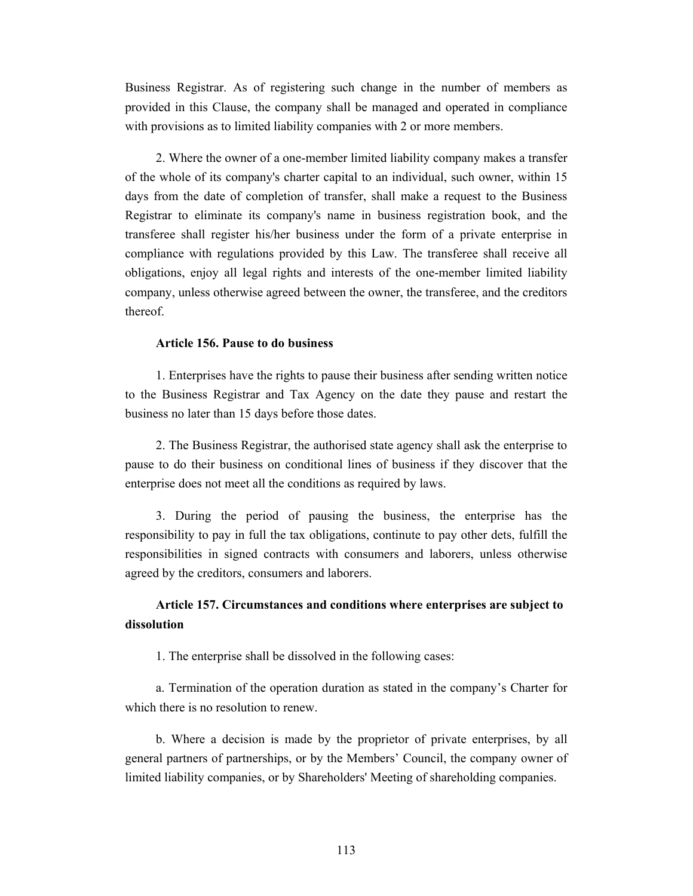Business Registrar. As of registering such change in the number of members as provided in this Clause, the company shall be managed and operated in compliance with provisions as to limited liability companies with 2 or more members.

2. Where the owner of a one-member limited liability company makes a transfer of the whole of its company's charter capital to an individual, such owner, within 15 days from the date of completion of transfer, shall make a request to the Business Registrar to eliminate its company's name in business registration book, and the transferee shall register his/her business under the form of a private enterprise in compliance with regulations provided by this Law. The transferee shall receive all obligations, enjoy all legal rights and interests of the one-member limited liability company, unless otherwise agreed between the owner, the transferee, and the creditors thereof.

#### **Article 156. Pause to do business**

1. Enterprises have the rights to pause their business after sending written notice to the Business Registrar and Tax Agency on the date they pause and restart the business no later than 15 days before those dates.

2. The Business Registrar, the authorised state agency shall ask the enterprise to pause to do their business on conditional lines of business if they discover that the enterprise does not meet all the conditions as required by laws.

3. During the period of pausing the business, the enterprise has the responsibility to pay in full the tax obligations, continute to pay other dets, fulfill the responsibilities in signed contracts with consumers and laborers, unless otherwise agreed by the creditors, consumers and laborers.

## **Article 157. Circumstances and conditions where enterprises are subject to dissolution**

1. The enterprise shall be dissolved in the following cases:

a. Termination of the operation duration as stated in the company's Charter for which there is no resolution to renew.

b. Where a decision is made by the proprietor of private enterprises, by all general partners of partnerships, or by the Members' Council, the company owner of limited liability companies, or by Shareholders' Meeting of shareholding companies.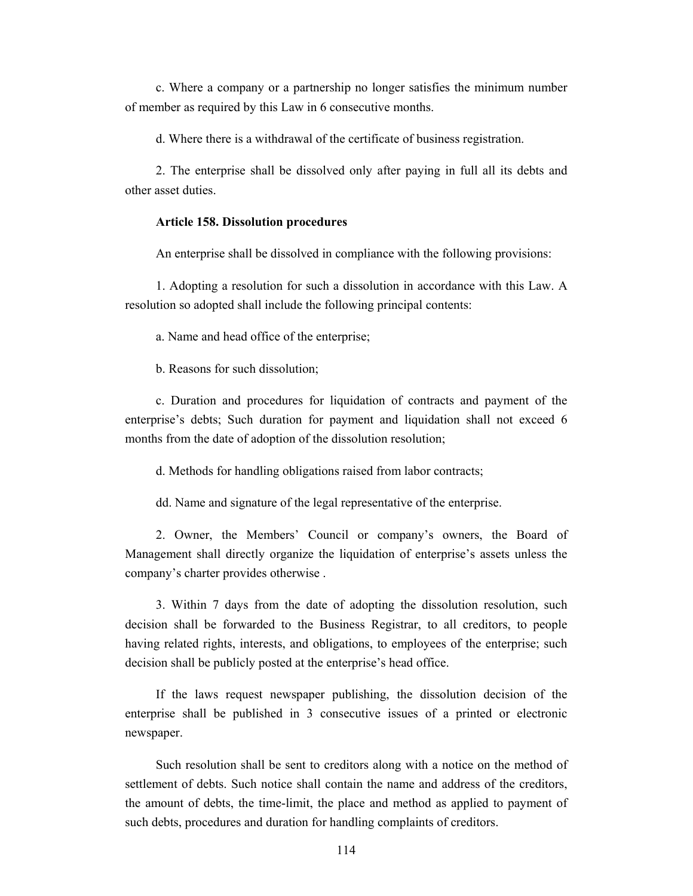c. Where a company or a partnership no longer satisfies the minimum number of member as required by this Law in 6 consecutive months.

d. Where there is a withdrawal of the certificate of business registration.

2. The enterprise shall be dissolved only after paying in full all its debts and other asset duties.

#### **Article 158. Dissolution procedures**

An enterprise shall be dissolved in compliance with the following provisions:

1. Adopting a resolution for such a dissolution in accordance with this Law. A resolution so adopted shall include the following principal contents:

a. Name and head office of the enterprise;

b. Reasons for such dissolution;

c. Duration and procedures for liquidation of contracts and payment of the enterprise's debts; Such duration for payment and liquidation shall not exceed 6 months from the date of adoption of the dissolution resolution;

d. Methods for handling obligations raised from labor contracts;

dd. Name and signature of the legal representative of the enterprise.

2. Owner, the Members' Council or company's owners, the Board of Management shall directly organize the liquidation of enterprise's assets unless the company's charter provides otherwise .

3. Within 7 days from the date of adopting the dissolution resolution, such decision shall be forwarded to the Business Registrar, to all creditors, to people having related rights, interests, and obligations, to employees of the enterprise; such decision shall be publicly posted at the enterprise's head office.

If the laws request newspaper publishing, the dissolution decision of the enterprise shall be published in 3 consecutive issues of a printed or electronic newspaper.

Such resolution shall be sent to creditors along with a notice on the method of settlement of debts. Such notice shall contain the name and address of the creditors, the amount of debts, the time-limit, the place and method as applied to payment of such debts, procedures and duration for handling complaints of creditors.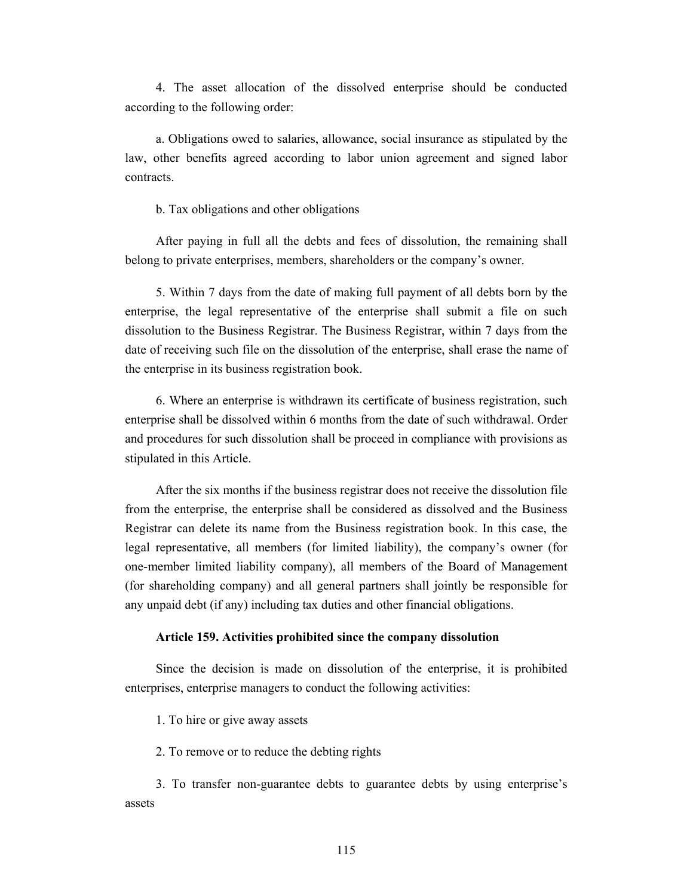4. The asset allocation of the dissolved enterprise should be conducted according to the following order:

a. Obligations owed to salaries, allowance, social insurance as stipulated by the law, other benefits agreed according to labor union agreement and signed labor contracts.

b. Tax obligations and other obligations

After paying in full all the debts and fees of dissolution, the remaining shall belong to private enterprises, members, shareholders or the company's owner.

5. Within 7 days from the date of making full payment of all debts born by the enterprise, the legal representative of the enterprise shall submit a file on such dissolution to the Business Registrar. The Business Registrar, within 7 days from the date of receiving such file on the dissolution of the enterprise, shall erase the name of the enterprise in its business registration book.

6. Where an enterprise is withdrawn its certificate of business registration, such enterprise shall be dissolved within 6 months from the date of such withdrawal. Order and procedures for such dissolution shall be proceed in compliance with provisions as stipulated in this Article.

After the six months if the business registrar does not receive the dissolution file from the enterprise, the enterprise shall be considered as dissolved and the Business Registrar can delete its name from the Business registration book. In this case, the legal representative, all members (for limited liability), the company's owner (for one-member limited liability company), all members of the Board of Management (for shareholding company) and all general partners shall jointly be responsible for any unpaid debt (if any) including tax duties and other financial obligations.

#### **Article 159. Activities prohibited since the company dissolution**

Since the decision is made on dissolution of the enterprise, it is prohibited enterprises, enterprise managers to conduct the following activities:

1. To hire or give away assets

2. To remove or to reduce the debting rights

3. To transfer non-guarantee debts to guarantee debts by using enterprise's assets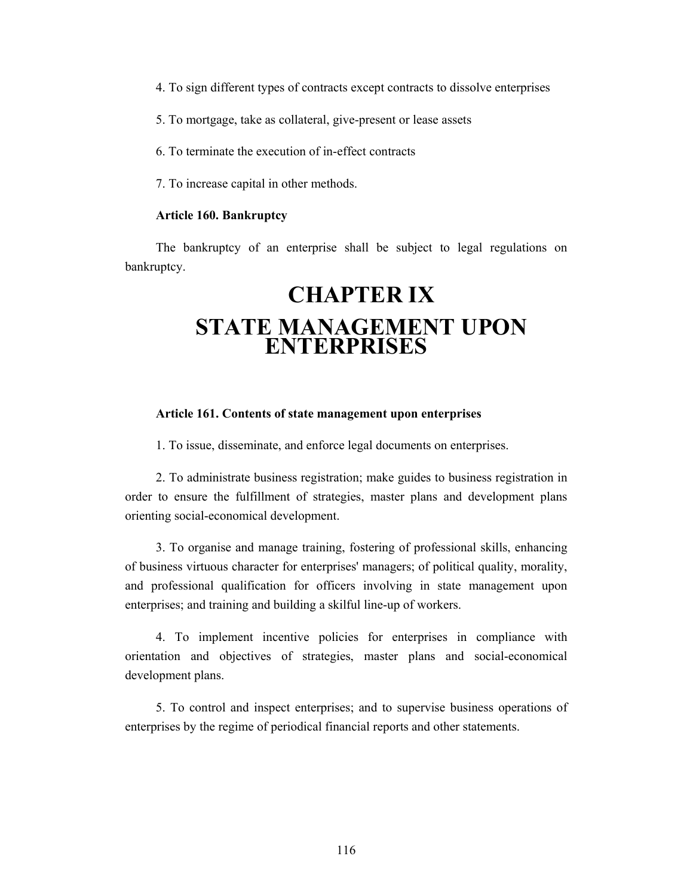4. To sign different types of contracts except contracts to dissolve enterprises

- 5. To mortgage, take as collateral, give-present or lease assets
- 6. To terminate the execution of in-effect contracts
- 7. To increase capital in other methods.

#### **Article 160. Bankruptcy**

The bankruptcy of an enterprise shall be subject to legal regulations on bankruptcy.

## **CHAPTER IX STATE MANAGEMENT UPON ENTERPRISES**

#### **Article 161. Contents of state management upon enterprises**

1. To issue, disseminate, and enforce legal documents on enterprises.

2. To administrate business registration; make guides to business registration in order to ensure the fulfillment of strategies, master plans and development plans orienting social-economical development.

3. To organise and manage training, fostering of professional skills, enhancing of business virtuous character for enterprises' managers; of political quality, morality, and professional qualification for officers involving in state management upon enterprises; and training and building a skilful line-up of workers.

4. To implement incentive policies for enterprises in compliance with orientation and objectives of strategies, master plans and social-economical development plans.

5. To control and inspect enterprises; and to supervise business operations of enterprises by the regime of periodical financial reports and other statements.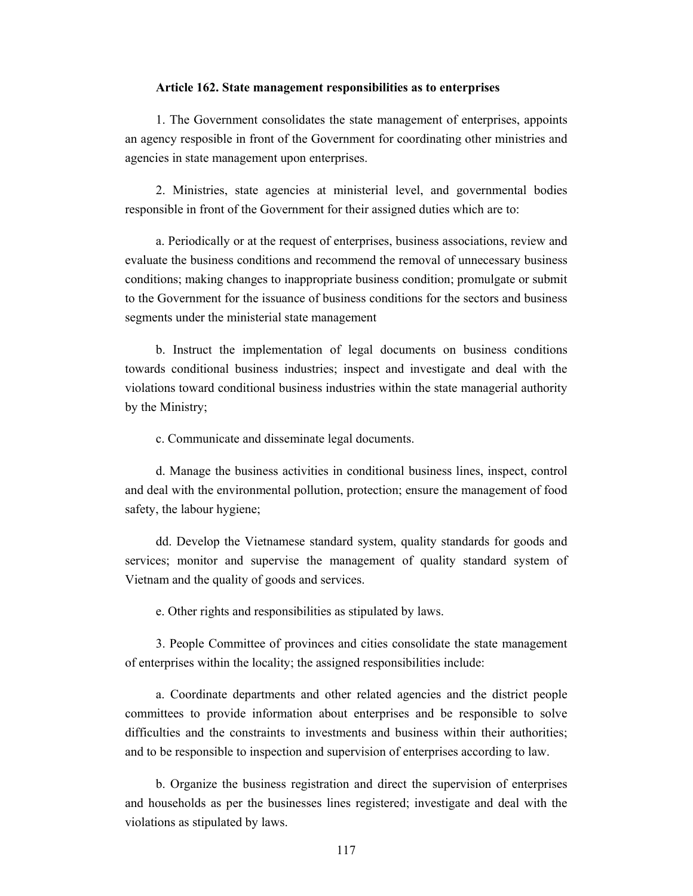#### **Article 162. State management responsibilities as to enterprises**

1. The Government consolidates the state management of enterprises, appoints an agency resposible in front of the Government for coordinating other ministries and agencies in state management upon enterprises.

2. Ministries, state agencies at ministerial level, and governmental bodies responsible in front of the Government for their assigned duties which are to:

a. Periodically or at the request of enterprises, business associations, review and evaluate the business conditions and recommend the removal of unnecessary business conditions; making changes to inappropriate business condition; promulgate or submit to the Government for the issuance of business conditions for the sectors and business segments under the ministerial state management

b. Instruct the implementation of legal documents on business conditions towards conditional business industries; inspect and investigate and deal with the violations toward conditional business industries within the state managerial authority by the Ministry;

c. Communicate and disseminate legal documents.

d. Manage the business activities in conditional business lines, inspect, control and deal with the environmental pollution, protection; ensure the management of food safety, the labour hygiene;

dd. Develop the Vietnamese standard system, quality standards for goods and services; monitor and supervise the management of quality standard system of Vietnam and the quality of goods and services.

e. Other rights and responsibilities as stipulated by laws.

3. People Committee of provinces and cities consolidate the state management of enterprises within the locality; the assigned responsibilities include:

a. Coordinate departments and other related agencies and the district people committees to provide information about enterprises and be responsible to solve difficulties and the constraints to investments and business within their authorities; and to be responsible to inspection and supervision of enterprises according to law.

b. Organize the business registration and direct the supervision of enterprises and households as per the businesses lines registered; investigate and deal with the violations as stipulated by laws.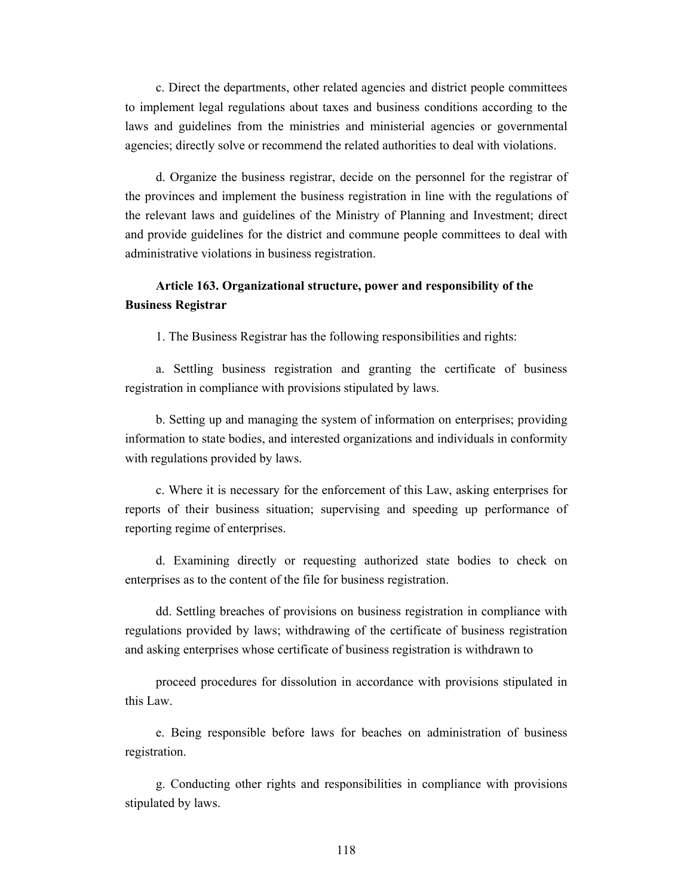c. Direct the departments, other related agencies and district people committees to implement legal regulations about taxes and business conditions according to the laws and guidelines from the ministries and ministerial agencies or governmental agencies; directly solve or recommend the related authorities to deal with violations.

d. Organize the business registrar, decide on the personnel for the registrar of the provinces and implement the business registration in line with the regulations of the relevant laws and guidelines of the Ministry of Planning and Investment; direct and provide guidelines for the district and commune people committees to deal with administrative violations in business registration.

## **Article 163. Organizational structure, power and responsibility of the Business Registrar**

1. The Business Registrar has the following responsibilities and rights:

a. Settling business registration and granting the certificate of business registration in compliance with provisions stipulated by laws.

b. Setting up and managing the system of information on enterprises; providing information to state bodies, and interested organizations and individuals in conformity with regulations provided by laws.

c. Where it is necessary for the enforcement of this Law, asking enterprises for reports of their business situation; supervising and speeding up performance of reporting regime of enterprises.

d. Examining directly or requesting authorized state bodies to check on enterprises as to the content of the file for business registration.

dd. Settling breaches of provisions on business registration in compliance with regulations provided by laws; withdrawing of the certificate of business registration and asking enterprises whose certificate of business registration is withdrawn to

proceed procedures for dissolution in accordance with provisions stipulated in this Law.

e. Being responsible before laws for beaches on administration of business registration.

g. Conducting other rights and responsibilities in compliance with provisions stipulated by laws.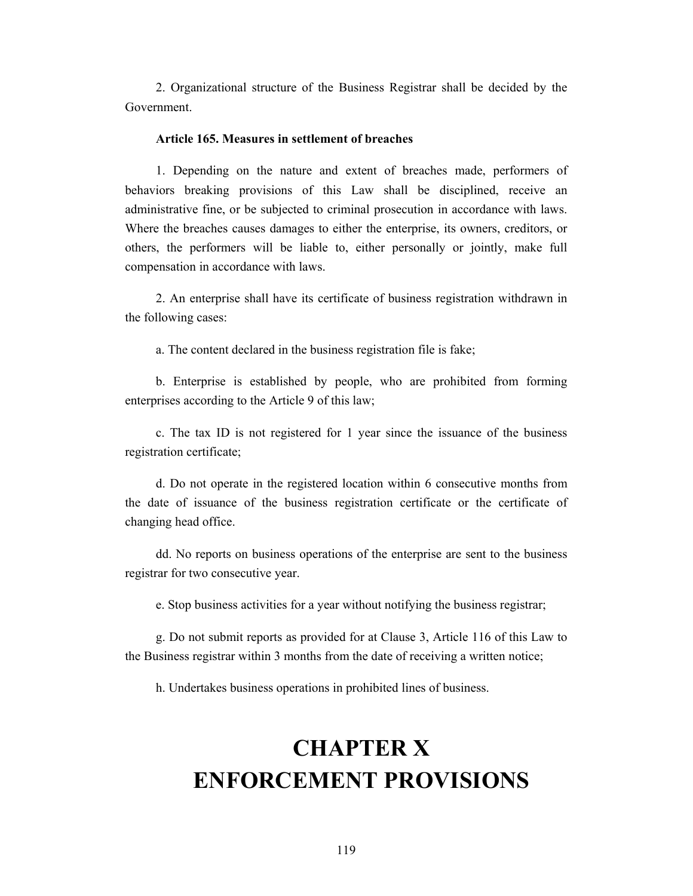2. Organizational structure of the Business Registrar shall be decided by the Government.

#### **Article 165. Measures in settlement of breaches**

1. Depending on the nature and extent of breaches made, performers of behaviors breaking provisions of this Law shall be disciplined, receive an administrative fine, or be subjected to criminal prosecution in accordance with laws. Where the breaches causes damages to either the enterprise, its owners, creditors, or others, the performers will be liable to, either personally or jointly, make full compensation in accordance with laws.

2. An enterprise shall have its certificate of business registration withdrawn in the following cases:

a. The content declared in the business registration file is fake;

b. Enterprise is established by people, who are prohibited from forming enterprises according to the Article 9 of this law;

c. The tax ID is not registered for 1 year since the issuance of the business registration certificate;

d. Do not operate in the registered location within 6 consecutive months from the date of issuance of the business registration certificate or the certificate of changing head office.

dd. No reports on business operations of the enterprise are sent to the business registrar for two consecutive year.

e. Stop business activities for a year without notifying the business registrar;

g. Do not submit reports as provided for at Clause 3, Article 116 of this Law to the Business registrar within 3 months from the date of receiving a written notice;

h. Undertakes business operations in prohibited lines of business.

# **CHAPTER X ENFORCEMENT PROVISIONS**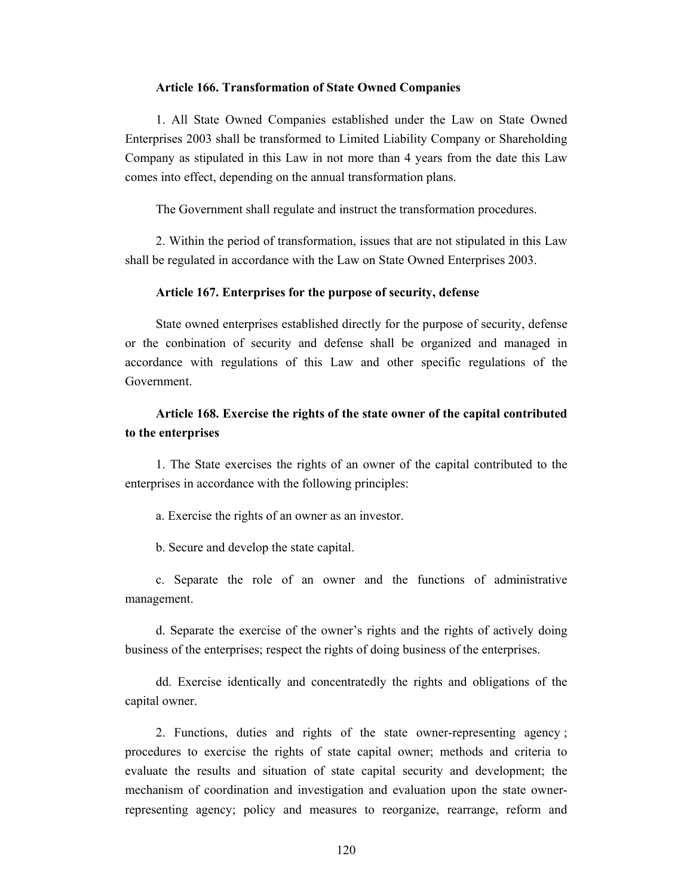#### **Article 166. Transformation of State Owned Companies**

1. All State Owned Companies established under the Law on State Owned Enterprises 2003 shall be transformed to Limited Liability Company or Shareholding Company as stipulated in this Law in not more than 4 years from the date this Law comes into effect, depending on the annual transformation plans.

The Government shall regulate and instruct the transformation procedures.

2. Within the period of transformation, issues that are not stipulated in this Law shall be regulated in accordance with the Law on State Owned Enterprises 2003.

#### **Article 167. Enterprises for the purpose of security, defense**

State owned enterprises established directly for the purpose of security, defense or the conbination of security and defense shall be organized and managed in accordance with regulations of this Law and other specific regulations of the Government.

## **Article 168. Exercise the rights of the state owner of the capital contributed to the enterprises**

1. The State exercises the rights of an owner of the capital contributed to the enterprises in accordance with the following principles:

a. Exercise the rights of an owner as an investor.

b. Secure and develop the state capital.

c. Separate the role of an owner and the functions of administrative management.

d. Separate the exercise of the owner's rights and the rights of actively doing business of the enterprises; respect the rights of doing business of the enterprises.

dd. Exercise identically and concentratedly the rights and obligations of the capital owner.

2. Functions, duties and rights of the state owner-representing agency ; procedures to exercise the rights of state capital owner; methods and criteria to evaluate the results and situation of state capital security and development; the mechanism of coordination and investigation and evaluation upon the state ownerrepresenting agency; policy and measures to reorganize, rearrange, reform and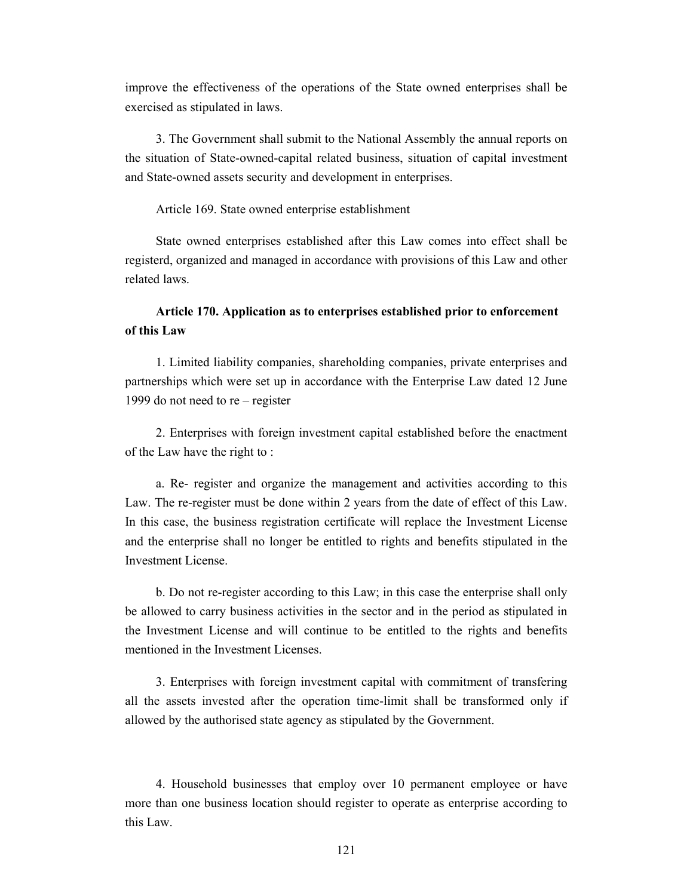improve the effectiveness of the operations of the State owned enterprises shall be exercised as stipulated in laws.

3. The Government shall submit to the National Assembly the annual reports on the situation of State-owned-capital related business, situation of capital investment and State-owned assets security and development in enterprises.

#### Article 169. State owned enterprise establishment

State owned enterprises established after this Law comes into effect shall be registerd, organized and managed in accordance with provisions of this Law and other related laws.

## **Article 170. Application as to enterprises established prior to enforcement of this Law**

1. Limited liability companies, shareholding companies, private enterprises and partnerships which were set up in accordance with the Enterprise Law dated 12 June 1999 do not need to re – register

2. Enterprises with foreign investment capital established before the enactment of the Law have the right to :

a. Re- register and organize the management and activities according to this Law. The re-register must be done within 2 years from the date of effect of this Law. In this case, the business registration certificate will replace the Investment License and the enterprise shall no longer be entitled to rights and benefits stipulated in the Investment License.

b. Do not re-register according to this Law; in this case the enterprise shall only be allowed to carry business activities in the sector and in the period as stipulated in the Investment License and will continue to be entitled to the rights and benefits mentioned in the Investment Licenses.

3. Enterprises with foreign investment capital with commitment of transfering all the assets invested after the operation time-limit shall be transformed only if allowed by the authorised state agency as stipulated by the Government.

4. Household businesses that employ over 10 permanent employee or have more than one business location should register to operate as enterprise according to this Law.